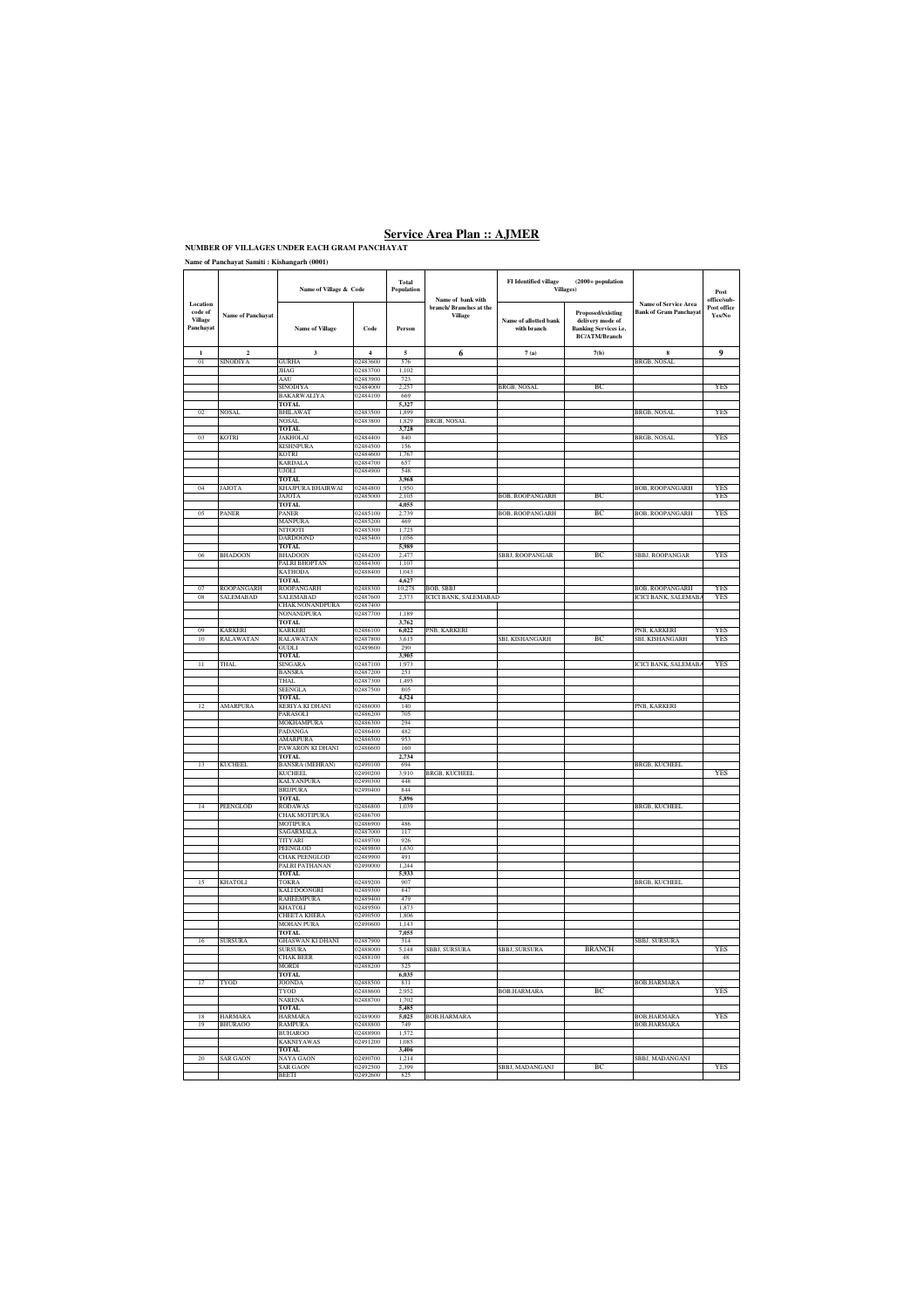### **Name of Panchayat Samiti : Kishangarh (0001)**

|                                             |                            | Name of Village & Code                 |                      | Total<br>Population      | Name of bank with                  | <b>FI</b> Identified village<br>$(2000+$ population<br>Villages) |                                                                                               |                                                       | Post<br>office/sub-   |
|---------------------------------------------|----------------------------|----------------------------------------|----------------------|--------------------------|------------------------------------|------------------------------------------------------------------|-----------------------------------------------------------------------------------------------|-------------------------------------------------------|-----------------------|
| Location<br>code of<br>Village<br>Panchayat | <b>Name of Panchayat</b>   | <b>Name of Village</b>                 | Code                 | Person                   | branch/ Branches at the<br>Village | Name of allotted bank<br>with branch                             | Proposed/existing<br>delivery mode of<br><b>Banking Services i.e.</b><br><b>BC/ATM/Branch</b> | Name of Service Area<br><b>Bank of Gram Panchayat</b> | Post office<br>Yes/No |
| $\mathbf{1}$                                | $\overline{a}$             | $\overline{\mathbf{3}}$                | $\overline{4}$       | $\overline{\phantom{a}}$ | 6                                  | 7(a)                                                             | 7(b)                                                                                          | $\bf{8}$                                              | 9                     |
| 01                                          | SINODIYA                   | <b>GURHA</b>                           | 02483600<br>02483700 | 576                      |                                    |                                                                  |                                                                                               | BRGB, NOSAL                                           |                       |
|                                             |                            | JHAG<br>AAU                            | 02483900             | 1,102<br>723             |                                    |                                                                  |                                                                                               |                                                       |                       |
|                                             |                            | SINODIYA                               | 02484000             | 2,257                    |                                    | BRGB, NOSAL                                                      | BC                                                                                            |                                                       | YES                   |
|                                             |                            | BAKARWALIYA<br>TOTAL                   | 02484100             | 669<br>5,327             |                                    |                                                                  |                                                                                               |                                                       |                       |
| 0 <sup>2</sup>                              | NOSAL                      | <b>BHILAWAT</b>                        | 02483500             | 1,899                    |                                    |                                                                  |                                                                                               | BRGB, NOSAL                                           | YES                   |
|                                             |                            | <b>NOSAL</b><br><b>TOTAL</b>           | 02483800             | 1.829<br>3.728           | BRGB, NOSAL                        |                                                                  |                                                                                               |                                                       |                       |
| 0 <sub>3</sub>                              | <b>KOTRI</b>               | JAKHOLAI                               | 02484400             | 840                      |                                    |                                                                  |                                                                                               | <b>BRGB, NOSAL</b>                                    | <b>YES</b>            |
|                                             |                            | <b>KISHNPURA</b><br><b>KOTRI</b>       | 02484500<br>02484600 | 156<br>1,767             |                                    |                                                                  |                                                                                               |                                                       |                       |
|                                             |                            | KARDAL                                 | 02484700             | 657                      |                                    |                                                                  |                                                                                               |                                                       |                       |
|                                             |                            | UJOLI                                  | 02484900             | 548                      |                                    |                                                                  |                                                                                               |                                                       |                       |
| 04                                          | JAJOTA                     | <b>TOTAL</b><br>KHAJPURA BHAIRWAI      | 02484800             | 3,968<br>1,950           |                                    |                                                                  |                                                                                               | <b>BOB, ROOPANGARH</b>                                | YES                   |
|                                             |                            | JAJOTA                                 | 02485000             | 2,105                    |                                    | <b>3OB, ROOPANGARH</b>                                           | BC                                                                                            |                                                       | YES                   |
| 05                                          | <b>PANER</b>               | <b>TOTAL</b><br><b>PANER</b>           | 02485100             | 4.055<br>2.739           |                                    | <b>BOB, ROOPANGARH</b>                                           | BC                                                                                            | <b>BOB, ROOPANGARH</b>                                | YES                   |
|                                             |                            | MANPURA                                | 02485200             | 469                      |                                    |                                                                  |                                                                                               |                                                       |                       |
|                                             |                            | <b>NITOOTI</b>                         | 02485300             | 1.725                    |                                    |                                                                  |                                                                                               |                                                       |                       |
|                                             |                            | DARDOONE<br><b>TOTAL</b>               | 02485400             | 1,056<br>5,989           |                                    |                                                                  |                                                                                               |                                                       |                       |
| 06                                          | BHADOON                    | <b>BHADOON</b>                         | 02484200             | 2,477                    |                                    | SBBJ, ROOPANGAR                                                  | BC                                                                                            | SBBJ, ROOPANGAR                                       | YES                   |
|                                             |                            | PALRI BHOPTAN<br><b>KATHODA</b>        | 02484300<br>02488400 | 1,107<br>1,043           |                                    |                                                                  |                                                                                               |                                                       |                       |
|                                             |                            | <b>TOTAL</b>                           |                      | 4,627                    |                                    |                                                                  |                                                                                               |                                                       |                       |
| 07                                          | ROOPANGARH                 | ROOPANGARH                             | 02488300             | 10.278                   | <b>BOB, SBBJ</b>                   |                                                                  |                                                                                               | <b>BOB, ROOPANGARH</b>                                | <b>YES</b>            |
| 08                                          | SALEMABAD                  | SALEMABAD<br><b>CHAK NONANDPURA</b>    | 02487600<br>02487400 | 2.573                    | <b>ICICI BANK, SALEMABAD</b>       |                                                                  |                                                                                               | <b>ICICI BANK, SALEMAB</b>                            | YES                   |
|                                             |                            | NONANDPURA                             | 02487700             | 1189                     |                                    |                                                                  |                                                                                               |                                                       |                       |
|                                             |                            | <b>TOTAL</b>                           |                      | 3,762                    |                                    |                                                                  |                                                                                               |                                                       |                       |
| 09<br>10                                    | <b>KARKER</b><br>RALAWATAN | KARKER<br>RALAWATAN                    | 02486100<br>02487800 | 6,022<br>3,615           | <b>NB, KARKER</b>                  | SBI, KISHANGARH                                                  | ВC                                                                                            | <b>NB, KARKER</b><br>SBI, KISHANGARH                  | YFS<br><b>YES</b>     |
|                                             |                            | GUDLI                                  | 02489600             | 290                      |                                    |                                                                  |                                                                                               |                                                       |                       |
|                                             |                            | <b>TOTAL</b>                           |                      | 3,905                    |                                    |                                                                  |                                                                                               |                                                       |                       |
| Π                                           | THAL                       | SINGARA<br><b>BANSRA</b>               | 02487100<br>02487200 | 1,973<br>251             |                                    |                                                                  |                                                                                               | ICICI BANK, SALEMABA                                  | YES                   |
|                                             |                            | THAL                                   | 02487300             | 1.495                    |                                    |                                                                  |                                                                                               |                                                       |                       |
|                                             |                            | <b>SEENGLA</b><br>TOTAL.               | 02487500             | 805<br>4.524             |                                    |                                                                  |                                                                                               |                                                       |                       |
| $\overline{12}$                             | AMARPURA                   | KERIYA KI DHANI                        | 02486000             | 140                      |                                    |                                                                  |                                                                                               | PNB, KARKERI                                          |                       |
|                                             |                            | PARASOLI                               | 02486200             | 705                      |                                    |                                                                  |                                                                                               |                                                       |                       |
|                                             |                            | MOKHAMPURA<br>PADANGA                  | 02486300<br>02486400 | 294<br>482               |                                    |                                                                  |                                                                                               |                                                       |                       |
|                                             |                            | AMARPURA                               | 02486500             | 953                      |                                    |                                                                  |                                                                                               |                                                       |                       |
|                                             |                            | PAWARON KI DHANI                       | 02486600             | 160<br>2.734             |                                    |                                                                  |                                                                                               |                                                       |                       |
| 13                                          | <b>KUCHEEL</b>             | <b>TOTAL</b><br><b>BANSRA</b> (MEHRAN) | 02490100             | 694                      |                                    |                                                                  |                                                                                               | BRGB, KUCHEEL                                         |                       |
|                                             |                            | KUCHEEL                                | 02490200             | 3.910                    | <b>BRGB, KUCHEEL</b>               |                                                                  |                                                                                               |                                                       | YES                   |
|                                             |                            | <b>KALYANPURA</b><br><b>BRIJPURA</b>   | 02490300<br>02490400 | 448<br>844               |                                    |                                                                  |                                                                                               |                                                       |                       |
|                                             |                            | TOTAL                                  |                      | 5,896                    |                                    |                                                                  |                                                                                               |                                                       |                       |
| 14                                          | PEENGLOD                   | RODAWAS                                | 02486800             | 1,039                    |                                    |                                                                  |                                                                                               | BRGB, KUCHEEL                                         |                       |
|                                             |                            | CHAK MOTIPURA<br>MOTIPURA              | 02486700<br>02486900 | 486                      |                                    |                                                                  |                                                                                               |                                                       |                       |
|                                             |                            | SAGARMALA                              | 02487000             | 117                      |                                    |                                                                  |                                                                                               |                                                       |                       |
|                                             |                            | <b>TITYARI</b><br>PEENGLOD             | 02489700<br>02489800 | 926<br>1.630             |                                    |                                                                  |                                                                                               |                                                       |                       |
|                                             |                            | CHAK PEENGLOD                          | 02489900             | 491                      |                                    |                                                                  |                                                                                               |                                                       |                       |
|                                             |                            | PALRI PATHANAN                         | 02490000             | 1244                     |                                    |                                                                  |                                                                                               |                                                       |                       |
| 15                                          | KHATOLI                    | TOTAL.<br>TOKRA                        | 02489200             | 5.933<br>907             |                                    |                                                                  |                                                                                               | BRGB, KUCHEEL                                         |                       |
|                                             |                            | KALI DOONGRI                           | 02489300             | 847                      |                                    |                                                                  |                                                                                               |                                                       |                       |
|                                             |                            | RAHEEMPURA                             | 02489400             | 479                      |                                    |                                                                  |                                                                                               |                                                       |                       |
|                                             |                            | <b>KHATOLI</b><br>CHEETA KHERA         | 02489500<br>02490500 | 1,873<br>1,806           |                                    |                                                                  |                                                                                               |                                                       |                       |
|                                             |                            | MOHAN PURA                             | 02490600             | 1,143                    |                                    |                                                                  |                                                                                               |                                                       |                       |
| 16                                          | <b>SURSURA</b>             | <b>TOTAL</b><br>GHASWAN KI DHANI       | 02487900             | 7,055<br>314             |                                    |                                                                  |                                                                                               | <b>SBBJ, SURSURA</b>                                  |                       |
|                                             |                            | <b>SURSURA</b>                         | 02488000             | 5148                     | SBBJ, SURSURA                      | SBRI SURSURA                                                     | <b>BRANCH</b>                                                                                 |                                                       | YES                   |
|                                             |                            | <b>CHAK BEER</b>                       | 02488100             | 48                       |                                    |                                                                  |                                                                                               |                                                       |                       |
|                                             |                            | MORDI<br><b>TOTAL</b>                  | 02488200             | 525<br>6,035             |                                    |                                                                  |                                                                                               |                                                       |                       |
| $\overline{17}$                             | TYOD                       | <b>OONDA</b>                           | 02488500             | 831                      |                                    |                                                                  |                                                                                               | BOB,HARMARA                                           |                       |
|                                             |                            | TYOD                                   | 02488600             | 2,952                    |                                    | BOB,HARMARA                                                      | ВC                                                                                            |                                                       | YES                   |
|                                             |                            | NARENA<br><b>TOTAL</b>                 | 02488700             | 1,702<br>5,485           |                                    |                                                                  |                                                                                               |                                                       |                       |
| 18                                          | HARMARA                    | <b>HARMARA</b>                         | 02489000             | 5,025                    | BOB,HARMARA                        |                                                                  |                                                                                               | BOB,HARMARA                                           | YES                   |
| 19                                          | <b>BHURAOO</b>             | <b>RAMPURA</b><br><b>BUHAROO</b>       | 02488800<br>02488900 | 749<br>1.572             |                                    |                                                                  |                                                                                               | <b>BOB.HARMARA</b>                                    |                       |
|                                             |                            | <b>KAKNIYAWAS</b>                      | 02491200             | 1,085                    |                                    |                                                                  |                                                                                               |                                                       |                       |
|                                             |                            | <b>TOTAL</b>                           |                      | 3,406                    |                                    |                                                                  |                                                                                               |                                                       |                       |
|                                             | SAR GAON                   | NAYA GAON<br>SAR GAON                  | 02490700<br>02492500 | 1,214<br>2,399           |                                    | SBBJ, MADANGANJ                                                  | BC                                                                                            | SBBJ, MADANGAN                                        | YES                   |
|                                             |                            | BEETI                                  | 02492600             | 825                      |                                    |                                                                  |                                                                                               |                                                       |                       |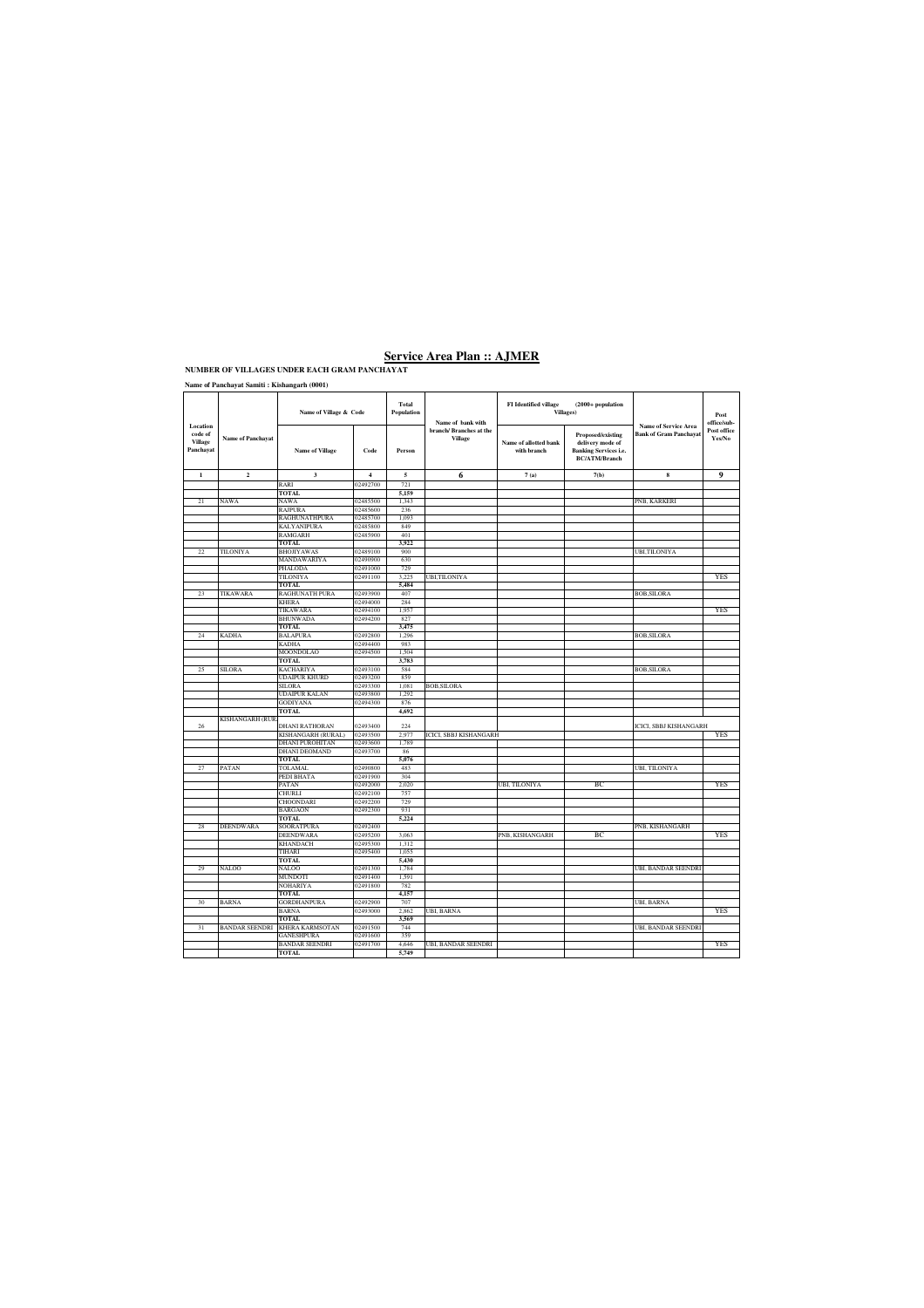**Name of Panchayat Samiti : Kishangarh (0001)**

|                                                    |                          | Name of Village & Code         |                      | <b>Total</b><br>Population | Name of bank with                        | <b>FI</b> Identified village<br>$(2000+$ population<br><b>Villages</b> ) |                                                                                               |                                                              | Post<br>office/sub-   |
|----------------------------------------------------|--------------------------|--------------------------------|----------------------|----------------------------|------------------------------------------|--------------------------------------------------------------------------|-----------------------------------------------------------------------------------------------|--------------------------------------------------------------|-----------------------|
| Location<br>code of<br><b>Village</b><br>Panchayat | <b>Name of Panchayat</b> | <b>Name of Village</b>         | Code                 | Person                     | branch/Branches at the<br><b>Village</b> | Name of allotted bank<br>with branch                                     | Proposed/existing<br>delivery mode of<br><b>Banking Services i.e.</b><br><b>BC/ATM/Branch</b> | <b>Name of Service Area</b><br><b>Bank of Gram Panchayat</b> | Post office<br>Yes/No |
| $\mathbf{1}$                                       | $\overline{\mathbf{c}}$  | $\overline{\mathbf{3}}$        | $\overline{4}$       | 5                          | 6                                        | 7(a)                                                                     | 7(b)                                                                                          | $\bf8$                                                       | 9                     |
|                                                    |                          | RARI                           | 02492700             | 721                        |                                          |                                                                          |                                                                                               |                                                              |                       |
|                                                    |                          | <b>TOTAL</b>                   |                      | 5,159                      |                                          |                                                                          |                                                                                               |                                                              |                       |
| 21                                                 | NAWA                     | NAWA                           | 02485500             | 1.343                      |                                          |                                                                          |                                                                                               | PNB, KARKERI                                                 |                       |
|                                                    |                          | RAJPURA                        | 02485600             | 236                        |                                          |                                                                          |                                                                                               |                                                              |                       |
|                                                    |                          | RAGHUNATHPURA                  | 02485700             | 1,093                      |                                          |                                                                          |                                                                                               |                                                              |                       |
|                                                    |                          | KALYANIPURA                    | 02485800             | 849                        |                                          |                                                                          |                                                                                               |                                                              |                       |
|                                                    |                          | <b>RAMGARH</b>                 | 02485900             | 401                        |                                          |                                                                          |                                                                                               |                                                              |                       |
|                                                    |                          | <b>TOTAL</b>                   |                      | 3,922                      |                                          |                                                                          |                                                                                               |                                                              |                       |
| 22                                                 | TILONIYA                 | <b>BHOJIYAWAS</b>              | 02489100             | 900                        |                                          |                                                                          |                                                                                               | UBI,TILONIYA                                                 |                       |
|                                                    |                          | MANDAWARIYA                    | 02490900             | 630                        |                                          |                                                                          |                                                                                               |                                                              |                       |
|                                                    |                          | PHALODA                        | 02491000             | 729                        |                                          |                                                                          |                                                                                               |                                                              |                       |
|                                                    |                          | TILONIYA                       | 02491100             | 3.225                      | UBI,TILONIYA                             |                                                                          |                                                                                               |                                                              | YES                   |
|                                                    |                          | <b>TOTAL</b><br>RAGHUNATH PURA | 02493900             | 5,484<br>407               |                                          |                                                                          |                                                                                               |                                                              |                       |
| 23                                                 | TIKAWARA                 | <b>KHERA</b>                   | 02494000             | 284                        |                                          |                                                                          |                                                                                               | <b>BOB, SILORA</b>                                           |                       |
|                                                    |                          | TIKAWARA                       | 02494100             | 1.957                      |                                          |                                                                          |                                                                                               |                                                              | <b>YES</b>            |
|                                                    |                          | <b>BHUNWADA</b>                | 02494200             | 827                        |                                          |                                                                          |                                                                                               |                                                              |                       |
|                                                    |                          | <b>TOTAL</b>                   |                      | 3,475                      |                                          |                                                                          |                                                                                               |                                                              |                       |
| 24                                                 | <b>KADHA</b>             | <b>BALAPURA</b>                | 02492800             | 1,296                      |                                          |                                                                          |                                                                                               | <b>BOB, SILORA</b>                                           |                       |
|                                                    |                          | KADHA                          | 02494400             | 983                        |                                          |                                                                          |                                                                                               |                                                              |                       |
|                                                    |                          | MOONDOLAO                      | 02494500             | 1,504                      |                                          |                                                                          |                                                                                               |                                                              |                       |
|                                                    |                          | <b>TOTAL</b>                   |                      | 3,783                      |                                          |                                                                          |                                                                                               |                                                              |                       |
| 25                                                 | <b>SILORA</b>            | <b>KACHARIYA</b>               | 02493100             | 584                        |                                          |                                                                          |                                                                                               | <b>BOB, SILORA</b>                                           |                       |
|                                                    |                          | <b>UDAIPUR KHURD</b>           | 02493200             | 859                        |                                          |                                                                          |                                                                                               |                                                              |                       |
|                                                    |                          | <b>SILORA</b>                  | 02493300             | 1.081                      | <b>BOB,SILORA</b>                        |                                                                          |                                                                                               |                                                              |                       |
|                                                    |                          | UDAIPUR KALAN                  | 02493800             | 1,292                      |                                          |                                                                          |                                                                                               |                                                              |                       |
|                                                    |                          | GODIYANA                       | 02494300             | 876                        |                                          |                                                                          |                                                                                               |                                                              |                       |
|                                                    |                          | <b>TOTAL</b>                   |                      | 4,692                      |                                          |                                                                          |                                                                                               |                                                              |                       |
|                                                    | <b>KISHANGARH (RUR</b>   |                                |                      |                            |                                          |                                                                          |                                                                                               |                                                              |                       |
| 26                                                 |                          | <b>DHANI RATHORAN</b>          | 02493400             | 224                        |                                          |                                                                          |                                                                                               | <b>CICI, SBBJ KISHANGARH</b>                                 |                       |
|                                                    |                          | KISHANGARH (RURAL)             | 02493500             | 2,977                      | <b>ICICI, SBBJ KISHANGARH</b>            |                                                                          |                                                                                               |                                                              | <b>YES</b>            |
|                                                    |                          | <b>DHANI PUROHITAN</b>         | 02493600             | 1,789                      |                                          |                                                                          |                                                                                               |                                                              |                       |
|                                                    |                          | DHANI DEOMAND                  | 02493700             | 86                         |                                          |                                                                          |                                                                                               |                                                              |                       |
|                                                    |                          | TOTAL                          |                      | 5.076                      |                                          |                                                                          |                                                                                               |                                                              |                       |
| 27                                                 | PATAN                    | TOLAMAL                        | 02490800             | 483                        |                                          |                                                                          |                                                                                               | UBI, TILONIYA                                                |                       |
|                                                    |                          | PEDI BHATA                     | 02491900             | 304                        |                                          |                                                                          |                                                                                               |                                                              |                       |
|                                                    |                          | PATAN                          | 02492000             | 2.020                      |                                          | UBI, TILONIYA                                                            | ВC                                                                                            |                                                              | YES                   |
|                                                    |                          | CHURLI<br><b>HOONDARI</b>      | 02492100<br>02492200 | 757                        |                                          |                                                                          |                                                                                               |                                                              |                       |
|                                                    |                          | <b>BARGAON</b>                 | 02492300             | 729<br>931                 |                                          |                                                                          |                                                                                               |                                                              |                       |
|                                                    |                          | <b>TOTAL</b>                   |                      | 5,224                      |                                          |                                                                          |                                                                                               |                                                              |                       |
| 28                                                 | <b>DEENDWARA</b>         | <b>SOORATPURA</b>              | 02492400             |                            |                                          |                                                                          |                                                                                               | PNB, KISHANGARH                                              |                       |
|                                                    |                          | <b>DEENDWARA</b>               | 02495200             | 3,063                      |                                          | PNB, KISHANGARH                                                          | BC                                                                                            |                                                              | <b>YES</b>            |
|                                                    |                          | KHANDACH                       | 02495300             | 1.312                      |                                          |                                                                          |                                                                                               |                                                              |                       |
|                                                    |                          | TIHARI                         | 02495400             | 1,055                      |                                          |                                                                          |                                                                                               |                                                              |                       |
|                                                    |                          | <b>TOTAL</b>                   |                      | 5,430                      |                                          |                                                                          |                                                                                               |                                                              |                       |
| 29                                                 | NALOO                    | NALOO                          | 02491300             | 1.784                      |                                          |                                                                          |                                                                                               | UBI, BANDAR SEENDRI                                          |                       |
|                                                    |                          | MUNDOTI                        | 02491400             | 1,591                      |                                          |                                                                          |                                                                                               |                                                              |                       |
|                                                    |                          | <b>NOHARIYA</b>                | 02491800             | 782                        |                                          |                                                                          |                                                                                               |                                                              |                       |
|                                                    |                          | <b>TOTAL</b>                   |                      | 4,157                      |                                          |                                                                          |                                                                                               |                                                              |                       |
| 30                                                 | <b>BARNA</b>             | <b>GORDHANPURA</b>             | 02492900             | 707                        |                                          |                                                                          |                                                                                               | UBI, BARNA                                                   |                       |
|                                                    |                          | BARNA                          | 02493000             | 2.862                      | UBI, BARNA                               |                                                                          |                                                                                               |                                                              | YES                   |
|                                                    |                          | <b>TOTAL</b>                   |                      | 3,569                      |                                          |                                                                          |                                                                                               |                                                              |                       |
| 31                                                 | <b>BANDAR SEENDRI</b>    | KHERA KARMSOTAN                | 02491500             | 744                        |                                          |                                                                          |                                                                                               | UBI, BANDAR SEENDRI                                          |                       |
|                                                    |                          | GANESHPURA                     | 02491600             | 359                        |                                          |                                                                          |                                                                                               |                                                              |                       |
|                                                    |                          | BANDAR SEENDRI                 | 02491700             | 4.646                      | UBI, BANDAR SEENDRI                      |                                                                          |                                                                                               |                                                              | YES                   |
|                                                    |                          | <b>TOTAL</b>                   |                      | 5,749                      |                                          |                                                                          |                                                                                               |                                                              |                       |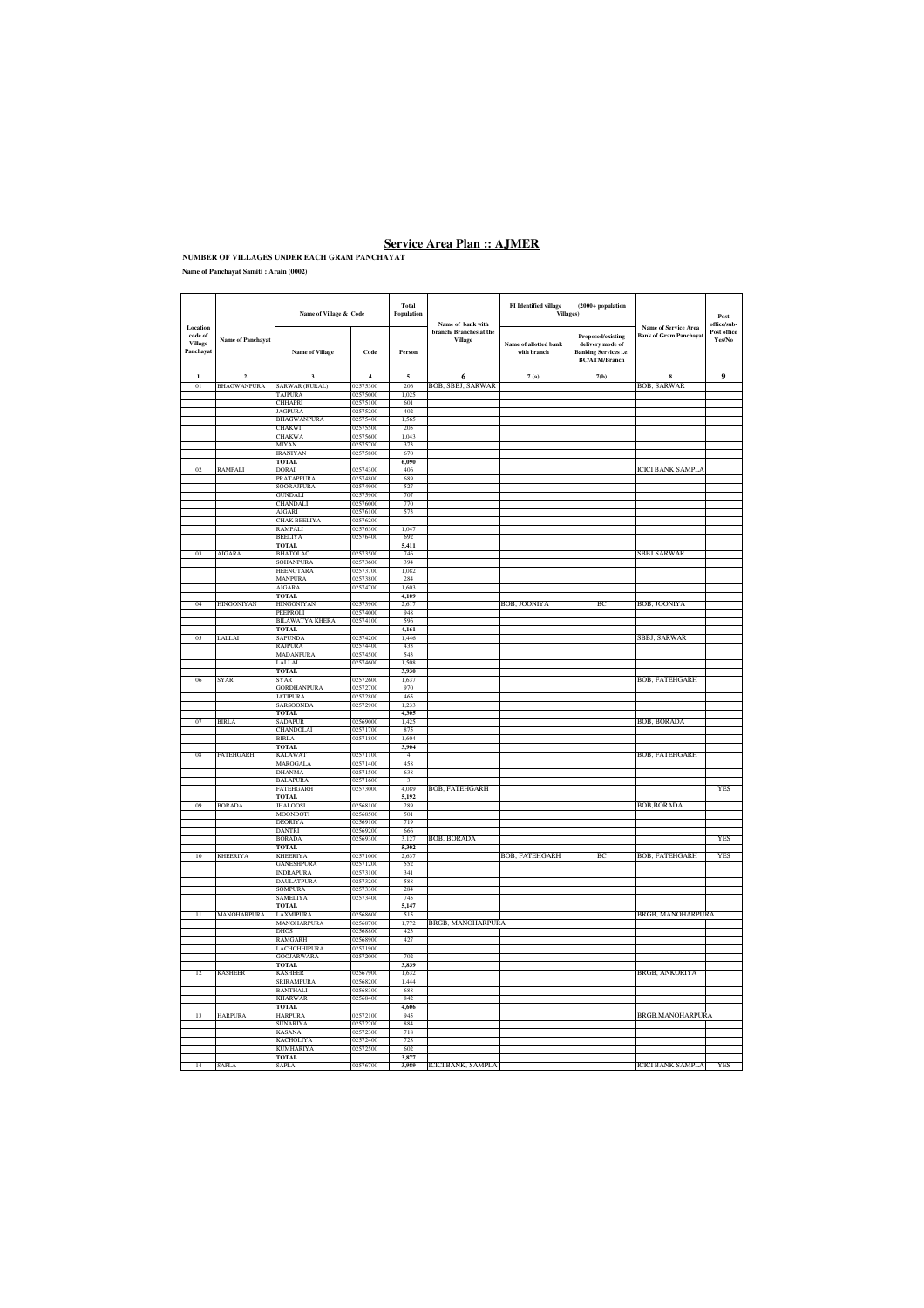**Name of Panchayat Samiti : Arain (0002)**

|                                             |                          | Name of Village & Code               |                      | Total<br>Population            | FI Identified village<br>$(2000+$ population<br>Villages)<br>Name of bank with |                                      |                                                                                               | $\boldsymbol{\mathsf{Post}}$<br>office/sub-                  |                             |
|---------------------------------------------|--------------------------|--------------------------------------|----------------------|--------------------------------|--------------------------------------------------------------------------------|--------------------------------------|-----------------------------------------------------------------------------------------------|--------------------------------------------------------------|-----------------------------|
| Location<br>code of<br>Village<br>Panchayat | <b>Name of Panchayat</b> | Name of Village                      | Code                 | Person                         | branch/ Branches at the<br><b>Village</b>                                      | Name of allotted bank<br>with branch | Proposed/existing<br>delivery mode of<br><b>Banking Services i.e.</b><br><b>BC/ATM/Branch</b> | <b>Name of Service Area</b><br><b>Bank of Gram Panchayat</b> | Post office<br>$\rm Yes/No$ |
| $\mathbf{1}$                                | $\mathbf 2$              | $\overline{\mathbf{3}}$              | $\,$ 4 $\,$          | $\mathfrak s$                  | 6                                                                              | 7(a)                                 | 7(b)                                                                                          | $\bf{8}$                                                     | 9                           |
| 01                                          | BHAGWANPURA              | SARWAR (RURAL)                       | 02575300             | 206                            | BOB, SBBJ, SARWAR                                                              |                                      |                                                                                               | <b>BOB, SARWAR</b>                                           |                             |
|                                             |                          | TAJPURA<br><b>CHHAPRI</b>            | 2575000<br>02575100  | 1,02.<br>601                   |                                                                                |                                      |                                                                                               |                                                              |                             |
|                                             |                          | <b>JAGPURA</b>                       | 02575200             | 402                            |                                                                                |                                      |                                                                                               |                                                              |                             |
|                                             |                          | <b>BHAGWANPURA</b>                   | 02575400             | 1,565                          |                                                                                |                                      |                                                                                               |                                                              |                             |
|                                             |                          | <b>CHAKWI</b>                        | 02575500             | 205                            |                                                                                |                                      |                                                                                               |                                                              |                             |
|                                             |                          | CHAKWA                               | )2575600             | 1,043                          |                                                                                |                                      |                                                                                               |                                                              |                             |
|                                             |                          | MIYAN<br><b>IRANIYAN</b>             | 02575700<br>02575800 | 373<br>670                     |                                                                                |                                      |                                                                                               |                                                              |                             |
|                                             |                          | TOTAL                                |                      | 6,090                          |                                                                                |                                      |                                                                                               |                                                              |                             |
| 0 <sub>2</sub>                              | RAMPALI                  | DORAI                                | 02574300             | 406                            |                                                                                |                                      |                                                                                               | ICICI BANK SAMPL.                                            |                             |
|                                             |                          | <b>PRATAPPURA</b>                    | 02574800             | 689                            |                                                                                |                                      |                                                                                               |                                                              |                             |
|                                             |                          | <b>SOORAJPURA</b>                    | 02574900             | 527                            |                                                                                |                                      |                                                                                               |                                                              |                             |
|                                             |                          | <b>GUNDALI</b><br>CHANDALI           | 02575900<br>02576000 | 707<br>770                     |                                                                                |                                      |                                                                                               |                                                              |                             |
|                                             |                          | AJGARI                               | 02576100             | 573                            |                                                                                |                                      |                                                                                               |                                                              |                             |
|                                             |                          | <b>CHAK BEELIYA</b>                  | 02576200             |                                |                                                                                |                                      |                                                                                               |                                                              |                             |
|                                             |                          | RAMPALI                              | 02576300             | 1,047                          |                                                                                |                                      |                                                                                               |                                                              |                             |
|                                             |                          | <b>BEELIYA</b>                       | 02576400             | 692                            |                                                                                |                                      |                                                                                               |                                                              |                             |
| 0 <sup>2</sup>                              | <b>AJGARA</b>            | <b>TOTAL</b><br><b>BHATOLAO</b>      | 02573500             | 5,411<br>746                   |                                                                                |                                      |                                                                                               | SBBJ SARWAR                                                  |                             |
|                                             |                          | <b>SOHANPURA</b>                     | 02573600             | 394                            |                                                                                |                                      |                                                                                               |                                                              |                             |
|                                             |                          | HEENGTARA                            | 02573700             | 1,082                          |                                                                                |                                      |                                                                                               |                                                              |                             |
|                                             |                          | MANPURA                              | 02573800             | 284                            |                                                                                |                                      |                                                                                               |                                                              |                             |
|                                             |                          | <b>AJGARA</b>                        | 02574700             | 1.603                          |                                                                                |                                      |                                                                                               |                                                              |                             |
|                                             |                          | <b>TOTAL</b>                         |                      | 4.109                          |                                                                                |                                      |                                                                                               |                                                              |                             |
| 04                                          | HINGONIYAN               | <b>HINGONIYAN</b><br>PEEPROLI        | 02573900<br>02574000 | 2,617<br>948                   |                                                                                | BOB, JOONIYA                         | ВC                                                                                            | BOB, JOONIYA                                                 |                             |
|                                             |                          | <b>BILAWATYA KHERA</b>               | 02574100             | 596                            |                                                                                |                                      |                                                                                               |                                                              |                             |
|                                             |                          | <b>TOTAL</b>                         |                      | 4.161                          |                                                                                |                                      |                                                                                               |                                                              |                             |
| 05                                          | LALLAI                   | SAPUNDA                              | 02574200             | 1,446                          |                                                                                |                                      |                                                                                               | SBBJ, SARWAR                                                 |                             |
|                                             |                          | <b>RAJPURA</b>                       | 02574400             | 433                            |                                                                                |                                      |                                                                                               |                                                              |                             |
|                                             |                          | MADANPURA                            | )2574500<br>02574600 | 543<br>1.508                   |                                                                                |                                      |                                                                                               |                                                              |                             |
|                                             |                          | LALLAI<br>TOTAL                      |                      | 3.930                          |                                                                                |                                      |                                                                                               |                                                              |                             |
| 06                                          | SYAR                     | <b>SYAR</b>                          | 02572600             | 1,637                          |                                                                                |                                      |                                                                                               | BOB, FATEHGARH                                               |                             |
|                                             |                          | <b>GORDHANPURA</b>                   | 02572700             | 970                            |                                                                                |                                      |                                                                                               |                                                              |                             |
|                                             |                          | <b>JATIPURA</b>                      | 02572800             | 465                            |                                                                                |                                      |                                                                                               |                                                              |                             |
|                                             |                          | <b>SARSOONDA</b>                     | )2572900             | 1.233                          |                                                                                |                                      |                                                                                               |                                                              |                             |
|                                             |                          | <b>TOTAL</b>                         |                      | 4,305                          |                                                                                |                                      |                                                                                               |                                                              |                             |
| 07                                          | BIRLA                    | SADAPUR<br>CHANDOLAI                 | 2569000<br>02571700  | 1,425<br>875                   |                                                                                |                                      |                                                                                               | BOB, BORADA                                                  |                             |
|                                             |                          | <b>BIRLA</b>                         | 02571800             | 1.604                          |                                                                                |                                      |                                                                                               |                                                              |                             |
|                                             |                          | TOTAL                                |                      | 3,904                          |                                                                                |                                      |                                                                                               |                                                              |                             |
| 08                                          | FATEHGARH                | <b>KALAWAT</b>                       | 02571100             | $\overline{4}$                 |                                                                                |                                      |                                                                                               | BOB, FATEHGARH                                               |                             |
|                                             |                          | MAROGALA                             | 02571400             | 458                            |                                                                                |                                      |                                                                                               |                                                              |                             |
|                                             |                          | <b>DHANMA</b><br><b>BALAPURA</b>     | 02571500<br>02571600 | 638<br>$\overline{\mathbf{3}}$ |                                                                                |                                      |                                                                                               |                                                              |                             |
|                                             |                          | FATEHGARH                            | )2573000             | 4,089                          | BOB, FATEHGARH                                                                 |                                      |                                                                                               |                                                              | YES                         |
|                                             |                          | <b>TOTAL</b>                         |                      | 5,192                          |                                                                                |                                      |                                                                                               |                                                              |                             |
| 09                                          | <b>BORADA</b>            | <b>JHALOOSI</b>                      | 02568100             | 289                            |                                                                                |                                      |                                                                                               | <b>BOB, BORADA</b>                                           |                             |
|                                             |                          | MOONDOTI                             | 02568500             | 501                            |                                                                                |                                      |                                                                                               |                                                              |                             |
|                                             |                          | <b>DEORIYA</b>                       | 02569100             | 719                            |                                                                                |                                      |                                                                                               |                                                              |                             |
|                                             |                          | <b>DANTRI</b><br><b>BORADA</b>       | 02569200<br>02569300 | 666<br>3.127                   | BOB, BORADA                                                                    |                                      |                                                                                               |                                                              | YES                         |
|                                             |                          | <b>TOTAL</b>                         |                      | 5.302                          |                                                                                |                                      |                                                                                               |                                                              |                             |
| 10                                          | KHEERIYA                 | KHEERIYA                             | 02571000             | 2,637                          |                                                                                | BOB, FATEHGARH                       | ВC                                                                                            | BOB, FATEHGARH                                               | YES                         |
|                                             |                          | <b>GANESHPURA</b>                    | 02571200             | 552                            |                                                                                |                                      |                                                                                               |                                                              |                             |
|                                             |                          | <b>INDRAPURA</b>                     | 02573100             | 341                            |                                                                                |                                      |                                                                                               |                                                              |                             |
|                                             |                          | <b>DAULATPURA</b><br><b>SOMPURA</b>  | 02573200<br>02573300 | 588<br>284                     |                                                                                |                                      |                                                                                               |                                                              |                             |
|                                             |                          | <b>SAMELIYA</b>                      | 02573400             | 745                            |                                                                                |                                      |                                                                                               |                                                              |                             |
|                                             |                          | <b>TOTAL</b>                         |                      | 5,147                          |                                                                                |                                      |                                                                                               |                                                              |                             |
| $\overline{11}$                             | <b>MANOHARPURA</b>       | <b>LAXMIPURA</b>                     | 02568600             | 515                            |                                                                                |                                      |                                                                                               | BRGB, MANOHARPURA                                            |                             |
|                                             |                          | MANOHARPURA                          | 02568700             | 1,772                          | BRGB, MANOHARPURA                                                              |                                      |                                                                                               |                                                              |                             |
|                                             |                          | <b>DHOS</b><br><b>RAMGARH</b>        | 02568800<br>)2568900 | 423<br>427                     |                                                                                |                                      |                                                                                               |                                                              |                             |
|                                             |                          | <b>LACHCHHIPURA</b>                  | 02571900             |                                |                                                                                |                                      |                                                                                               |                                                              |                             |
|                                             |                          | <b>GOOJARWARA</b>                    | 02572000             | 702                            |                                                                                |                                      |                                                                                               |                                                              |                             |
|                                             |                          | TOTAL                                |                      | 3,839                          |                                                                                |                                      |                                                                                               |                                                              |                             |
| 12                                          | <b>KASHEER</b>           | <b>KASHEER</b>                       | 02567900             | 1,632                          |                                                                                |                                      |                                                                                               | BRGB, ANKORIYA                                               |                             |
|                                             |                          | <b>SRIRAMPURA</b>                    | 02568200             | 1.444                          |                                                                                |                                      |                                                                                               |                                                              |                             |
|                                             |                          | <b>BANTHALI</b><br><b>KHARWAR</b>    | 02568300<br>02568400 | 688<br>842                     |                                                                                |                                      |                                                                                               |                                                              |                             |
|                                             |                          | <b>TOTAL</b>                         |                      | 4,606                          |                                                                                |                                      |                                                                                               |                                                              |                             |
| 13                                          | <b>HARPURA</b>           | <b>HARPURA</b>                       | 02572100             | 945                            |                                                                                |                                      |                                                                                               | BRGB, MANOHARPURA                                            |                             |
|                                             |                          | <b>SUNARIYA</b>                      | 02572200             | 884                            |                                                                                |                                      |                                                                                               |                                                              |                             |
|                                             |                          | <b>KASANA</b>                        | 02572300             | 718                            |                                                                                |                                      |                                                                                               |                                                              |                             |
|                                             |                          | <b>KACHOLIYA</b><br><b>KUMHARIYA</b> | 02572400<br>02572500 | 728<br>602                     |                                                                                |                                      |                                                                                               |                                                              |                             |
|                                             |                          | <b>TOTAL</b>                         |                      | 3,877                          |                                                                                |                                      |                                                                                               |                                                              |                             |
| 14                                          | <b>SAPLA</b>             | <b>SAPLA</b>                         | 02576700             | 3.989                          | <b>ICICI BANK, SAMPLA</b>                                                      |                                      |                                                                                               | <b>ICICI BANK SAMPLA</b>                                     | <b>YES</b>                  |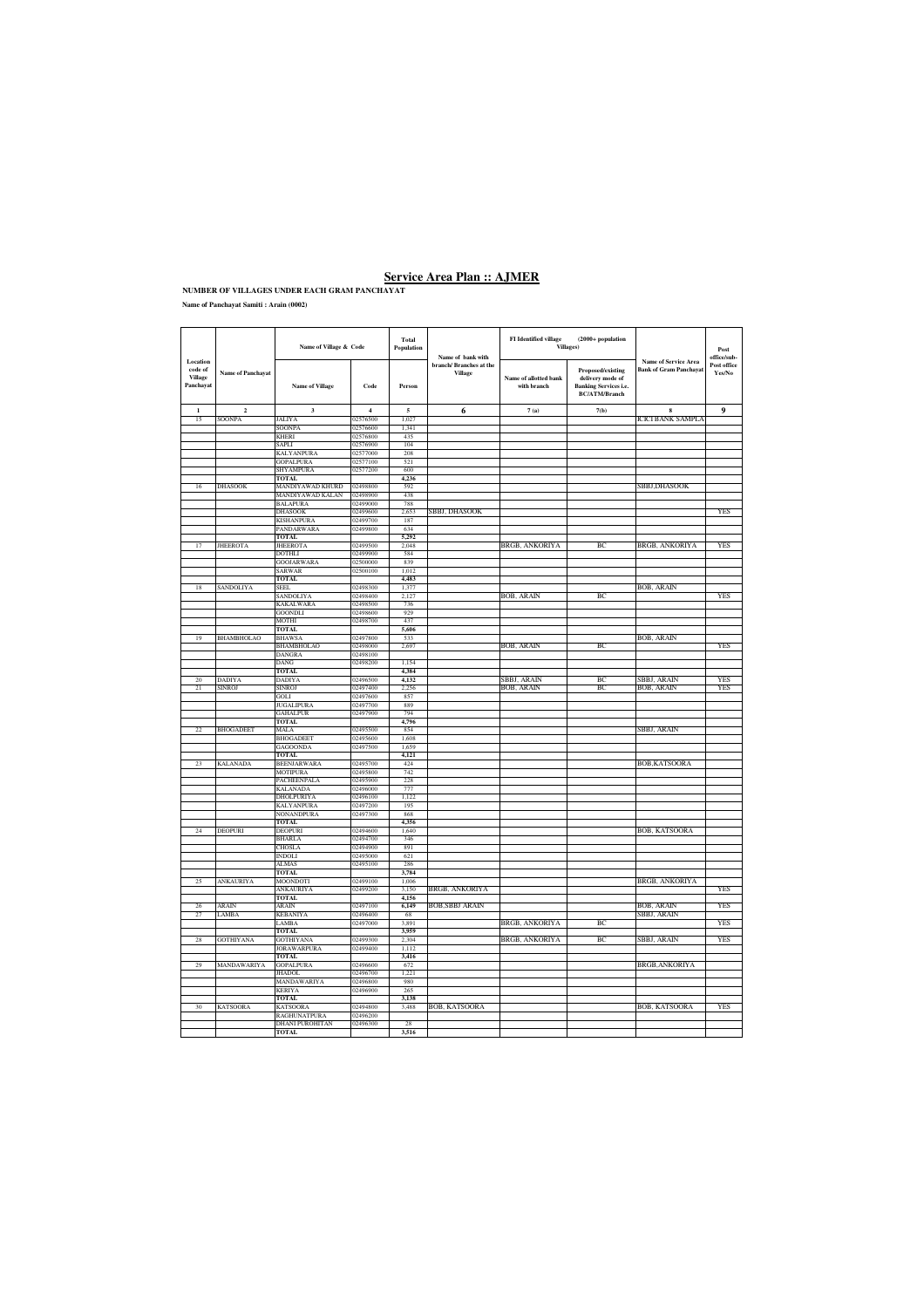**Name of Panchayat Samiti : Arain (0002)**

|                                             |                          | Name of Village & Code                 |                      | Total<br>Population | Name of bank with                 | <b>FI</b> Identified village<br>(2000+ population<br>Villages) |                                                                                                                                                               |                           | Post<br>office/sub-   |
|---------------------------------------------|--------------------------|----------------------------------------|----------------------|---------------------|-----------------------------------|----------------------------------------------------------------|---------------------------------------------------------------------------------------------------------------------------------------------------------------|---------------------------|-----------------------|
| Location<br>code of<br>Village<br>Panchayat | <b>Name of Panchayat</b> | <b>Name of Village</b>                 | Code                 | Person              | branch/Branches at the<br>Village | Name of allotted bank<br>with branch                           | <b>Name of Service Area</b><br><b>Bank of Gram Panchayat</b><br>Proposed/existing<br>delivery mode of<br><b>Banking Services i.e.</b><br><b>BC/ATM/Branch</b> |                           | Post office<br>Yes/No |
| $\mathbf{1}$                                | $\mathbf 2$              | $\mathbf 3$                            | $\boldsymbol{4}$     | $\sqrt{5}$          | 6                                 | 7(a)                                                           | 7(b)                                                                                                                                                          | 8                         | 9                     |
| 15                                          | SOONPA                   | <b>JALIYA</b>                          | 02576500             | 1,027               |                                   |                                                                |                                                                                                                                                               | <b>ICICI BANK SAMPLA</b>  |                       |
|                                             |                          | <b>SOONPA</b><br>KHERI                 | 02576600<br>02576800 | 1,341<br>435        |                                   |                                                                |                                                                                                                                                               |                           |                       |
|                                             |                          | SAPLI                                  | 02576900             | 104                 |                                   |                                                                |                                                                                                                                                               |                           |                       |
|                                             |                          | KALYANPURA                             | 02577000             | 208                 |                                   |                                                                |                                                                                                                                                               |                           |                       |
|                                             |                          | GOPALPURA                              | 02577100             | 521                 |                                   |                                                                |                                                                                                                                                               |                           |                       |
|                                             |                          | SHYAMPURA                              | 02577200             | 600                 |                                   |                                                                |                                                                                                                                                               |                           |                       |
| 16                                          | DHASOOK                  | <b>TOTAL</b><br>MANDIYAWAD KHURD       | 02498800             | 4,236<br>592        |                                   |                                                                |                                                                                                                                                               | <b>SBBJ,DHASOOK</b>       |                       |
|                                             |                          | MANDIYAWAD KALAN                       | 02498900             | 438                 |                                   |                                                                |                                                                                                                                                               |                           |                       |
|                                             |                          | <b>BALAPURA</b>                        | 02499000             | 788                 |                                   |                                                                |                                                                                                                                                               |                           |                       |
|                                             |                          | DHASOOK                                | 02499600             | 2,653               | SBBJ, DHASOOK                     |                                                                |                                                                                                                                                               |                           | YES                   |
|                                             |                          | KISHANPURA<br><b>PANDARWARA</b>        | 02499700<br>02499800 | 187<br>634          |                                   |                                                                |                                                                                                                                                               |                           |                       |
|                                             |                          | <b>TOTAL</b>                           |                      | 5.292               |                                   |                                                                |                                                                                                                                                               |                           |                       |
| 17                                          | <b>JHEEROTA</b>          | <b>JHEEROTA</b>                        | 02499500             | 2.048               |                                   | <b>BRGB, ANKORIYA</b>                                          | $B$ $C$                                                                                                                                                       | <b>BRGB, ANKORIYA</b>     | YFS                   |
|                                             |                          | DOTHLI                                 | 02499900             | 584                 |                                   |                                                                |                                                                                                                                                               |                           |                       |
|                                             |                          | <b>GOOJARWARA</b>                      | 02500000             | 839                 |                                   |                                                                |                                                                                                                                                               |                           |                       |
|                                             |                          | SARWAR                                 | 02500100             | 1,012               |                                   |                                                                |                                                                                                                                                               |                           |                       |
| 18                                          | SANDOLIYA                | <b>TOTAL</b><br>SEEL                   | 12498300             | 4,483<br>1,377      |                                   |                                                                |                                                                                                                                                               | BOB, ARAIN                |                       |
|                                             |                          | SANDOLIYA                              | 02498400             | 2.127               |                                   | BOB, ARAIN                                                     | BC                                                                                                                                                            |                           | <b>YES</b>            |
|                                             |                          | <b>KAKALWARA</b>                       | 02498500             | 736                 |                                   |                                                                |                                                                                                                                                               |                           |                       |
|                                             |                          | GOONDLI                                | 02498600             | 929                 |                                   |                                                                |                                                                                                                                                               |                           |                       |
|                                             |                          | MOTHI                                  | 02498700             | 437                 |                                   |                                                                |                                                                                                                                                               |                           |                       |
| 19                                          | <b>BHAMBHOLAO</b>        | <b>TOTAL</b><br><b>BHAWSA</b>          | 02497800             | 5,606<br>533        |                                   |                                                                |                                                                                                                                                               | BOB, ARAIN                |                       |
|                                             |                          | <b>BHAMBHOLAO</b>                      | 02498000             | 2,697               |                                   | BOB, ARAIN                                                     | ВC                                                                                                                                                            |                           | <b>YES</b>            |
|                                             |                          | <b>DANGRA</b>                          | 02498100             |                     |                                   |                                                                |                                                                                                                                                               |                           |                       |
|                                             |                          | DANG                                   | 02498200             | 1,154               |                                   |                                                                |                                                                                                                                                               |                           |                       |
|                                             |                          | TOTAL                                  |                      | 4.384               |                                   |                                                                |                                                                                                                                                               |                           |                       |
| 20<br>$^{21}$                               | DADIYA<br><b>SINROJ</b>  | DADIYA<br><b>SINROJ</b>                | 02496500<br>02497400 | 4,132<br>2.256      |                                   | SBBJ, ARAIN<br><b>BOB, ARAIN</b>                               | ВC<br>BC                                                                                                                                                      | SBBJ, ARAIN<br>BOB, ARAIN | YES<br>YES            |
|                                             |                          | GOLI                                   | 02497600             | 857                 |                                   |                                                                |                                                                                                                                                               |                           |                       |
|                                             |                          | <b>JUGALIPURA</b>                      | 02497700             | 889                 |                                   |                                                                |                                                                                                                                                               |                           |                       |
|                                             |                          | <b>GAHALPUR</b>                        | 02497900             | 794                 |                                   |                                                                |                                                                                                                                                               |                           |                       |
|                                             |                          | <b>TOTAL</b>                           | 02495500             | 4,796<br>854        |                                   |                                                                |                                                                                                                                                               |                           |                       |
| $\overline{22}$                             | <b>BHOGADEET</b>         | MALA<br>BHOGADEET                      | 02495600             | 1,608               |                                   |                                                                |                                                                                                                                                               | SBBJ, ARAIN               |                       |
|                                             |                          | GAGOONDA                               | 02497500             | 1.659               |                                   |                                                                |                                                                                                                                                               |                           |                       |
|                                             |                          | <b>TOTAL</b>                           |                      | 4,121               |                                   |                                                                |                                                                                                                                                               |                           |                       |
| 23                                          | KALANADA                 | <b>BEENJARWARA</b>                     | 02495700             | 424                 |                                   |                                                                |                                                                                                                                                               | BOB, KATSOORA             |                       |
|                                             |                          | MOTIPURA                               | 12495800<br>02495900 | 742<br>228          |                                   |                                                                |                                                                                                                                                               |                           |                       |
|                                             |                          | PACHEENPALA<br>KALANADA                | 02496000             | 777                 |                                   |                                                                |                                                                                                                                                               |                           |                       |
|                                             |                          | DHOLPURIYA                             | 02496100             | 1,122               |                                   |                                                                |                                                                                                                                                               |                           |                       |
|                                             |                          | KALYANPURA                             | 02497200             | 195                 |                                   |                                                                |                                                                                                                                                               |                           |                       |
|                                             |                          | NONANDPURA                             | 02497300             | 868                 |                                   |                                                                |                                                                                                                                                               |                           |                       |
| 24                                          | DEOPURI                  | <b>TOTAL</b><br>DEOPURI                | 02494600             | 4,356<br>1,640      |                                   |                                                                |                                                                                                                                                               | BOB, KATSOORA             |                       |
|                                             |                          | <b>BHARLA</b>                          | 02494700             | 346                 |                                   |                                                                |                                                                                                                                                               |                           |                       |
|                                             |                          | CHOSLA                                 | 02494900             | 891                 |                                   |                                                                |                                                                                                                                                               |                           |                       |
|                                             |                          | <b>INDOLI</b>                          | 02495000             | 621                 |                                   |                                                                |                                                                                                                                                               |                           |                       |
|                                             |                          | <b>ALMAS</b>                           | 02495100             | 286                 |                                   |                                                                |                                                                                                                                                               |                           |                       |
| 25                                          | ANKAURIYA                | TOTAL<br>MOONDOTI                      | 02499100             | 3,784<br>1,006      |                                   |                                                                |                                                                                                                                                               | BRGB, ANKORIYA            |                       |
|                                             |                          | ANKAURIYA                              | 02499200             | 3,150               | BRGB, ANKORIYA                    |                                                                |                                                                                                                                                               |                           | <b>YES</b>            |
|                                             |                          | <b>TOTAL</b>                           |                      | 4,156               |                                   |                                                                |                                                                                                                                                               |                           |                       |
| 26                                          | ARAIN                    | ARAIN                                  | 02497100             | 6,149               | <b>BOB, SBBJ ARAIN</b>            |                                                                |                                                                                                                                                               | BOB, ARAIN                | YES                   |
| 27                                          | <b>LAMBA</b>             | <b>KEBANIYA</b>                        | 02496400             | 68                  |                                   |                                                                |                                                                                                                                                               | SBBJ, ARAIN               |                       |
|                                             |                          | LAMBA<br><b>TOTAL</b>                  | 02497000             | 3,891<br>3,959      |                                   | BRGB, ANKORIYA                                                 | ВC                                                                                                                                                            |                           | YES                   |
| 28                                          | <b>GOTHIYANA</b>         | <b>GOTHIYANA</b>                       | 02499300             | 2,304               |                                   | BRGB, ANKORIYA                                                 | ВC                                                                                                                                                            | SBBJ, ARAIN               | YES                   |
|                                             |                          | <b>JORAWARPURA</b>                     | 02499400             | 1,112               |                                   |                                                                |                                                                                                                                                               |                           |                       |
|                                             |                          | <b>TOTAL</b>                           |                      | 3,416               |                                   |                                                                |                                                                                                                                                               |                           |                       |
| 29                                          | MANDAWARIYA              | GOPALPURA                              | 02496600             | 672                 |                                   |                                                                |                                                                                                                                                               | BRGB,ANKORIYA             |                       |
|                                             |                          | <b>JHADOL</b><br>MANDAWARIYA           | 02496700<br>02496800 | 1,221<br>980        |                                   |                                                                |                                                                                                                                                               |                           |                       |
|                                             |                          | KERIYA                                 | 02496900             | 265                 |                                   |                                                                |                                                                                                                                                               |                           |                       |
|                                             |                          | <b>TOTAL</b>                           |                      | 3,138               |                                   |                                                                |                                                                                                                                                               |                           |                       |
| 30                                          | <b>KATSOORA</b>          | <b>KATSOORA</b>                        | 02494800             | 3,488               | BOB, KATSOORA                     |                                                                |                                                                                                                                                               | BOB, KATSOORA             | YES                   |
|                                             |                          | RAGHUNATPURA<br><b>DHANI PUROHITAN</b> | 02496200<br>02496300 | 28                  |                                   |                                                                |                                                                                                                                                               |                           |                       |
|                                             |                          | TOTAL                                  |                      | 3,516               |                                   |                                                                |                                                                                                                                                               |                           |                       |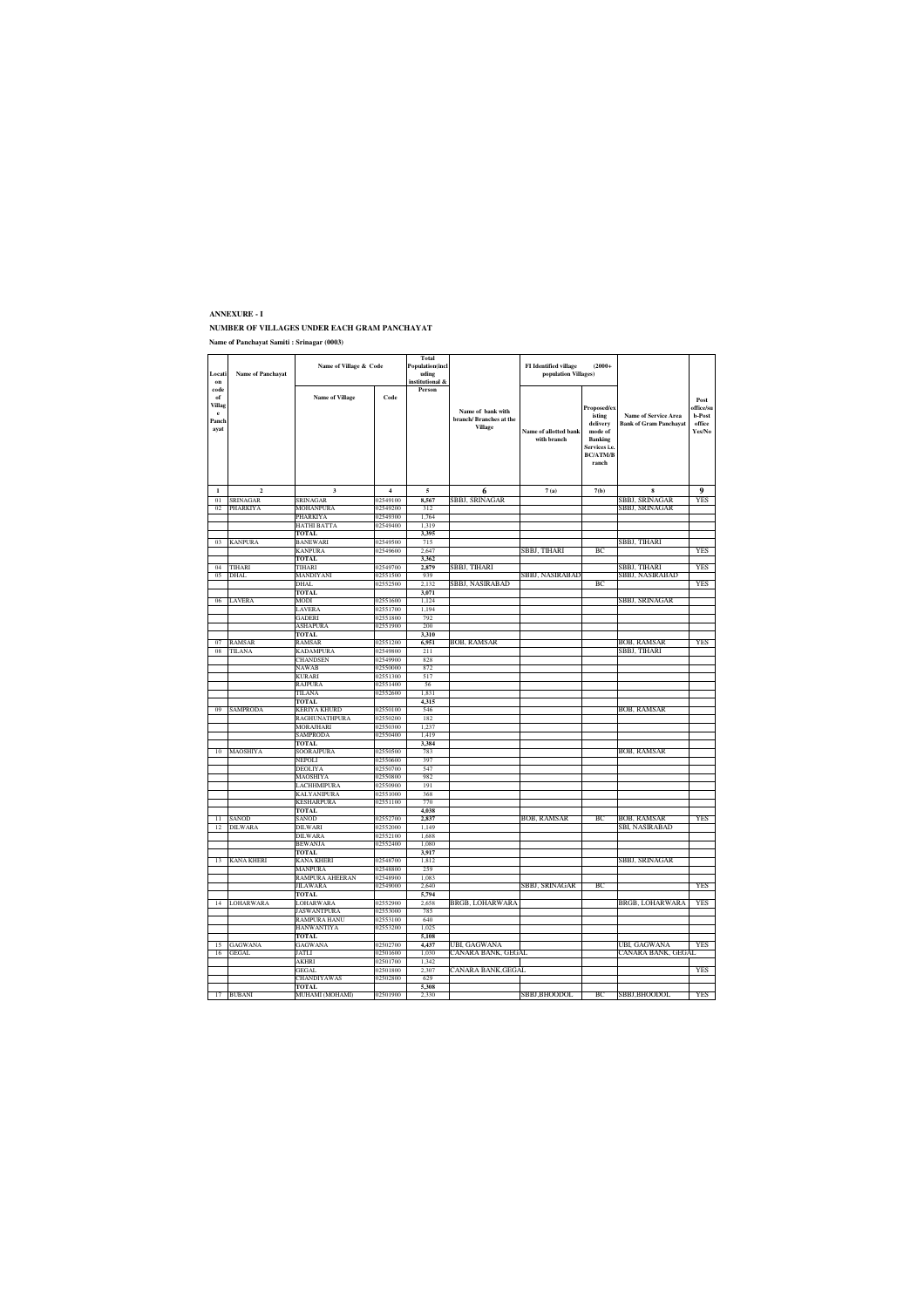### **ANNEXURE - I**

#### **NUMBER OF VILLAGES UNDER EACH GRAM PANCHAYAT Name of Panchayat Samiti : Srinagar (0003)**

| Locati<br>on                                          | <b>Name of Panchayat</b> | Name of Village & Code          |                      | Total<br><b>Population(incl</b><br>uding<br>institutional & |                                                               | <b>FI</b> Identified village<br>$(2000 +$<br>population Villages) |                                                                                                      |                                                              |                                                 |
|-------------------------------------------------------|--------------------------|---------------------------------|----------------------|-------------------------------------------------------------|---------------------------------------------------------------|-------------------------------------------------------------------|------------------------------------------------------------------------------------------------------|--------------------------------------------------------------|-------------------------------------------------|
| code<br>of<br>Villag<br>$\mathbf{e}$<br>Panch<br>ayat |                          | <b>Name of Village</b>          | Code                 | Person                                                      | Name of bank with<br>branch/Branches at the<br><b>Village</b> | Name of allotted bank<br>with branch                              | Proposed/ex<br>isting<br>delivery<br>mode of<br>Banking<br>Services i.e.<br><b>BC/ATM/B</b><br>ranch | <b>Name of Service Area</b><br><b>Bank of Gram Panchavat</b> | Post<br>office/su<br>b-Post<br>office<br>Yes/No |
| $\mathbf{1}$                                          | $\overline{2}$           | $\overline{\mathbf{3}}$         | $\overline{4}$       | 5                                                           | 6                                                             | 7(a)                                                              | 7(b)                                                                                                 | $\bf{8}$                                                     | $\bf{Q}$                                        |
| $\overline{01}$                                       | <b>SRINAGAR</b>          | SRINAGAR                        | 2549100              | 8,567                                                       | SBBJ, SRINAGAR                                                |                                                                   |                                                                                                      | SBBJ, SRINAGAR                                               | YES                                             |
| 02                                                    | PHARKIYA                 | MOHANPURA                       | 02549200             | 312                                                         |                                                               |                                                                   |                                                                                                      | SBBJ, SRINAGAR                                               |                                                 |
|                                                       |                          | PHARKIYA<br>HATHI BATTA         | 02549300<br>02549400 | 1,764<br>1319                                               |                                                               |                                                                   |                                                                                                      |                                                              |                                                 |
|                                                       |                          | TOTAL                           |                      | 3 3 9 5                                                     |                                                               |                                                                   |                                                                                                      |                                                              |                                                 |
| 03                                                    | <b>KANPURA</b>           | <b>BANEWARI</b>                 | 02549500             | 715                                                         |                                                               |                                                                   |                                                                                                      | SBBJ, TIHARI                                                 |                                                 |
|                                                       |                          | <b>KANPURA</b>                  | 02549600             | 2,647                                                       |                                                               | SBBJ, TIHARI                                                      | BС                                                                                                   |                                                              | YES                                             |
| 04                                                    | TIHARI                   | <b>TOTAL</b><br>TIHARI          | 02549700             | 3,362<br>2,879                                              |                                                               |                                                                   |                                                                                                      | SBBJ, TIHARI                                                 | YES                                             |
| 05                                                    | DHAL                     | MANDIYANI                       | 02551500             | 939                                                         | SBBJ, TIHARI                                                  | SBBJ, NASIRABAD                                                   |                                                                                                      | SBBJ, NASIRABAD                                              |                                                 |
|                                                       |                          | <b>DHAL</b>                     | 02552500             | 2.132                                                       | SBBJ, NASIRABAD                                               |                                                                   | BC                                                                                                   |                                                              | YES                                             |
|                                                       |                          | <b>TOTAL</b>                    |                      | 3,071                                                       |                                                               |                                                                   |                                                                                                      |                                                              |                                                 |
| 06                                                    | LAVERA                   | MODI                            | 02551600             | 1,124                                                       |                                                               |                                                                   |                                                                                                      | SBBJ, SRINAGAR                                               |                                                 |
|                                                       |                          | LAVERA                          | 02551700             | 1,194                                                       |                                                               |                                                                   |                                                                                                      |                                                              |                                                 |
|                                                       |                          | GADERI<br><b>ASHAPURA</b>       | 02551800<br>02551900 | 792<br>200                                                  |                                                               |                                                                   |                                                                                                      |                                                              |                                                 |
|                                                       |                          | TOTAL                           |                      | 3,310                                                       |                                                               |                                                                   |                                                                                                      |                                                              |                                                 |
| 07                                                    | RAMSAR                   | RAMSAR                          | 02551200             | 6,951                                                       | BOB, RAMSAR                                                   |                                                                   |                                                                                                      | BOB, RAMSAR                                                  | YES                                             |
| 08                                                    | TILANA                   | <b>KADAMPURA</b>                | 02549800             | 211                                                         |                                                               |                                                                   |                                                                                                      | SBBJ, TIHARI                                                 |                                                 |
|                                                       |                          | <b>CHANDSEN</b><br><b>NAWAB</b> | 02549900<br>02550000 | 828<br>872                                                  |                                                               |                                                                   |                                                                                                      |                                                              |                                                 |
|                                                       |                          | KURARI                          | 02551300             | 517                                                         |                                                               |                                                                   |                                                                                                      |                                                              |                                                 |
|                                                       |                          | RAJPURA                         | 02551400             | 56                                                          |                                                               |                                                                   |                                                                                                      |                                                              |                                                 |
|                                                       |                          | TILANA                          | 02552600             | 1,831                                                       |                                                               |                                                                   |                                                                                                      |                                                              |                                                 |
|                                                       |                          | <b>TOTAL</b>                    |                      | 4,315                                                       |                                                               |                                                                   |                                                                                                      |                                                              |                                                 |
| 09                                                    | <b>SAMPRODA</b>          | KERIYA KHURD<br>RAGHUNATHPURA   | 02550100<br>02550200 | 546<br>182                                                  |                                                               |                                                                   |                                                                                                      | <b>BOB, RAMSAR</b>                                           |                                                 |
|                                                       |                          | MORAJHARI                       | 02550300             | 1,237                                                       |                                                               |                                                                   |                                                                                                      |                                                              |                                                 |
|                                                       |                          | <b>SAMPRODA</b>                 | 02550400             | 1,419                                                       |                                                               |                                                                   |                                                                                                      |                                                              |                                                 |
|                                                       |                          | <b>TOTAL</b>                    |                      | 3,384                                                       |                                                               |                                                                   |                                                                                                      |                                                              |                                                 |
| 10                                                    | MAOSHIYA                 | SOORAJPURA                      | 02550500             | 783                                                         |                                                               |                                                                   |                                                                                                      | <b>BOB, RAMSAR</b>                                           |                                                 |
|                                                       |                          | NEPOLI<br>DEOLIYA               | 02550600<br>02550700 | 397<br>547                                                  |                                                               |                                                                   |                                                                                                      |                                                              |                                                 |
|                                                       |                          | MAOSHIYA                        | 02550800             | 982                                                         |                                                               |                                                                   |                                                                                                      |                                                              |                                                 |
|                                                       |                          | LACHHMIPURA                     | 02550900             | 191                                                         |                                                               |                                                                   |                                                                                                      |                                                              |                                                 |
|                                                       |                          | KALYANIPURA                     | 02551000             | 368                                                         |                                                               |                                                                   |                                                                                                      |                                                              |                                                 |
|                                                       |                          | <b>KESHARPURA</b>               | 02551100             | 770                                                         |                                                               |                                                                   |                                                                                                      |                                                              |                                                 |
| $\overline{11}$                                       | SANOD                    | <b>TOTAL</b><br>SANOD           | 02552700             | 4,038<br>2,837                                              |                                                               | <b>BOB, RAMSAR</b>                                                | ВC                                                                                                   | BOB, RAMSAR                                                  | YES                                             |
| 12                                                    | DILWARA                  | <b>DILWARI</b>                  | 02552000             | 1,149                                                       |                                                               |                                                                   |                                                                                                      | SBI, NASIRABAD                                               |                                                 |
|                                                       |                          | <b>DILWARA</b>                  | 02552100             | 1,688                                                       |                                                               |                                                                   |                                                                                                      |                                                              |                                                 |
|                                                       |                          | <b>BEWANJA</b>                  | 02552400             | 1.080                                                       |                                                               |                                                                   |                                                                                                      |                                                              |                                                 |
|                                                       | KANA KHERI               | <b>TOTAL</b>                    |                      | 3,917                                                       |                                                               |                                                                   |                                                                                                      |                                                              |                                                 |
| 13                                                    |                          | KANA KHERI<br>MANPURA           | 02548700<br>02548800 | 1,812<br>259                                                |                                                               |                                                                   |                                                                                                      | SBBJ, SRINAGAR                                               |                                                 |
|                                                       |                          | RAMPURA AHEERAN                 | 02548900             | 1,083                                                       |                                                               |                                                                   |                                                                                                      |                                                              |                                                 |
|                                                       |                          | JILAWARA                        | 02549000             | 2,640                                                       |                                                               | SBBJ, SRINAGAR                                                    | ВC                                                                                                   |                                                              | YES                                             |
|                                                       |                          | TOTAL                           |                      | 5,794                                                       |                                                               |                                                                   |                                                                                                      |                                                              |                                                 |
| 14                                                    | LOHARWARA                | <b>LOHARWARA</b>                | 02552900<br>02553000 | 2,658<br>785                                                | BRGB, LOHARWARA                                               |                                                                   |                                                                                                      | BRGB, LOHARWARA                                              | <b>YES</b>                                      |
|                                                       |                          | JASWANTPURA<br>RAMPURA HANU     | 02553100             | 640                                                         |                                                               |                                                                   |                                                                                                      |                                                              |                                                 |
|                                                       |                          | <b>HANWANTIYA</b>               | 02553200             | 1,025                                                       |                                                               |                                                                   |                                                                                                      |                                                              |                                                 |
|                                                       |                          | <b>TOTAL</b>                    |                      | 5,108                                                       |                                                               |                                                                   |                                                                                                      |                                                              |                                                 |
| 15                                                    | GAGWANA                  | GAGWANA                         | 02502700             | 4,437                                                       | UBI, GAGWANA                                                  |                                                                   |                                                                                                      | UBI, GAGWANA                                                 | YES                                             |
| 16                                                    | GEGAL                    | JATLI<br>AKHRI                  | 02501600<br>02501700 | 1,030<br>1,342                                              | CANARA BANK, GEGAL                                            |                                                                   |                                                                                                      | CANARA BANK, GEGAL                                           |                                                 |
|                                                       |                          | <b>GEGAL</b>                    | 02501800             | 2.307                                                       | CANARA BANK,GEGAL                                             |                                                                   |                                                                                                      |                                                              | YES                                             |
|                                                       |                          | CHANDIYAWAS                     | 02502800             | 629                                                         |                                                               |                                                                   |                                                                                                      |                                                              |                                                 |
|                                                       |                          | <b>TOTAL</b>                    |                      | 5,308                                                       |                                                               |                                                                   |                                                                                                      |                                                              |                                                 |
| 17                                                    | <b>BUBANI</b>            | MUHAMI (MOHAMI)                 | 02501900             | 2,330                                                       |                                                               | SBBJ,BHOODOL                                                      | ВC                                                                                                   | SBBJ,BHOODOL                                                 | YES                                             |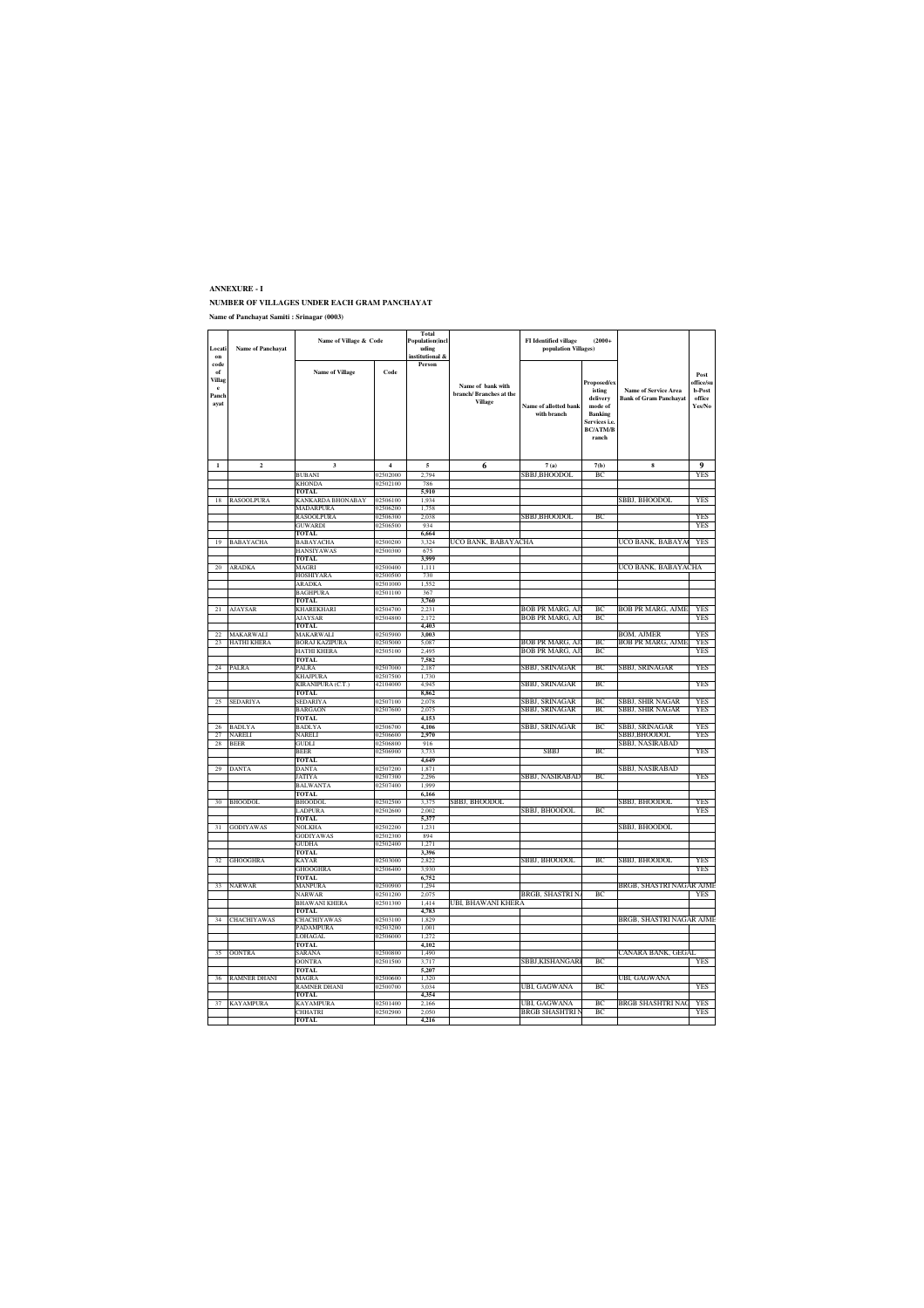#### **ANNEXURE - I NUMBER OF VILLAGES UNDER EACH GRAM PANCHAYAT Name of Panchayat Samiti : Srinagar (0003)**

| Locati<br>on                                          | <b>Name of Panchayat</b> | Name of Village & Code            |                      | Total<br><b>Population(incl</b><br>uding<br>institutional & |                                                               | <b>FI</b> Identified village<br>$(2000 +$<br>population Villages) |                                                                                                     |                                                              |                                                 |
|-------------------------------------------------------|--------------------------|-----------------------------------|----------------------|-------------------------------------------------------------|---------------------------------------------------------------|-------------------------------------------------------------------|-----------------------------------------------------------------------------------------------------|--------------------------------------------------------------|-------------------------------------------------|
| code<br>of<br>Villag<br>$\mathbf{e}$<br>Panch<br>ayat |                          | <b>Name of Village</b>            | Code                 | Person                                                      | Name of bank with<br>branch/Branches at the<br><b>Village</b> | Name of allotted bank<br>with branch                              | Proposed/ex<br>isting<br>delivery<br>mode of<br>Banking<br>iervices i.e<br><b>BC/ATM/B</b><br>ranch | <b>Name of Service Area</b><br><b>Bank of Gram Panchavat</b> | Post<br>office/su<br>b-Post<br>office<br>Yes/No |
| $\mathbf{I}$                                          | $\mathbf 2$              | $\overline{\mathbf{3}}$           | $\overline{4}$       | 5                                                           | 6                                                             | 7(a)                                                              | 7(b)                                                                                                | $\bf8$                                                       | 9                                               |
|                                                       |                          | <b>BURANI</b>                     | 02502000             | 2.794                                                       |                                                               | SBBJ,BHOODOL                                                      | BC                                                                                                  |                                                              | <b>YES</b>                                      |
|                                                       |                          | KHONDA                            | 02502100             | 786                                                         |                                                               |                                                                   |                                                                                                     |                                                              |                                                 |
| 18                                                    | <b>RASOOLPURA</b>        | <b>TOTAL</b><br>KANKARDA BHONABAY | 02506100             | 5.910<br>1,934                                              |                                                               |                                                                   |                                                                                                     | SBBJ, BHOODOL                                                | YES                                             |
|                                                       |                          | <b>MADARPURA</b>                  | 02506200             | 1,758                                                       |                                                               |                                                                   |                                                                                                     |                                                              |                                                 |
|                                                       |                          | RASOOLPURA                        | 02506300             | 2.038                                                       |                                                               | SBBJ.BHOODOL                                                      | BC                                                                                                  |                                                              | YFS                                             |
|                                                       |                          | GUWARDI                           | 02506500             | 934                                                         |                                                               |                                                                   |                                                                                                     |                                                              | <b>YES</b>                                      |
| 19                                                    | BABAYACHA                | TOTAL<br>BABAYACHA                | 02500200             | 6,664<br>3,324                                              | UCO BANK, BABAYACHA                                           |                                                                   |                                                                                                     | JCO BANK, BABAYA                                             | <b>YES</b>                                      |
|                                                       |                          | <b>HANSIYAWAS</b>                 | 02500300             | 675                                                         |                                                               |                                                                   |                                                                                                     |                                                              |                                                 |
|                                                       |                          | <b>TOTAL</b>                      |                      | 3,999                                                       |                                                               |                                                                   |                                                                                                     |                                                              |                                                 |
| 20                                                    | ARADKA                   | MAGRI                             | 02500400             | 1,111                                                       |                                                               |                                                                   |                                                                                                     | UCO BANK, BABAYACHA                                          |                                                 |
|                                                       |                          | <b>HOSHIYARA</b><br><b>ARADKA</b> | 02500500<br>02501000 | 730<br>1,552                                                |                                                               |                                                                   |                                                                                                     |                                                              |                                                 |
|                                                       |                          | <b>BAGHPURA</b>                   | 02501100             | 367                                                         |                                                               |                                                                   |                                                                                                     |                                                              |                                                 |
|                                                       |                          | <b>TOTAL</b>                      |                      | 3,760                                                       |                                                               |                                                                   |                                                                                                     |                                                              |                                                 |
| 21                                                    | <b>AJAYSAR</b>           | KHAREKHARI                        | 02504700             | 2.231                                                       |                                                               | BOB PR MARG. AJ                                                   | Rf                                                                                                  | BOB PR MARG, AJME                                            | YFS                                             |
|                                                       |                          | <b>AIAYSAR</b><br><b>TOTAL</b>    | 02504800             | 2.172<br>4,403                                              |                                                               | <b>BOB PR MARG, AJ</b>                                            | BC                                                                                                  |                                                              | YES                                             |
| 22                                                    | MAKARWALI                | MAKARWALI                         | 02505900             | 3.003                                                       |                                                               |                                                                   |                                                                                                     | BOM. AJMER                                                   | YE:                                             |
| 23                                                    | HATHI KHERA              | BORAJ KAZIPURA                    | 02505000             | 5,087                                                       |                                                               | BOB PR MARG, AJ                                                   | BC                                                                                                  | BOB PR MARG, AJME                                            | YES                                             |
|                                                       |                          | HATHI KHERA                       | 02505100             | 2.495                                                       |                                                               | <b>BOB PR MARG, AJ</b>                                            | B                                                                                                   |                                                              | <b>YES</b>                                      |
|                                                       |                          | <b>TOTAL</b><br>PALRA             | 02507000             | 7,582                                                       |                                                               |                                                                   | BC                                                                                                  |                                                              | YES                                             |
| 24                                                    | PALRA                    | KHAJPURA                          | 02507500             | 2,187<br>1.730                                              |                                                               | SBBJ, SRINAGAR                                                    |                                                                                                     | SBBJ, SRINAGAR                                               |                                                 |
|                                                       |                          | KIRANIPURA (C.T.)                 | 42104000             | 4,945                                                       |                                                               | SBBJ, SRINAGAR                                                    | BC                                                                                                  |                                                              | YES                                             |
|                                                       |                          | TOTAL                             |                      | 8.862                                                       |                                                               |                                                                   |                                                                                                     |                                                              |                                                 |
| 25                                                    | SEDARIYA                 | <b>SEDARIYA</b>                   | 02507100             | 2,078<br>2.075                                              |                                                               | SBBJ, SRINAGAR                                                    | BC                                                                                                  | SBBJ, SHIR NAGAR                                             | YFS                                             |
|                                                       |                          | <b>BARGAON</b><br><b>TOTAL</b>    | 02507600             | 4.153                                                       |                                                               | SBBJ, SRINAGAR                                                    | BC                                                                                                  | SBBJ, SHIR NAGAR                                             | <b>YES</b>                                      |
| 26                                                    | <b>BADLYA</b>            | <b>BADLYA</b>                     | 02506700             | 4,106                                                       |                                                               | SBBJ, SRINAGAR                                                    | BC                                                                                                  | SBBJ, SRINAGAR                                               | <b>YES</b>                                      |
| 27                                                    | NARELI                   | NARELI                            | 02506600             | 2,970                                                       |                                                               |                                                                   |                                                                                                     | SBBJ,BHOODOL                                                 | YES                                             |
| 28                                                    | <b>BEER</b>              | <b>GUDLI</b>                      | 02506800             | 916                                                         |                                                               |                                                                   |                                                                                                     | SBBJ, NASIRABAD                                              |                                                 |
|                                                       |                          | <b>BEER</b><br><b>TOTAL</b>       | 02506900             | 3,733<br>4,649                                              |                                                               | <b>SBBJ</b>                                                       | ВC                                                                                                  |                                                              | <b>YES</b>                                      |
| 29                                                    | DANTA                    | DANTA                             | 02507200             | 1.871                                                       |                                                               |                                                                   |                                                                                                     | SBBJ, NASIRABAD                                              |                                                 |
|                                                       |                          | <b>JATIYA</b>                     | 02507300             | 2,296                                                       |                                                               | SBBJ, NASIRABAD                                                   | ВC                                                                                                  |                                                              | YES                                             |
|                                                       |                          | <b>BALWANTA</b>                   | 02507400             | 1,999                                                       |                                                               |                                                                   |                                                                                                     |                                                              |                                                 |
| 30                                                    | <b>BHOODOL</b>           | <b>TOTAL</b><br>BHOODOL           | 02502500             | 6,166<br>3,375                                              | SBBJ, BHOODOL                                                 |                                                                   |                                                                                                     | SBBJ, BHOODOL                                                | YFS                                             |
|                                                       |                          | LADPURA                           | 02502600             | 2.002                                                       |                                                               | SBBJ, BHOODOL                                                     | B                                                                                                   |                                                              | YF.                                             |
|                                                       |                          | <b>TOTAL</b>                      |                      | 5,377                                                       |                                                               |                                                                   |                                                                                                     |                                                              |                                                 |
| 31                                                    | <b>GODIYAWAS</b>         | <b>NOLKHA</b>                     | 02502200             | 1,231                                                       |                                                               |                                                                   |                                                                                                     | SBBJ, BHOODOL                                                |                                                 |
|                                                       |                          | <b>GODIYAWAS</b><br><b>GUDHA</b>  | 02502300<br>02502400 | 894<br>1,271                                                |                                                               |                                                                   |                                                                                                     |                                                              |                                                 |
|                                                       |                          | TOTAL                             |                      | 3.396                                                       |                                                               |                                                                   |                                                                                                     |                                                              |                                                 |
| 32                                                    | <b>GHOOGHRA</b>          | KAYAR                             | 02503000             | 2,822                                                       |                                                               | SBBJ, BHOODOL                                                     | ВC                                                                                                  | SBBJ, BHOODOL                                                | YES                                             |
|                                                       |                          | <b>GHOOGHRA</b>                   | 02506400             | 3.930                                                       |                                                               |                                                                   |                                                                                                     |                                                              | YES                                             |
|                                                       |                          | <b>TOTAL</b><br>MANPURA           | 02500900             | 6,752                                                       |                                                               |                                                                   |                                                                                                     |                                                              |                                                 |
| 33                                                    | <b>NARWAR</b>            | <b>NARWAR</b>                     | 02501200             | 1,294<br>2.075                                              |                                                               | <b>BRGB, SHASTRIN</b>                                             | BC                                                                                                  | BRGB, SHASTRI NAGAR AJME                                     | <b>YES</b>                                      |
|                                                       |                          | <b>BHAWANI KHERA</b>              | 02501300             | 1,414                                                       | UBI, BHAWANI KHERA                                            |                                                                   |                                                                                                     |                                                              |                                                 |
|                                                       |                          | <b>TOTAL</b>                      |                      | 4,783                                                       |                                                               |                                                                   |                                                                                                     |                                                              |                                                 |
| 34                                                    | <b>CHACHIYAWAS</b>       | <b>CHACHIYAWAS</b>                | 02503100             | 1,829                                                       |                                                               |                                                                   |                                                                                                     | BRGB, SHASTRI NAGAR AJME                                     |                                                 |
|                                                       |                          | PADAMPURA<br>LOHAGAL              | 02503200<br>02506000 | 1,001<br>1,272                                              |                                                               |                                                                   |                                                                                                     |                                                              |                                                 |
|                                                       |                          | <b>TOTAL</b>                      |                      | 4,102                                                       |                                                               |                                                                   |                                                                                                     |                                                              |                                                 |
| 35                                                    | <b>OONTRA</b>            | SARANA                            | 02500800             | 1.490                                                       |                                                               |                                                                   |                                                                                                     | CANARA BANK, GEGAL                                           |                                                 |
|                                                       |                          | <b>DONTRA</b>                     | 02501500             | 3,717                                                       |                                                               | SBBJ,KISHANGARI                                                   | ВC                                                                                                  |                                                              | YES                                             |
| 36                                                    | <b>RAMNER DHANI</b>      | <b>TOTAL</b><br><b>MAGRA</b>      | 02500600             | 5.207<br>1,320                                              |                                                               |                                                                   |                                                                                                     | UBI, GAGWANA                                                 |                                                 |
|                                                       |                          | RAMNER DHANI                      | 02500700             | 3.034                                                       |                                                               | UBI, GAGWANA                                                      | BC                                                                                                  |                                                              | YES                                             |
|                                                       |                          | TOTAL.                            |                      | 4.354                                                       |                                                               |                                                                   |                                                                                                     |                                                              |                                                 |
| 37                                                    | <b>KAYAMPURA</b>         | KAYAMPURA                         | 02501400             | 2.166                                                       |                                                               | UBI, GAGWANA                                                      | BC                                                                                                  | BRGB SHASHTRI NA                                             | YES                                             |
|                                                       |                          | CHHATRI<br><b>TOTAL</b>           | 02502900             | 2.050<br>4,216                                              |                                                               | BRGB SHASHTRI                                                     | R <sub>C</sub>                                                                                      |                                                              | YF.                                             |
|                                                       |                          |                                   |                      |                                                             |                                                               |                                                                   |                                                                                                     |                                                              |                                                 |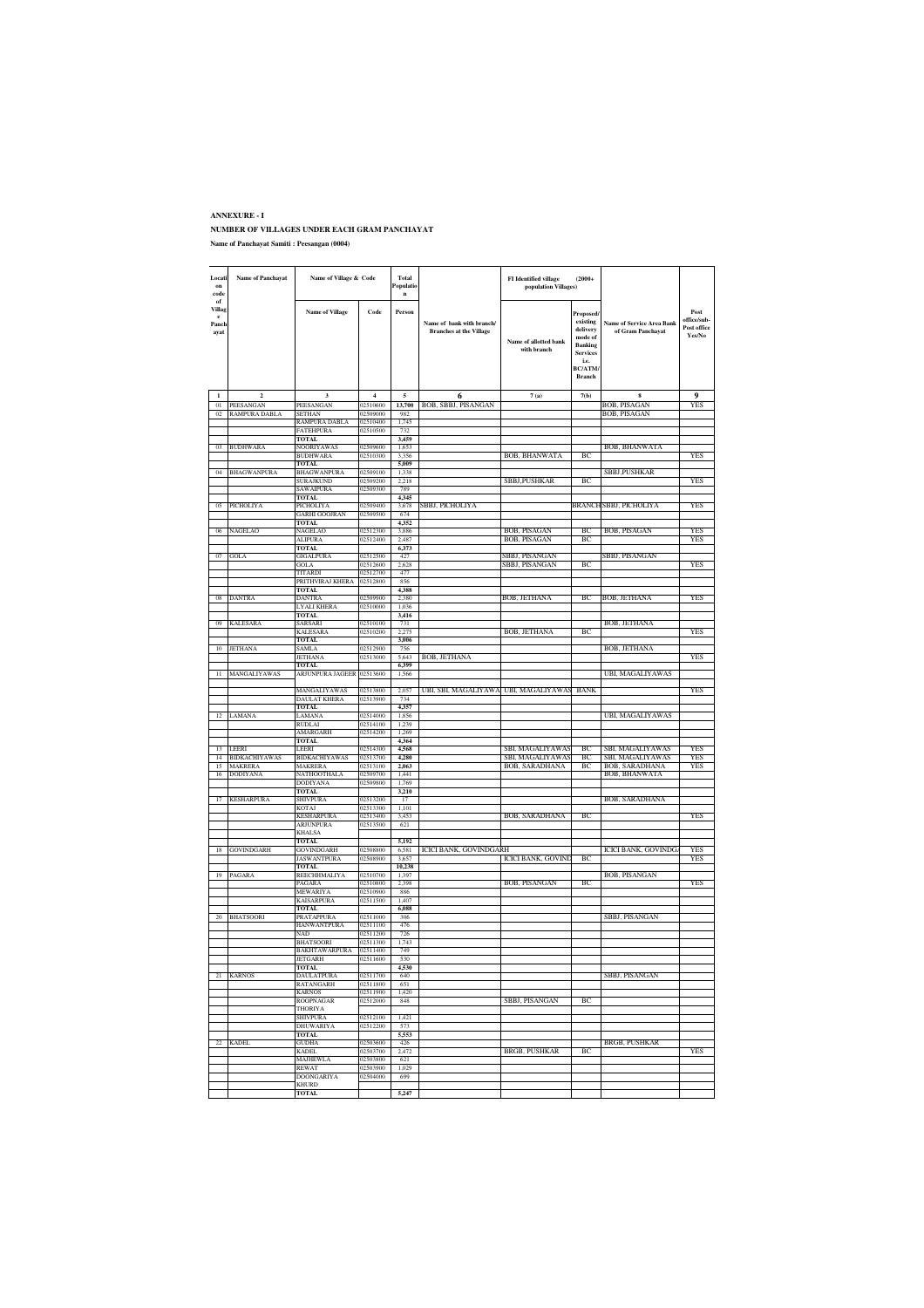### **ANNEXURE - I NUMBER OF VILLAGES UNDER EACH GRAM PANCHAYAT**

| Locati<br>on<br>code                                               | <b>Name of Panchayat</b>               | Name of Village & Code                 |                      | Total<br>Populatio<br>$\mathbf{n}$ |                                                             | <b>FI</b> Identified village<br>population Villages) | $(2000+$                                                                                                                     |                                                       |                                              |
|--------------------------------------------------------------------|----------------------------------------|----------------------------------------|----------------------|------------------------------------|-------------------------------------------------------------|------------------------------------------------------|------------------------------------------------------------------------------------------------------------------------------|-------------------------------------------------------|----------------------------------------------|
| $_{\mathrm{of}}$<br><b>Villag</b><br>$\mathbf{e}$<br>Panch<br>ayat |                                        | <b>Name of Village</b>                 | Code                 | Person                             | Name of bank with branch/<br><b>Branches at the Village</b> | Name of allotted bank<br>with branch                 | Proposed/<br>existing<br>delivery<br>mode of<br><b>Banking</b><br><b>Services</b><br>i.e.<br><b>BC/ATM/</b><br><b>Branch</b> | <b>Name of Service Area Bank</b><br>of Gram Panchayat | Post<br>office/sub-<br>Post office<br>Yes/No |
| $\mathbf{1}$                                                       | $\overline{2}$                         | 3                                      | $\overline{4}$       | 5                                  | 6                                                           | 7(a)                                                 | 7(b)                                                                                                                         | 8                                                     | Q                                            |
| $_{01}$                                                            | PEESANGAN                              | <b>PEESANGAN</b>                       | 02510600             | 13,700                             | BOB, SBBJ, PISANGAN                                         |                                                      |                                                                                                                              | BOB, PISAGAN                                          | YES                                          |
| 02                                                                 | RAMPURA DABI                           | SETHAN                                 | 02509000<br>02510400 | 982                                |                                                             |                                                      |                                                                                                                              | BOB, PISAGAN                                          |                                              |
|                                                                    |                                        | RAMPURA DABLA<br><b>FATEHPURA</b>      | 02510500             | 1,745<br>732                       |                                                             |                                                      |                                                                                                                              |                                                       |                                              |
|                                                                    |                                        | <b>TOTAL</b>                           |                      | 3,459                              |                                                             |                                                      |                                                                                                                              |                                                       |                                              |
| 03                                                                 | <b>BUDHWARA</b>                        | <b>NOORIYAWAS</b>                      | 02509600             | 1,653                              |                                                             |                                                      |                                                                                                                              | BOB, BHANWATA                                         |                                              |
|                                                                    |                                        | BUDHWARA<br><b>TOTAL</b>               | 02510300             | 3.356<br>5,009                     |                                                             | BOB, BHANWATA                                        | ВC                                                                                                                           |                                                       | YES                                          |
| 04                                                                 | <b>BHAGWANPURA</b>                     | BHAGWANPURA                            | 02509100             | 1,338                              |                                                             |                                                      |                                                                                                                              | <b>SBBJ.PUSHKAR</b>                                   |                                              |
|                                                                    |                                        | SURAJKUND                              | 02509200             | 2.218                              |                                                             | SBBJ, PUSHKAR                                        | BC                                                                                                                           |                                                       | YES                                          |
|                                                                    |                                        | SAWAIPURA                              | 02509300             | 789                                |                                                             |                                                      |                                                                                                                              |                                                       |                                              |
| 05                                                                 | PICHOLIYA                              | TOTAL<br>PICHOLIYA                     | 02509400             | 4.345<br>3,678                     | SBBJ, PICHOLIYA                                             |                                                      | BRANCH                                                                                                                       | SBBJ, PICHOLIYA                                       | YES                                          |
|                                                                    |                                        | <b>GARHI GOOJRAN</b>                   | 02509500             | 674                                |                                                             |                                                      |                                                                                                                              |                                                       |                                              |
|                                                                    |                                        | TOTAL                                  |                      | 4.352                              |                                                             |                                                      |                                                                                                                              |                                                       |                                              |
| 06                                                                 | NAGELAO                                | <b>NAGELAO</b>                         | 02512300<br>02512400 | 3,886<br>2,487                     |                                                             | BOB, PISAGAN<br>BOB, PISAGAN                         | BC<br>B <sub>C</sub>                                                                                                         | BOB, PISAGAN                                          | YES<br>YES                                   |
|                                                                    |                                        | ALIPURA<br><b>TOTAL</b>                |                      | 6,373                              |                                                             |                                                      |                                                                                                                              |                                                       |                                              |
| 07                                                                 | GOLA                                   | GIGALPURA                              | 02512500             | 427                                |                                                             | SBBJ, PISANGAN                                       |                                                                                                                              | SBBJ, PISANGAN                                        |                                              |
|                                                                    |                                        | GOLA                                   | 02512600             | 2.628                              |                                                             | SBBJ, PISANGAN                                       | BC                                                                                                                           |                                                       | YES                                          |
|                                                                    |                                        | TITARDI<br>PRITHVIRAJ KHERA            | 02512700<br>02512800 | 477<br>856                         |                                                             |                                                      |                                                                                                                              |                                                       |                                              |
|                                                                    |                                        | <b>TOTAL</b>                           |                      | 4,388                              |                                                             |                                                      |                                                                                                                              |                                                       |                                              |
| 08                                                                 | <b>DANTRA</b>                          | <b>DANTRA</b>                          | 02509900             | 2,380                              |                                                             | BOB, JETHANA                                         | ВC                                                                                                                           | BOB, JETHANA                                          | YES                                          |
|                                                                    |                                        | <b>LYALI KHERA</b>                     | 02510000             | 1.036                              |                                                             |                                                      |                                                                                                                              |                                                       |                                              |
| 09                                                                 | <b>KALESARA</b>                        | <b>TOTAL</b><br>SARSARI                | 02510100             | 3,416<br>731                       |                                                             |                                                      |                                                                                                                              | BOB, JETHANA                                          |                                              |
|                                                                    |                                        | KALESARA                               | 02510200             | 2,275                              |                                                             | BOB, JETHANA                                         | BC                                                                                                                           |                                                       | YES                                          |
|                                                                    |                                        | TOTAL                                  |                      | 3,006                              |                                                             |                                                      |                                                                                                                              |                                                       |                                              |
| 10                                                                 | <b>JETHANA</b>                         | SAMLA<br>JETHANA                       | 02512900<br>02513000 | 756<br>5,643                       | BOB, JETHANA                                                |                                                      |                                                                                                                              | BOB, JETHANA                                          | YES                                          |
|                                                                    |                                        | <b>TOTAL</b>                           |                      | 6,399                              |                                                             |                                                      |                                                                                                                              |                                                       |                                              |
|                                                                    | MANGALIYAWAS                           | ARJUNPURA JAGEER                       | 02513600             | 1,566                              |                                                             |                                                      |                                                                                                                              | UBI, MAGALIYAWAS                                      |                                              |
|                                                                    |                                        | <b>MANGALIYAWAS</b>                    | 02513800             | 2.057                              |                                                             | UBI, MAGALIYAWAS                                     | <b>BANK</b>                                                                                                                  |                                                       | YES                                          |
|                                                                    |                                        | DAULAT KHERA                           | 02513900             | 734                                | UBI, SBI, MAGALIYAWA                                        |                                                      |                                                                                                                              |                                                       |                                              |
|                                                                    |                                        | TOTAL                                  |                      | 4,357                              |                                                             |                                                      |                                                                                                                              |                                                       |                                              |
|                                                                    | LAMANA                                 | LAMANA                                 | 02514000             | 1,856                              |                                                             |                                                      |                                                                                                                              | UBI, MAGALIYAWAS                                      |                                              |
|                                                                    |                                        | RUDLAI<br>AMARGARH                     | 02514100<br>02514200 | 1,239<br>1.269                     |                                                             |                                                      |                                                                                                                              |                                                       |                                              |
|                                                                    |                                        | <b>TOTAL</b>                           |                      | 4,364                              |                                                             |                                                      |                                                                                                                              |                                                       |                                              |
| 13                                                                 | LEERI                                  | LEERI                                  | 02514300             | 4,568                              |                                                             | SBI, MAGALIYAWAS                                     | BC                                                                                                                           | SBI, MAGALIYAWAS                                      | YES                                          |
| 14<br>15                                                           | <b>BIDKACHIYAWAS</b><br><b>MAKRERA</b> | <b>BIDKACHIYAWAS</b><br><b>MAKRERA</b> | 02513700<br>02513100 | 4,280<br>2,063                     |                                                             | SBI, MAGALIYAWA!<br>BOB, SARADHANA                   | BC<br>ВC                                                                                                                     | SBI, MAGALIYAWAS<br>BOB, SARADHANA                    | YES<br>YES                                   |
| 16                                                                 | <b>DODIYANA</b>                        | NATHOOTHALA                            | 02509700             | 1.441                              |                                                             |                                                      |                                                                                                                              | BOB, BHANWATA                                         |                                              |
|                                                                    |                                        | DODIYANA                               | 02509800             | 1,769                              |                                                             |                                                      |                                                                                                                              |                                                       |                                              |
|                                                                    |                                        | TOTAL                                  |                      | 3.210                              |                                                             |                                                      |                                                                                                                              |                                                       |                                              |
| 17                                                                 | <b>KESHARPURA</b>                      | SHIVPURA<br><b>KOTAJ</b>               | 02513200<br>02513300 | 17<br>1,101                        |                                                             |                                                      |                                                                                                                              | BOB, SARADHANA                                        |                                              |
|                                                                    |                                        | <b>KESHARPURA</b>                      | 02513400             | 3.453                              |                                                             | BOB, SARADHANA                                       | BC                                                                                                                           |                                                       | YES                                          |
|                                                                    |                                        | ARJUNPURA                              | 02513500             | 621                                |                                                             |                                                      |                                                                                                                              |                                                       |                                              |
|                                                                    |                                        | <b>KHALSA</b><br><b>TOTAL</b>          |                      | 5,192                              |                                                             |                                                      |                                                                                                                              |                                                       |                                              |
| 18                                                                 | GOVINDGARH                             | <b>GOVINDGARH</b>                      | 02508800             | 6,581                              | ICICI BANK, GOVINDGARH                                      |                                                      |                                                                                                                              | ICICI BANK, GOVINDG                                   | YES                                          |
|                                                                    |                                        | <b>JASWANTPURA</b>                     | 02508900             | 3.657                              |                                                             | <b>ICICI BANK, GOVINE</b>                            | BC                                                                                                                           |                                                       | YES                                          |
|                                                                    |                                        | <b>TOTAL</b>                           |                      | 10,238                             |                                                             |                                                      |                                                                                                                              |                                                       |                                              |
|                                                                    | PAGARA                                 | REECHHMALIYA<br>PAGARA                 | 02510700<br>02510800 | 1.397<br>2,398                     |                                                             | BOB, PISANGAN                                        | BC                                                                                                                           | BOB, PISANGAN                                         | YES                                          |
|                                                                    |                                        | <b>MEWARIYA</b>                        | 02510900             | 886                                |                                                             |                                                      |                                                                                                                              |                                                       |                                              |
|                                                                    |                                        | KAISARPURA                             | 02511500             | 1.407                              |                                                             |                                                      |                                                                                                                              |                                                       |                                              |
|                                                                    | <b>BHATSOORI</b>                       | TOTAL<br>PRATAPPURA                    | 02511000             | 6,088<br>306                       |                                                             |                                                      |                                                                                                                              | SBBJ, PISANGAN                                        |                                              |
|                                                                    |                                        | <b>HANWANTPURA</b>                     | 02511100             | 476                                |                                                             |                                                      |                                                                                                                              |                                                       |                                              |
|                                                                    |                                        | NAD                                    | 02511200             | 726                                |                                                             |                                                      |                                                                                                                              |                                                       |                                              |
|                                                                    |                                        | <b>BHATSOORI</b><br>BAKHTAWARPURA      | 02511300<br>02511400 | 1.743<br>749                       |                                                             |                                                      |                                                                                                                              |                                                       |                                              |
|                                                                    |                                        | <b>JETGARH</b>                         | 02511600             | 530                                |                                                             |                                                      |                                                                                                                              |                                                       |                                              |
|                                                                    |                                        | <b>TOTAL</b>                           |                      | 4.530                              |                                                             |                                                      |                                                                                                                              |                                                       |                                              |
|                                                                    | 21 KARNOS                              | DAULATPURA<br>RATANGARH                | 02511700<br>02511800 | 640<br>651                         |                                                             |                                                      |                                                                                                                              | SBBJ, PISANGAN                                        |                                              |
|                                                                    |                                        | KARNOS                                 | 02511900             | 1,420                              |                                                             |                                                      |                                                                                                                              |                                                       |                                              |
|                                                                    |                                        | <b>ROOPNAGAR</b>                       | 02512000             | 848                                |                                                             | SBBJ, PISANGAN                                       | BC                                                                                                                           |                                                       |                                              |
|                                                                    |                                        | THORIYA                                |                      |                                    |                                                             |                                                      |                                                                                                                              |                                                       |                                              |
|                                                                    |                                        | <b>SHIVPURA</b><br><b>DHUWARIYA</b>    | 02512100<br>02512200 | 1,421<br>573                       |                                                             |                                                      |                                                                                                                              |                                                       |                                              |
|                                                                    |                                        | <b>TOTAL</b>                           |                      | 5,553                              |                                                             |                                                      |                                                                                                                              |                                                       |                                              |
| 22                                                                 | <b>KADEL</b>                           | <b>GUDHA</b>                           | 02503600             | 426                                |                                                             |                                                      |                                                                                                                              | <b>BRGB, PUSHKAR</b>                                  |                                              |
|                                                                    |                                        | <b>KADEL</b>                           | 02503700<br>02503800 | 2,472                              |                                                             | <b>BRGB, PUSHKAR</b>                                 | BC                                                                                                                           |                                                       | <b>YES</b>                                   |
|                                                                    |                                        | MAJHEWLA<br><b>REWAT</b>               | 02503900             | 621<br>1,029                       |                                                             |                                                      |                                                                                                                              |                                                       |                                              |
|                                                                    |                                        | <b>DOONGARIYA</b>                      | 02504000             | 699                                |                                                             |                                                      |                                                                                                                              |                                                       |                                              |
|                                                                    |                                        | KHURD                                  |                      |                                    |                                                             |                                                      |                                                                                                                              |                                                       |                                              |
|                                                                    |                                        | <b>TOTAL</b>                           |                      | 5,247                              |                                                             |                                                      |                                                                                                                              |                                                       |                                              |

**Name of Panchayat Samiti : Peesangan (0004)**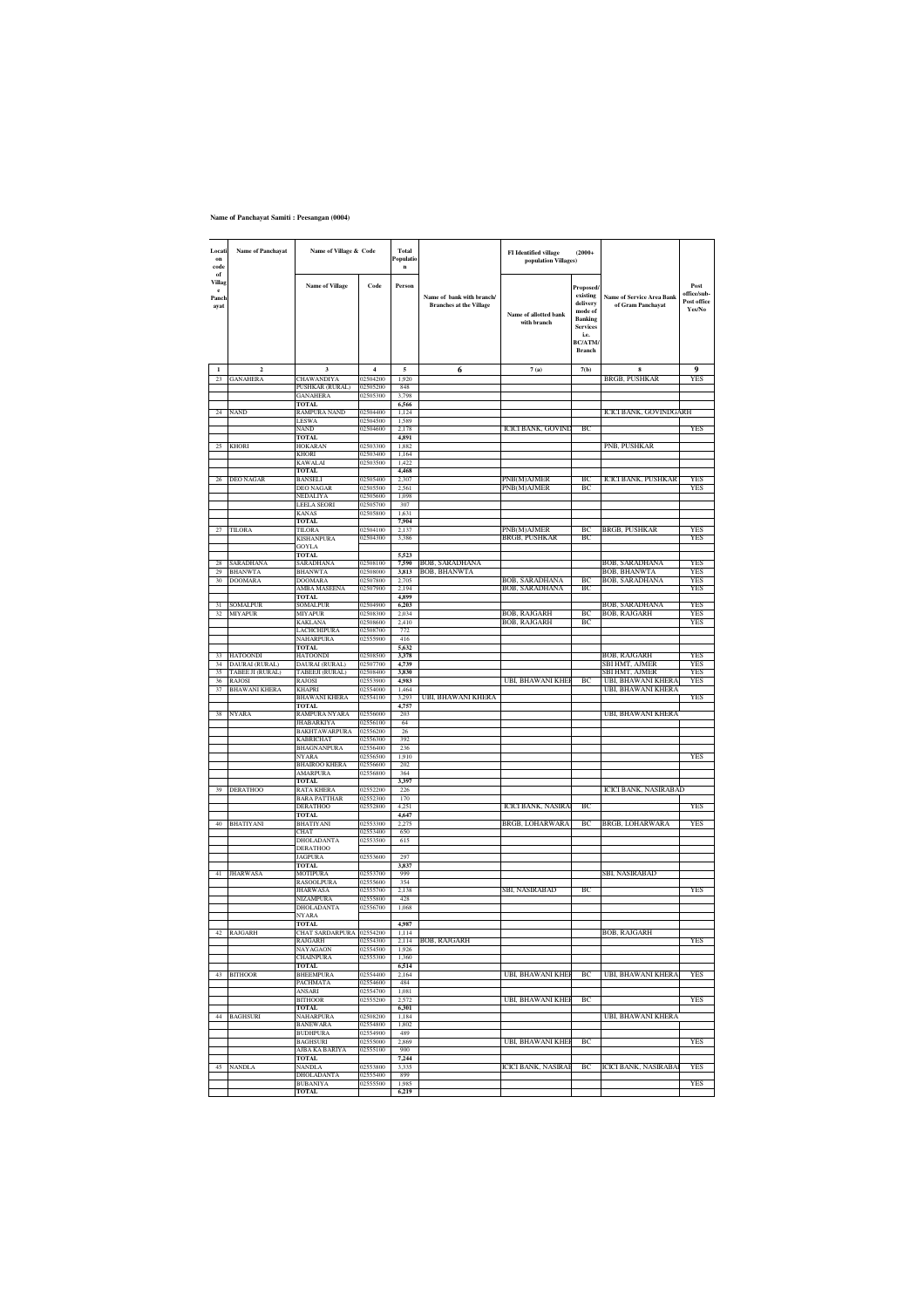#### **Name of Panchayat Samiti : Peesangan (0004)**

| Locati<br>on<br>code<br>$_{\mathrm{of}}$ | <b>Name of Panchayat</b>                  | Name of Village & Code                 |                      | <b>Total</b><br>Populatio<br>$\mathbf{n}$ |                                                             | FI Identified village<br>population Villages) | $(2000+$                                                                                                                    |                                                       |                                              |
|------------------------------------------|-------------------------------------------|----------------------------------------|----------------------|-------------------------------------------|-------------------------------------------------------------|-----------------------------------------------|-----------------------------------------------------------------------------------------------------------------------------|-------------------------------------------------------|----------------------------------------------|
| Villag<br>$\mathbf{e}$<br>Panch<br>avat  |                                           | <b>Name of Village</b>                 | Code                 | Person                                    | Name of bank with branch/<br><b>Branches at the Village</b> | Name of allotted bank<br>with branch          | Proposed/<br>existing<br>delivery<br>mode of<br><b>Banking</b><br><b>Services</b><br>i.e.<br><b>BC/ATM</b><br><b>Branch</b> | <b>Name of Service Area Bank</b><br>of Gram Panchayat | Post<br>office/sub-<br>Post office<br>Yes/No |
| $\mathbf{I}$                             | $\overline{2}$                            | $\mathbf{3}$                           | $\overline{4}$       | $\overline{\mathbf{s}}$                   | 6                                                           | 7(a)                                          | 7(b)                                                                                                                        | $\mathbf{s}$                                          | $\bf{Q}$                                     |
| 23                                       | <b>GANAHERA</b>                           | CHAWANDIYA<br>PUSHKAR (RURAL)          | 02504200<br>02505200 | 1,920<br>848                              |                                                             |                                               |                                                                                                                             | BRGB, PUSHKAR                                         | YES                                          |
|                                          |                                           | <b>GANAHERA</b>                        | 02505300             | 3,798                                     |                                                             |                                               |                                                                                                                             |                                                       |                                              |
| 24                                       | NAND                                      | TOTAL<br>RAMPURA NAND                  | 02504400             | 6,566<br>1,124                            |                                                             |                                               |                                                                                                                             | ICICI BANK, GOVINDGARH                                |                                              |
|                                          |                                           | LESWA                                  | 02504500             | 1,589                                     |                                                             |                                               |                                                                                                                             |                                                       |                                              |
|                                          |                                           | NAND<br><b>TOTAL</b>                   | 02504600             | 2,178<br>4,891                            |                                                             | <b>ICICI BANK, GOVINE</b>                     | BC                                                                                                                          |                                                       | YES                                          |
| 25                                       | <b>KHORI</b>                              | HOKARAN                                | 02503300             | 1,882                                     |                                                             |                                               |                                                                                                                             | PNB, PUSHKAR                                          |                                              |
|                                          |                                           | KHORI<br>KAWALAI                       | 02503400<br>02503500 | 1,164<br>1,422                            |                                                             |                                               |                                                                                                                             |                                                       |                                              |
| 26                                       | DEO NAGAR                                 | <b>TOTAL</b><br>BANSELI                | 02505400             | 4.468<br>2,307                            |                                                             | PNB(M)AJMER                                   | BС                                                                                                                          | ICICI BANK, PUSHKAR                                   | YES                                          |
|                                          |                                           | DEO NAGAR                              | 02505500             | 2.561                                     |                                                             | PNB(M)AJMER                                   | BC                                                                                                                          |                                                       | <b>YES</b>                                   |
|                                          |                                           | VEDALIYA<br>LEELA SEORI                | 02505600<br>02505700 | 1,098<br>307                              |                                                             |                                               |                                                                                                                             |                                                       |                                              |
|                                          |                                           | <b>KANAS</b>                           | 02505800             | 1,631                                     |                                                             |                                               |                                                                                                                             |                                                       |                                              |
| 27                                       | TILORA                                    | <b>TOTAL</b><br>TILORA                 | 02504100             | 7,904<br>2,137                            |                                                             | PNB(M)AJMER                                   | BC                                                                                                                          | BRGB, PUSHKAR                                         | <b>YES</b>                                   |
|                                          |                                           | KISHANPURA<br>GOYLA                    | 02504300             | 3,386                                     |                                                             | BRGB, PUSHKAR                                 | <b>BC</b>                                                                                                                   |                                                       | YES                                          |
|                                          |                                           | <b>TOTAL</b>                           |                      | 5,523                                     |                                                             |                                               |                                                                                                                             |                                                       |                                              |
| 29                                       | SARADHANA<br><b>BHANWTA</b>               | SARADHANA                              | 02508100<br>02508000 | 7,590<br>3,813                            | BOB, SARADHANA<br><b>BOB, BHANWTA</b>                       |                                               |                                                                                                                             | BOB, SARADHANA                                        | YES<br>YES                                   |
| 30                                       | DOOMARA                                   | BHANWTA<br><b>DOOMARA</b>              | 02507800             | 2,705                                     |                                                             | BOB, SARADHANA                                | <b>BC</b>                                                                                                                   | BOB, BHANWTA<br><b>BOB, SARADHANA</b>                 | YES                                          |
|                                          |                                           | AMBA MASEENA<br><b>TOTAL</b>           | 02507900             | 2,194<br>4,899                            |                                                             | BOB, SARADHANA                                | BC                                                                                                                          |                                                       | YES                                          |
| 31                                       | SOMALPUR                                  | SOMALPUR                               | 02504900             | 6,203                                     |                                                             |                                               |                                                                                                                             | BOB, SARADHANA                                        | YES                                          |
| 32                                       | MIYAPUR                                   | MIYAPUR<br>KAKLANA                     | 02508300<br>02508600 | 2.034<br>2,410                            |                                                             | BOB, RAJGARH<br>BOB, RAJGARH                  | BC<br><b>BC</b>                                                                                                             | BOB, RAJGARH                                          | <b>YES</b><br><b>YES</b>                     |
|                                          |                                           | LACHCHIPURA                            | 02508700             | 772                                       |                                                             |                                               |                                                                                                                             |                                                       |                                              |
|                                          |                                           | NAHARPURA<br>TOTAL                     | 02555900             | 416<br>5,632                              |                                                             |                                               |                                                                                                                             |                                                       |                                              |
| 33                                       | HATOONDI                                  | HATOONDI                               | 02508500             | 3,378                                     |                                                             |                                               |                                                                                                                             | BOB, RAJGARH                                          | <b>YES</b><br>YES                            |
| 34<br>35                                 | DAURAI (RURAL)<br><b>TABEE JI (RURAL)</b> | DAURAI (RURAL)<br>TABEEJI (RURAL)      | 02507700<br>02508400 | 4,739<br>3,830                            |                                                             |                                               |                                                                                                                             | SBI HMT, AJMER<br>SBI HMT, AJMER                      | YES                                          |
| 36<br>37                                 | RAJOSI<br><b>BHAWANI KHERA</b>            | <b>RAIOSI</b><br>KHAPRI                | 02553900<br>02554000 | 4,983<br>1,464                            |                                                             | UBI, BHAWANI KHE                              | ВC                                                                                                                          | <b>UBI, BHAWANI KHERA</b><br>UBI, BHAWANI KHERA       | YES                                          |
|                                          |                                           | BHAWANI KHERA                          | 02554100             | 3.293                                     | UBI, BHAWANI KHERA                                          |                                               |                                                                                                                             |                                                       | YES                                          |
| 38                                       | NYARA                                     | <b>TOTAL</b><br>RAMPURA NYARA          | 02556000             | 4,757<br>203                              |                                                             |                                               |                                                                                                                             | UBI, BHAWANI KHERA                                    |                                              |
|                                          |                                           | JHABARKIYA                             | 02556100             | 64                                        |                                                             |                                               |                                                                                                                             |                                                       |                                              |
|                                          |                                           | BAKHTAWARPURA<br>KABRICHAT             | 02556200<br>02556300 | 26<br>392                                 |                                                             |                                               |                                                                                                                             |                                                       |                                              |
|                                          |                                           | BHAGNANPURA<br>NYARA                   | 02556400<br>02556500 | 236<br>1,910                              |                                                             |                                               |                                                                                                                             |                                                       | YES                                          |
|                                          |                                           | <b>BHAIROO KHERA</b>                   | 02556600             | 202                                       |                                                             |                                               |                                                                                                                             |                                                       |                                              |
|                                          |                                           | AMARPURA<br>TOTAL                      | 02556800             | 364<br>3.397                              |                                                             |                                               |                                                                                                                             |                                                       |                                              |
| 39                                       | DERATHOO                                  | RATA KHERA                             | 02552200             | 226                                       |                                                             |                                               |                                                                                                                             | ICICI BANK, NASIRABAD                                 |                                              |
|                                          |                                           | <b>BARA PATTHAR</b><br><b>DERATHOO</b> | 02552300<br>02552800 | 170<br>4,251                              |                                                             | ICICI BANK, NASIRA                            | BC                                                                                                                          |                                                       | YES                                          |
|                                          |                                           | <b>TOTAL</b>                           |                      | 4,647                                     |                                                             |                                               |                                                                                                                             |                                                       |                                              |
| 40                                       | BHATIYANI                                 | BHATIYANI<br><b>HAT</b>                | 02553300<br>02553400 | 2.275<br>650                              |                                                             | BRGB, LOHARWARA                               | ВC                                                                                                                          | BRGB, LOHARWARA                                       | YES                                          |
|                                          |                                           | DHOLADANTA<br>DERATHOO                 | 02553500             | 615                                       |                                                             |                                               |                                                                                                                             |                                                       |                                              |
|                                          |                                           | JAGPURA                                | 02553600             | 297                                       |                                                             |                                               |                                                                                                                             |                                                       |                                              |
| 41                                       | <b>JHARWASA</b>                           | TOTAL.<br>MOTIPURA                     | 02553700             | 3.837<br>999                              |                                                             |                                               |                                                                                                                             | SBI, NASIRABAD                                        |                                              |
|                                          |                                           | RASOOLPURA<br><b>JHARWASA</b>          | 02555600<br>02555700 | 354                                       |                                                             | SBI, NASIRABAD                                | BC                                                                                                                          |                                                       | YES                                          |
|                                          |                                           | NIZAMPURA                              | 02555800             | 2,138<br>428                              |                                                             |                                               |                                                                                                                             |                                                       |                                              |
|                                          |                                           | DHOLADANTA<br><b>VYARA</b>             | 02556700             | 1.068                                     |                                                             |                                               |                                                                                                                             |                                                       |                                              |
|                                          |                                           | <b>TOTAL</b>                           |                      | 4,987                                     |                                                             |                                               |                                                                                                                             |                                                       |                                              |
|                                          | 42 RAJGARH                                | CHAT SARDARPURA 02554200<br>RAJGARH    | 02554300             | 1.114                                     | 2,114 BOB, RAJGARH                                          |                                               |                                                                                                                             | <b>BOB, RAJGARH</b>                                   | YES                                          |
|                                          |                                           | NAYAGAON<br>CHAINPURA                  | 02554500<br>02555300 | 1.926<br>1,360                            |                                                             |                                               |                                                                                                                             |                                                       |                                              |
|                                          |                                           | <b>TOTAL</b>                           |                      | 6,514                                     |                                                             |                                               |                                                                                                                             |                                                       |                                              |
| 43                                       | <b>BITHOOR</b>                            | <b>BHEEMPURA</b><br>PACHMATA           | 02554400<br>02554600 | 2,164<br>484                              |                                                             | <b>UBI, BHAWANI KHEI</b>                      | BC                                                                                                                          | <b>UBI, BHAWANI KHERA</b>                             | YES                                          |
|                                          |                                           | ANSARI                                 | 02554700             | 1.081                                     |                                                             |                                               |                                                                                                                             |                                                       |                                              |
|                                          |                                           | <b>BITHOOR</b><br><b>TOTAL</b>         | 02555200             | 2.572<br>6,301                            |                                                             | <b>UBI, BHAWANI KHEI</b>                      | BC                                                                                                                          |                                                       | YES                                          |
| 44                                       | <b>BAGHSURI</b>                           | NAHARPURA                              | 02508200             | 1,184                                     |                                                             |                                               |                                                                                                                             | <b>UBI, BHAWANI KHERA</b>                             |                                              |
|                                          |                                           | <b>BANEWARA</b><br><b>BUDHPURA</b>     | 02554800<br>02554900 | 1,802<br>489                              |                                                             |                                               |                                                                                                                             |                                                       |                                              |
|                                          |                                           | <b>BAGHSURI</b><br>AJBA KA BARIYA      | 02555000<br>02555100 | 2,869<br>900                              |                                                             | UBI, BHAWANI KHEI                             | BC                                                                                                                          |                                                       | YES                                          |
|                                          |                                           | <b>TOTAL</b>                           |                      | 7,244                                     |                                                             |                                               |                                                                                                                             |                                                       |                                              |
| 45                                       | NANDLA                                    | NANDLA<br>DHOLADANTA                   | 02553800<br>02555400 | 3,335<br>899                              |                                                             | ICICI BANK, NASIRAE                           | BC                                                                                                                          | <b>ICICI BANK, NASIRABA</b>                           | <b>YES</b>                                   |
|                                          |                                           | <b>BUBANIYA</b>                        | 02555500             | 1.985                                     |                                                             |                                               |                                                                                                                             |                                                       | <b>YES</b>                                   |
|                                          |                                           | <b>TOTAL</b>                           |                      | 6,219                                     |                                                             |                                               |                                                                                                                             |                                                       |                                              |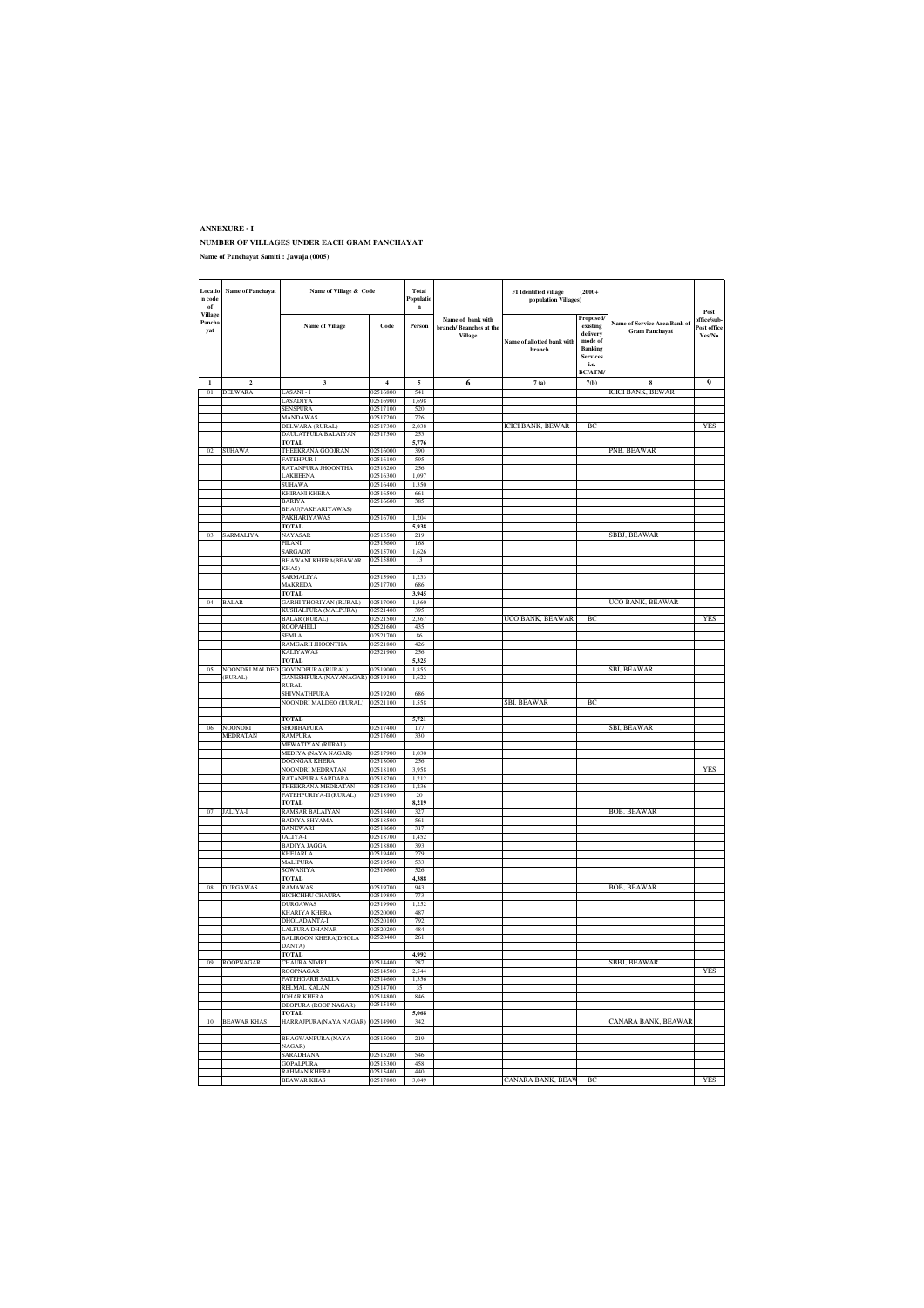#### **ANNEXURE - I NUMBER OF VILLAGES UNDER EACH GRAM PANCHAYAT Name of Panchayat Samiti : Jawaja (0005)**

| Locatio<br>n code<br>of  | <b>Name of Panchayat</b> | Name of Village & Code                        |                      | Total<br>Populatio<br>$\mathbf{n}$ |                                                         | <b>FI</b> Identified village<br>population Villages) | $(2000+$                                                                                            |                                                       |                                              |
|--------------------------|--------------------------|-----------------------------------------------|----------------------|------------------------------------|---------------------------------------------------------|------------------------------------------------------|-----------------------------------------------------------------------------------------------------|-------------------------------------------------------|----------------------------------------------|
| Village<br>Pancha<br>yat |                          | <b>Name of Village</b>                        | Code                 | Person                             | Name of bank with<br>branch/ Branches at the<br>Village | Name of allotted bank with<br>hranch                 | Proposed/<br>existing<br>delivery<br>mode of<br>Banking<br><b>Services</b><br>i.e.<br><b>BC/ATM</b> | Name of Service Area Bank of<br><b>Gram Panchayat</b> | Post<br>office/sub-<br>Post office<br>Yes/No |
|                          | $\overline{\mathbf{c}}$  | $\overline{\mathbf{3}}$                       | $\overline{4}$       | 5                                  | 6                                                       | 7(a)                                                 | 7(b)                                                                                                | $\mathbf{\hat{x}}$                                    | 9                                            |
| 01                       | <b>DELWARA</b>           | LASANI - I                                    | 02516800             | 541                                |                                                         |                                                      |                                                                                                     | <b>ICICI BANK, BEWAR</b>                              |                                              |
|                          |                          | LASADIYA                                      | 02516900             | 1,698                              |                                                         |                                                      |                                                                                                     |                                                       |                                              |
|                          |                          | SENSPURA                                      | 02517100             | 520                                |                                                         |                                                      |                                                                                                     |                                                       |                                              |
|                          |                          | MANDAWAS                                      | 02517200             | 726                                |                                                         |                                                      |                                                                                                     |                                                       |                                              |
|                          |                          | DELWARA (RURAL)<br>DAULATPURA BALAIYAN        | 02517300<br>02517500 | 2,038<br>253                       |                                                         | ICICI BANK, BEWAR                                    | BC                                                                                                  |                                                       | YES                                          |
|                          |                          | TOTAL                                         |                      | 5.776                              |                                                         |                                                      |                                                                                                     |                                                       |                                              |
| 02                       | <b>SUHAWA</b>            | THEEKRANA GOOJRAN                             | 02516000             | 390                                |                                                         |                                                      |                                                                                                     | PNB, BEAWAR                                           |                                              |
|                          |                          | <b>FATEHPUR I</b>                             | 02516100             | 595                                |                                                         |                                                      |                                                                                                     |                                                       |                                              |
|                          |                          | RATANPURA JHOONTHA                            | 02516200             | 256                                |                                                         |                                                      |                                                                                                     |                                                       |                                              |
|                          |                          | LAKHEENA<br>SUHAWA                            | 02516300<br>02516400 | 1,097<br>1,350                     |                                                         |                                                      |                                                                                                     |                                                       |                                              |
|                          |                          | KHIRANI KHERA                                 | 02516500             | 661                                |                                                         |                                                      |                                                                                                     |                                                       |                                              |
|                          |                          | BARIYA                                        | 02516600             | 385                                |                                                         |                                                      |                                                                                                     |                                                       |                                              |
|                          |                          | BHAU(PAKHARIYAWAS)                            |                      |                                    |                                                         |                                                      |                                                                                                     |                                                       |                                              |
|                          |                          | PAKHARIYAWAS                                  | 02516700             | 1.204                              |                                                         |                                                      |                                                                                                     |                                                       |                                              |
| 0 <sub>3</sub>           |                          | <b>TOTAL</b>                                  | 02515500             | 5,938<br>219                       |                                                         |                                                      |                                                                                                     | SBBJ, BEAWAR                                          |                                              |
|                          | SARMALIYA                | NAYASAR<br>PILANI                             | 02515600             | 168                                |                                                         |                                                      |                                                                                                     |                                                       |                                              |
|                          |                          | SARGAON                                       | 02515700             | 1,626                              |                                                         |                                                      |                                                                                                     |                                                       |                                              |
|                          |                          | <b>BHAWANI KHERA(BEAWAR</b>                   | 02515800             | 13                                 |                                                         |                                                      |                                                                                                     |                                                       |                                              |
|                          |                          | KHAS)<br>SARMALIYA                            | 02515900             | 1.233                              |                                                         |                                                      |                                                                                                     |                                                       |                                              |
|                          |                          | MAKREDA                                       | 02517700             | 686                                |                                                         |                                                      |                                                                                                     |                                                       |                                              |
|                          |                          | <b>TOTAL</b>                                  |                      | 3.945                              |                                                         |                                                      |                                                                                                     |                                                       |                                              |
| 04                       | BALAR                    | GARHI THORIYAN (RURAL)                        | 02517000             | 1,360                              |                                                         |                                                      |                                                                                                     | UCO BANK, BEAWAR                                      |                                              |
|                          |                          | KUSHALPURA (MALPURA)                          | 02521400             | 395                                |                                                         |                                                      |                                                                                                     |                                                       |                                              |
|                          |                          | <b>BALAR (RURAL)</b><br>ROOPAHELI             | 02521500<br>02521600 | 2.367<br>435                       |                                                         | UCO BANK, BEAWAR                                     | BC                                                                                                  |                                                       | YES                                          |
|                          |                          | <b>SEMLA</b>                                  | 02521700             | 86                                 |                                                         |                                                      |                                                                                                     |                                                       |                                              |
|                          |                          | RAMGARH JHOONTHA                              | 02521800             | 426                                |                                                         |                                                      |                                                                                                     |                                                       |                                              |
|                          |                          | KALIYAWAS                                     | 02521900             | 256                                |                                                         |                                                      |                                                                                                     |                                                       |                                              |
| 05                       | NOONDRI MALDEC           | <b>TOTAL</b><br><b>GOVINDPURA (RURAL)</b>     | 02519000             | 5,325<br>1,855                     |                                                         |                                                      |                                                                                                     | SBI, BEAWAR                                           |                                              |
|                          | (RURAL)                  | GANESHPURA (NAYANAGAR)                        | 02519100             | 1,622                              |                                                         |                                                      |                                                                                                     |                                                       |                                              |
|                          |                          | RURAL                                         |                      |                                    |                                                         |                                                      |                                                                                                     |                                                       |                                              |
|                          |                          | <b>SHIVNATHPURA</b><br>NOONDRI MALDEO (RURAL) | 02519200<br>02521100 | 686<br>1,558                       |                                                         |                                                      | BC                                                                                                  |                                                       |                                              |
|                          |                          |                                               |                      |                                    |                                                         | SBI, BEAWAR                                          |                                                                                                     |                                                       |                                              |
|                          |                          | TOTAL                                         |                      | 5,721                              |                                                         |                                                      |                                                                                                     |                                                       |                                              |
| 06                       | <b>NOONDRI</b>           | SHOBHAPURA                                    | 02517400             | 177                                |                                                         |                                                      |                                                                                                     | SBI, BEAWAR                                           |                                              |
|                          | MEDRATAN                 | RAMPURA<br>MEWATIYAN (RURAL)                  | 02517600             | 330                                |                                                         |                                                      |                                                                                                     |                                                       |                                              |
|                          |                          | MEDIYA (NAYA NAGAR)                           | 02517900             | 1.030                              |                                                         |                                                      |                                                                                                     |                                                       |                                              |
|                          |                          | DOONGAR KHERA                                 | 02518000             | 256                                |                                                         |                                                      |                                                                                                     |                                                       |                                              |
|                          |                          | NOONDRI MEDRATAN                              | 02518100             | 3,958                              |                                                         |                                                      |                                                                                                     |                                                       | YES                                          |
|                          |                          | RATANPURA SARDARA<br>THEEKRANA MEDRATAN       | 02518200<br>02518300 | 1,212<br>1,236                     |                                                         |                                                      |                                                                                                     |                                                       |                                              |
|                          |                          | FATEHPURIYA-II (RURAL)                        | 02518900             | 20                                 |                                                         |                                                      |                                                                                                     |                                                       |                                              |
|                          |                          | <b>TOTAL</b>                                  |                      | 8,219                              |                                                         |                                                      |                                                                                                     |                                                       |                                              |
| 07                       | <b>JALIYA-I</b>          | <b>RAMSAR BALAIYAN</b>                        | 02518400<br>02518500 | 327<br>561                         |                                                         |                                                      |                                                                                                     | <b>BOB, BEAWAR</b>                                    |                                              |
|                          |                          | BADIYA SHYAMA<br>BANEWARI                     | 02518600             | 317                                |                                                         |                                                      |                                                                                                     |                                                       |                                              |
|                          |                          | JALIYA-I                                      | 02518700             | 1,452                              |                                                         |                                                      |                                                                                                     |                                                       |                                              |
|                          |                          | BADIYA JAGGA                                  | 02518800             | 393                                |                                                         |                                                      |                                                                                                     |                                                       |                                              |
|                          |                          | KHEJARLA<br>MALIPURA                          | 02519400<br>02519500 | 279<br>533                         |                                                         |                                                      |                                                                                                     |                                                       |                                              |
|                          |                          | SOWANIYA                                      | 02519600             | 526                                |                                                         |                                                      |                                                                                                     |                                                       |                                              |
|                          |                          | <b>TOTAL</b>                                  |                      | 4,388                              |                                                         |                                                      |                                                                                                     |                                                       |                                              |
| 08                       | <b>DURGAWAS</b>          | <b>RAMAWAS</b>                                | 02519700             | 943                                |                                                         |                                                      |                                                                                                     | BOB, BEAWAR                                           |                                              |
|                          |                          | BICHCHHU CHAURA<br>DURGAWAS                   | 02519800<br>02519900 | 773<br>1,252                       |                                                         |                                                      |                                                                                                     |                                                       |                                              |
|                          |                          | KHARIYA KHERA                                 | 02520000             | 487                                |                                                         |                                                      |                                                                                                     |                                                       |                                              |
|                          |                          | DHOLADANTA-I                                  | 02520100             | 792                                |                                                         |                                                      |                                                                                                     |                                                       |                                              |
|                          |                          | LALPURA DHANAR                                | 02520200             | 484                                |                                                         |                                                      |                                                                                                     |                                                       |                                              |
|                          |                          | <b>BALIROON KHERA(DHOLA</b><br>DANTA)         | 02520400             | 261                                |                                                         |                                                      |                                                                                                     |                                                       |                                              |
|                          |                          | TOTAL                                         |                      | 4,992                              |                                                         |                                                      |                                                                                                     |                                                       |                                              |
| 09                       | ROOPNAGAR                | CHAURA NIMRI                                  | 02514400             | 287                                |                                                         |                                                      |                                                                                                     | SBBJ, BEAWAR                                          |                                              |
|                          |                          | ROOPNAGAR                                     | 02514500             | 2,544                              |                                                         |                                                      |                                                                                                     |                                                       | YES                                          |
|                          |                          | <b>FATEHGARH SALLA</b><br>RELMAL KALAN        | 02514600<br>02514700 | 1,356<br>35                        |                                                         |                                                      |                                                                                                     |                                                       |                                              |
|                          |                          | <b>JOHAR KHERA</b>                            | 02514800             | 846                                |                                                         |                                                      |                                                                                                     |                                                       |                                              |
|                          |                          | DEOPURA (ROOP NAGAR)                          | 02515100             |                                    |                                                         |                                                      |                                                                                                     |                                                       |                                              |
|                          |                          | <b>TOTAL</b>                                  |                      | 5,068                              |                                                         |                                                      |                                                                                                     | CANARA BANK, BEAWAR                                   |                                              |
| 10                       | <b>BEAWAR KHAS</b>       | HARRAJPURA(NAYA NAGAR)                        | 02514900             | 342                                |                                                         |                                                      |                                                                                                     |                                                       |                                              |
|                          |                          | BHAGWANPURA (NAYA                             | 02515000             | 219                                |                                                         |                                                      |                                                                                                     |                                                       |                                              |
|                          |                          | NAGAR)                                        |                      |                                    |                                                         |                                                      |                                                                                                     |                                                       |                                              |
|                          |                          | SARADHANA<br><b>GOPALPURA</b>                 | 02515200<br>02515300 | 546<br>458                         |                                                         |                                                      |                                                                                                     |                                                       |                                              |
|                          |                          | RAHMAN KHERA                                  | 02515400             | 440                                |                                                         |                                                      |                                                                                                     |                                                       |                                              |
|                          |                          | <b>BEAWAR KHAS</b>                            | 02517800             | 3.049                              |                                                         | CANARA BANK, BEAW                                    | BC                                                                                                  |                                                       | <b>YES</b>                                   |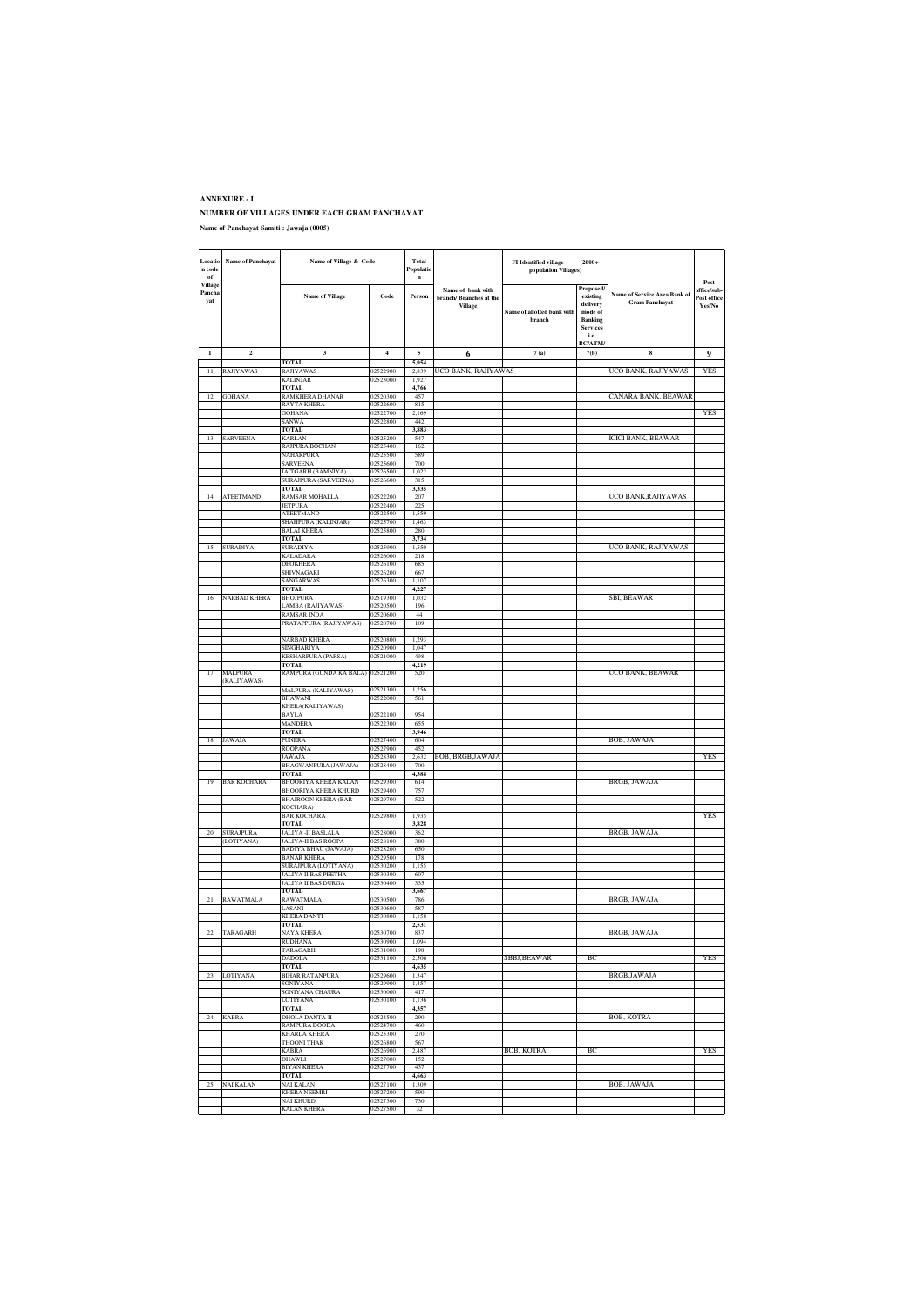| Locatio<br>n code<br>$\bf of$ | <b>Name of Panchayat</b>       | Name of Village & Code                              |                      | Total<br>Populatio<br>$\mathbf{n}$ |                                                                | FI Identified village<br>population Villages) | $(2000+$                                                                                  |                                                       |                                              |
|-------------------------------|--------------------------------|-----------------------------------------------------|----------------------|------------------------------------|----------------------------------------------------------------|-----------------------------------------------|-------------------------------------------------------------------------------------------|-------------------------------------------------------|----------------------------------------------|
| Village<br>Pancha<br>yat      |                                | <b>Name of Village</b>                              | Code                 | Person                             | Name of bank with<br>branch/ Branches at the<br><b>Village</b> | Name of allotted bank with<br>branch          | Proposed/<br>existing<br>delivery<br>mode of<br><b>Banking</b><br><b>Services</b><br>i.e. | Name of Service Area Bank of<br><b>Gram Panchayat</b> | Post<br>office/sub-<br>Post office<br>Yes/No |
|                               |                                |                                                     |                      |                                    |                                                                |                                               | <b>BC/ATM/</b>                                                                            |                                                       |                                              |
| $\mathbf{I}$                  | $\overline{\mathbf{c}}$        | 3<br>TOTAL                                          | $\overline{4}$       | 5<br>5.054                         | 6                                                              | 7(a)                                          | 7(b)                                                                                      | 8                                                     | 9                                            |
| $\overline{11}$               | <b>RAJIYAWAS</b>               | RAJIYAWAS                                           | 2522900              | 2.839                              | UCO BANK, RAJIYAWAS                                            |                                               |                                                                                           | UCO BANK, RAJIYAWAS                                   | YES                                          |
|                               |                                | <b>KALINJAR</b><br><b>TOTAL</b>                     | 02523000             | 1,927<br>4,766                     |                                                                |                                               |                                                                                           |                                                       |                                              |
| 12                            | <b>GOHANA</b>                  | RAMKHERA DHANAR                                     | 02520300<br>02522600 | 457                                |                                                                |                                               |                                                                                           | CANARA BANK, BEAWAR                                   |                                              |
|                               |                                | RAYTA KHERA<br><b>GOHANA</b>                        | 02522700             | 815<br>2,169                       |                                                                |                                               |                                                                                           |                                                       | YE.                                          |
|                               |                                | SANWA<br><b>TOTAL</b>                               | 02522800             | 442<br>3,883                       |                                                                |                                               |                                                                                           |                                                       |                                              |
| 13                            | SARVEENA                       | KARLAN                                              | 02525200             | 547                                |                                                                |                                               |                                                                                           | ICICI BANK, BEAWAR                                    |                                              |
|                               |                                | RAJPURA BOCHAN<br>NAHARPURA                         | 02525400<br>02525500 | 162<br>589                         |                                                                |                                               |                                                                                           |                                                       |                                              |
|                               |                                | SARVEENA                                            | 02525600             | 700                                |                                                                |                                               |                                                                                           |                                                       |                                              |
|                               |                                | JAITGARH (BAMNIYA)<br><b>SURAJPURA (SARVEENA)</b>   | 02526500<br>02526600 | 1,022<br>315                       |                                                                |                                               |                                                                                           |                                                       |                                              |
|                               |                                | TOTAL                                               |                      | 3.335                              |                                                                |                                               |                                                                                           |                                                       |                                              |
|                               | <b>ATEETMAND</b>               | RAMSAR MOHALLA<br>JETPURA                           | 02522200<br>02522400 | 207<br>225                         |                                                                |                                               |                                                                                           | UCO BANK, RAJIYAWAS                                   |                                              |
|                               |                                | <b>ATEETMAND</b>                                    | 02522500             | 1,559                              |                                                                |                                               |                                                                                           |                                                       |                                              |
|                               |                                | SHAHPURA (KALINJAR)<br><b>BALAI KHERA</b>           | 02525700<br>02525800 | 1,463<br>280                       |                                                                |                                               |                                                                                           |                                                       |                                              |
|                               |                                | <b>TOTAL</b>                                        |                      | 3,734                              |                                                                |                                               |                                                                                           |                                                       |                                              |
| 15                            | <b>SURADIYA</b>                | SURADIYA<br>KALADARA                                | 02525900<br>02526000 | 1,550<br>218                       |                                                                |                                               |                                                                                           | UCO BANK, RAJIYAWAS                                   |                                              |
|                               |                                | DEOKHERA                                            | 02526100             | 685                                |                                                                |                                               |                                                                                           |                                                       |                                              |
|                               |                                | SHIVNAGARI<br>SANGARWAS                             | 02526200<br>02526300 | 667<br>1,107                       |                                                                |                                               |                                                                                           |                                                       |                                              |
|                               | NARBAD KHERA                   | <b>TOTAL</b><br><b>BHOJPURA</b>                     | 02519300             | 4,227                              |                                                                |                                               |                                                                                           |                                                       |                                              |
| 16                            |                                | .AMBA (RAJIYAWAS)                                   | 02520500             | 1,032<br>196                       |                                                                |                                               |                                                                                           | SBI, BEAWAR                                           |                                              |
|                               |                                | RAMSAR INDA<br>PRATAPPURA (RAJIYAWAS)               | 02520600<br>02520700 | 44<br>109                          |                                                                |                                               |                                                                                           |                                                       |                                              |
|                               |                                |                                                     |                      |                                    |                                                                |                                               |                                                                                           |                                                       |                                              |
|                               |                                | NARBAD KHERA<br>SINGHARIYA                          | 02520800<br>02520900 | 1.293<br>1,047                     |                                                                |                                               |                                                                                           |                                                       |                                              |
|                               |                                | <b>KESHARPURA (PARSA)</b>                           | 02521000             | 498                                |                                                                |                                               |                                                                                           |                                                       |                                              |
| 17                            | MALPURA                        | TOTAL<br>RAMPURA (GUNDA KA BALA)                    | 02521200             | 4,219<br>520                       |                                                                |                                               |                                                                                           | UCO BANK, BEAWAR                                      |                                              |
|                               | (KALIYAWAS)                    |                                                     |                      |                                    |                                                                |                                               |                                                                                           |                                                       |                                              |
|                               |                                | MALPURA (KALIYAWAS)<br>BHAWANI                      | 02521300<br>02522000 | 1,256<br>561                       |                                                                |                                               |                                                                                           |                                                       |                                              |
|                               |                                | KHERA(KALIYAWAS)                                    |                      |                                    |                                                                |                                               |                                                                                           |                                                       |                                              |
|                               |                                | BAYLA<br>MANDERA                                    | 02522100<br>02522300 | 954<br>655                         |                                                                |                                               |                                                                                           |                                                       |                                              |
|                               |                                | <b>TOTAL</b>                                        |                      | 3,946                              |                                                                |                                               |                                                                                           |                                                       |                                              |
|                               | JAWAJA                         | PUNERA<br><b>ROOPANA</b>                            | 02527400<br>02527900 | 604<br>452                         |                                                                |                                               |                                                                                           | BOB, JAWAJA                                           |                                              |
|                               |                                | JAWAJA                                              | 02528300<br>02528400 | 2,632<br>700                       | BOB, BRGB, JAWAJA                                              |                                               |                                                                                           |                                                       | YES                                          |
|                               |                                | BHAGWANPURA (JAWAJA)<br><b>TOTAL</b>                |                      | 4,388                              |                                                                |                                               |                                                                                           |                                                       |                                              |
| 19                            | <b>BAR KOCHARA</b>             | BHOORIYA KHERA KALAN<br><b>BHOORIYA KHERA KHURD</b> | 02529300<br>02529400 | 614<br>757                         |                                                                |                                               |                                                                                           | BRGB, JAWAJA                                          |                                              |
|                               |                                | <b>BHAIROON KHERA (BAR</b>                          | 02529700             | 522                                |                                                                |                                               |                                                                                           |                                                       |                                              |
|                               |                                | KOCHARA)<br><b>BAR KOCHARA</b>                      | 02529800             | 1,935                              |                                                                |                                               |                                                                                           |                                                       | YES                                          |
|                               |                                | TOTAL                                               |                      | 3.828                              |                                                                |                                               |                                                                                           |                                                       |                                              |
| 20                            | <b>SURAJPURA</b><br>(LOTIYANA) | <b>JALIYA - II BASLALA</b><br>JALIYA-II BAS ROOPA   | 02528000<br>02528100 | 362<br>380                         |                                                                |                                               |                                                                                           | BRGB, JAWAJA                                          |                                              |
|                               |                                | BADIYA BHAU (JAWAJA)                                | 02528200             | 650                                |                                                                |                                               |                                                                                           |                                                       |                                              |
|                               |                                | <b>BANAR KHERA</b><br>SURAJPURA (LOTIYANA)          | 02529500<br>02530200 | 178<br>1,155                       |                                                                |                                               |                                                                                           |                                                       |                                              |
|                               |                                | <b>JALIYA II BAS PEETHA</b>                         | 02530300             | 607                                |                                                                |                                               |                                                                                           |                                                       |                                              |
|                               |                                | JALIYA II BAS DURGA<br><b>TOTAL</b>                 | 02530400             | 335<br>3.667                       |                                                                |                                               |                                                                                           |                                                       |                                              |
|                               | <b>RAWATMALA</b>               | RAWATMALA<br>LASANI                                 | 02530500<br>02530600 | 786<br>587                         |                                                                |                                               |                                                                                           | BRGB, JAWAJA                                          |                                              |
|                               |                                | <b>KHERA DANTI</b>                                  | 02530800             | 1.158                              |                                                                |                                               |                                                                                           |                                                       |                                              |
| 22                            |                                | <b>TOTAL</b><br>NAYA KHERA                          | 02530700             | 2,531<br>837                       |                                                                |                                               |                                                                                           | BRGB, JAWAJA                                          |                                              |
|                               | TARAGARH                       | <b>RUDHANA</b>                                      | 02530900             | 1,094                              |                                                                |                                               |                                                                                           |                                                       |                                              |
|                               |                                | TARAGARH<br><b>DADOLA</b>                           | 02531000<br>02531100 | 198<br>2,506                       |                                                                | SBBJ,BEAWAR                                   | BС                                                                                        |                                                       | YES                                          |
|                               |                                | <b>TOTAL</b>                                        |                      | 4,635                              |                                                                |                                               |                                                                                           |                                                       |                                              |
| 23                            | LOTIYANA                       | <b>BIHAR RATANPURA</b><br>SONIYANA                  | 02529600<br>02529900 | 1,347<br>1,457                     |                                                                |                                               |                                                                                           | BRGB,JAWAJA                                           |                                              |
|                               |                                | SONIYANA CHAURA                                     | 02530000             | 417                                |                                                                |                                               |                                                                                           |                                                       |                                              |
|                               |                                | LOTIYANA<br><b>TOTAL</b>                            | 02530100             | 1,136<br>4,357                     |                                                                |                                               |                                                                                           |                                                       |                                              |
| 24                            | <b>KABRA</b>                   | DHOLA DANTA-II                                      | 02524500             | 290                                |                                                                |                                               |                                                                                           | BOB, KOTRA                                            |                                              |
|                               |                                | RAMPURA DOODA<br>KHARLA KHERA                       | 02524700<br>02525300 | 460<br>270                         |                                                                |                                               |                                                                                           |                                                       |                                              |
|                               |                                | <b>THOONI THAK</b>                                  | 02526800             | 567                                |                                                                |                                               |                                                                                           |                                                       |                                              |
|                               |                                | <b>KABRA</b><br>DHAWLI                              | 02526900<br>02527000 | 2,487<br>152                       |                                                                | BOB, KOTRA                                    | ВC                                                                                        |                                                       | YES                                          |
|                               |                                | BIYAN KHERA                                         | 02527700             | 437                                |                                                                |                                               |                                                                                           |                                                       |                                              |
| 25                            | <b>NAI KALAN</b>               | <b>TOTAL</b><br>NAI KALAN                           | 02527100             | 4,663<br>1,309                     |                                                                |                                               |                                                                                           | BOB, JAWAJA                                           |                                              |
|                               |                                | <b>KHERA NEEMRI</b><br>NAI KHURD                    | 02527200<br>02527300 | 590                                |                                                                |                                               |                                                                                           |                                                       |                                              |
|                               |                                | <b>KALAN KHERA</b>                                  | 02527500             | 730<br>32                          |                                                                |                                               |                                                                                           |                                                       |                                              |
|                               |                                |                                                     |                      |                                    |                                                                |                                               |                                                                                           |                                                       |                                              |

**ANNEXURE - I NUMBER OF VILLAGES UNDER EACH GRAM PANCHAYAT Name of Panchayat Samiti : Jawaja (0005)**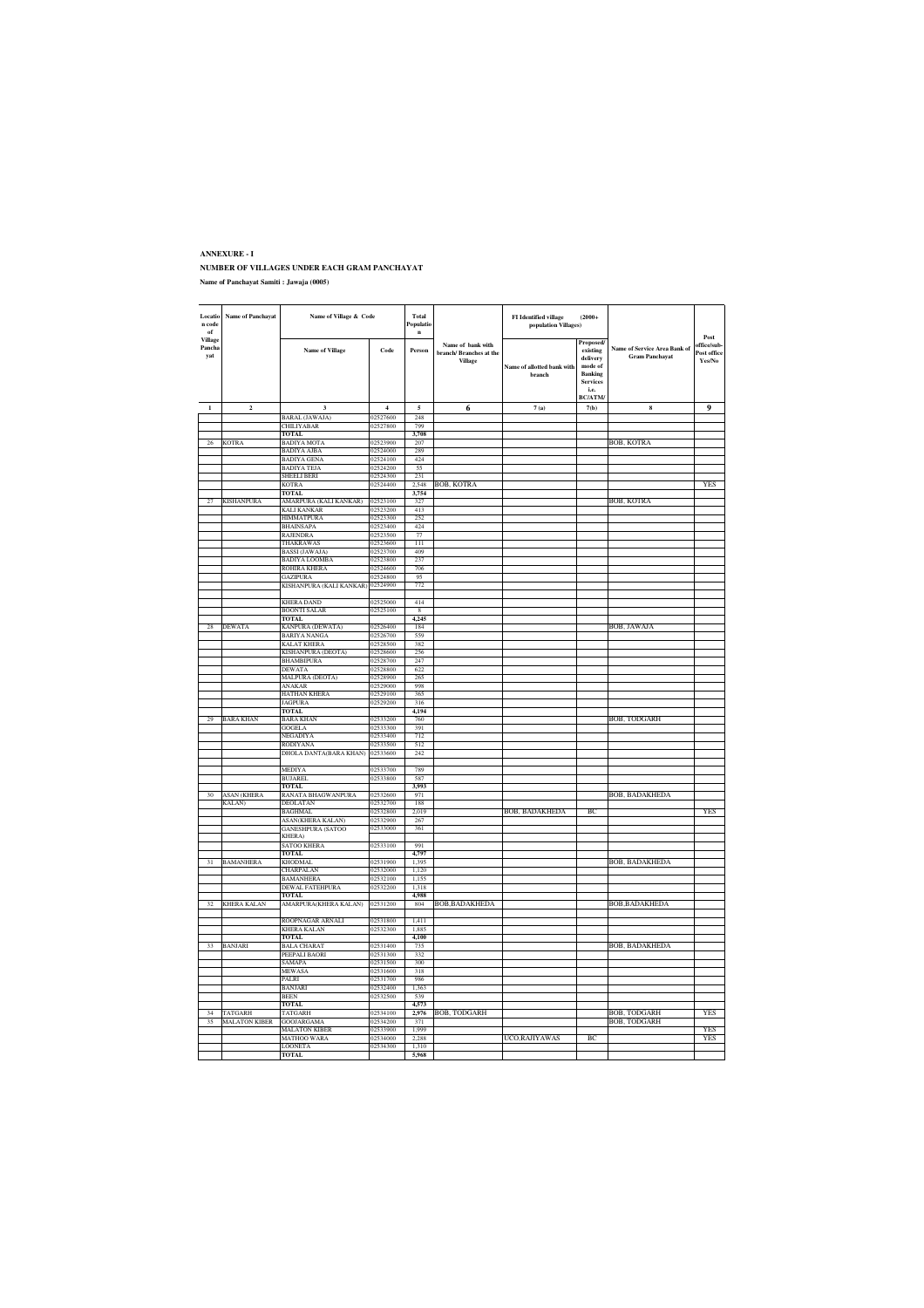| Locatio<br>n code<br>of  | <b>Name of Panchayat</b> | Name of Village & Code                               |                      | Total<br>Populatio<br>$\mathbf{n}$ |                                                        | <b>FI</b> Identified village<br>population Villages) | $(2000+$                                                                                                   |                                                       | Post                                        |
|--------------------------|--------------------------|------------------------------------------------------|----------------------|------------------------------------|--------------------------------------------------------|------------------------------------------------------|------------------------------------------------------------------------------------------------------------|-------------------------------------------------------|---------------------------------------------|
| Village<br>Pancha<br>yat |                          | <b>Name of Village</b>                               | Code                 | Person                             | Name of bank with<br>branch/Branches at the<br>Village | Name of allotted bank with<br>branch                 | Proposed/<br>existing<br>delivery<br>mode of<br><b>Banking</b><br><b>Services</b><br>i.e.<br><b>BC/ATM</b> | Name of Service Area Bank of<br><b>Gram Panchayat</b> | office/sub-<br><b>Post office</b><br>Yes/No |
|                          | $\overline{a}$           | $\overline{\mathbf{3}}$                              | $\overline{4}$       | $\overline{\mathbf{5}}$            | 6                                                      | 7(a)                                                 | 7(b)                                                                                                       | $\bf8$                                                | $\boldsymbol{q}$                            |
|                          |                          | BARAL (JAWAJA)                                       | 12527600             | 248                                |                                                        |                                                      |                                                                                                            |                                                       |                                             |
|                          |                          | CHILIYABAR<br><b>TOTAL</b>                           | 02527800             | 799<br>3.708                       |                                                        |                                                      |                                                                                                            |                                                       |                                             |
| 26                       | <b>KOTRA</b>             | <b>BADIYA MOTA</b>                                   | 02523900             | 207                                |                                                        |                                                      |                                                                                                            | BOB, KOTRA                                            |                                             |
|                          |                          | BADIYA AJBA                                          | 02524000             | 289                                |                                                        |                                                      |                                                                                                            |                                                       |                                             |
|                          |                          | <b>BADIYA GENA</b>                                   | 02524100             | 424                                |                                                        |                                                      |                                                                                                            |                                                       |                                             |
|                          |                          | <b>BADIYA TEJA</b><br>SHEELI BERI                    | 02524200<br>02524300 | 55<br>231                          |                                                        |                                                      |                                                                                                            |                                                       |                                             |
|                          |                          | KOTRA                                                | 02524400             | 2,548                              | BOB, KOTRA                                             |                                                      |                                                                                                            |                                                       | YES                                         |
|                          |                          | TOTAL                                                |                      | 3,754                              |                                                        |                                                      |                                                                                                            |                                                       |                                             |
| 27                       | <b>KISHANPURA</b>        | AMARPURA (KALI KANKAR)                               | 02523100             | 327                                |                                                        |                                                      |                                                                                                            | BOB, KOTRA                                            |                                             |
|                          |                          | KALI KANKAR<br><b>HIMMATPURA</b>                     | 02523200<br>02523300 | 413<br>252                         |                                                        |                                                      |                                                                                                            |                                                       |                                             |
|                          |                          | <b>BHAINSAPA</b>                                     | 02523400             | 424                                |                                                        |                                                      |                                                                                                            |                                                       |                                             |
|                          |                          | <b>RAJENDRA</b>                                      | 02523500             | 77                                 |                                                        |                                                      |                                                                                                            |                                                       |                                             |
|                          |                          | THAKRAWAS                                            | 02523600             | Ш                                  |                                                        |                                                      |                                                                                                            |                                                       |                                             |
|                          |                          | <b>BASSI</b> (JAWAJA)<br><b>BADIYA LOOMBA</b>        | 02523700<br>02523800 | 409<br>237                         |                                                        |                                                      |                                                                                                            |                                                       |                                             |
|                          |                          | <b>ROHIRA KHERA</b>                                  | 02524600             | 706                                |                                                        |                                                      |                                                                                                            |                                                       |                                             |
|                          |                          | GAZIPURA                                             | 02524800             | 95                                 |                                                        |                                                      |                                                                                                            |                                                       |                                             |
|                          |                          | KISHANPURA (KALI KANKAR) 02524900                    |                      | 772                                |                                                        |                                                      |                                                                                                            |                                                       |                                             |
|                          |                          |                                                      |                      |                                    |                                                        |                                                      |                                                                                                            |                                                       |                                             |
|                          |                          | KHERA DAND<br><b>BOONTI SALAR</b>                    | 02525000<br>02525100 | 414<br>$\overline{\mathbf{8}}$     |                                                        |                                                      |                                                                                                            |                                                       |                                             |
|                          |                          | TOTAL.                                               |                      | 4.245                              |                                                        |                                                      |                                                                                                            |                                                       |                                             |
| 28                       | <b>DEWATA</b>            | KANPURA (DEWATA)                                     | 02526400             | 184                                |                                                        |                                                      |                                                                                                            | BOB, JAWAJA                                           |                                             |
|                          |                          | BARIYA NANGA                                         | 02526700             | 559                                |                                                        |                                                      |                                                                                                            |                                                       |                                             |
|                          |                          | KALAT KHERA<br>KISHANPURA (DEOTA)                    | 02528500<br>02528600 | 382<br>256                         |                                                        |                                                      |                                                                                                            |                                                       |                                             |
|                          |                          | <b>BHAMBIPURA</b>                                    | 02528700             | 247                                |                                                        |                                                      |                                                                                                            |                                                       |                                             |
|                          |                          | DEWATA                                               | 02528800             | 622                                |                                                        |                                                      |                                                                                                            |                                                       |                                             |
|                          |                          | MALPURA (DEOTA)                                      | 02528900             | 265                                |                                                        |                                                      |                                                                                                            |                                                       |                                             |
|                          |                          | ANAKAR                                               | 02529000             | 998                                |                                                        |                                                      |                                                                                                            |                                                       |                                             |
|                          |                          | HATHAN KHERA<br><b>JAGPURA</b>                       | 02529100<br>02529200 | 365<br>316                         |                                                        |                                                      |                                                                                                            |                                                       |                                             |
|                          |                          | <b>TOTAL</b>                                         |                      | 4.194                              |                                                        |                                                      |                                                                                                            |                                                       |                                             |
| 29                       | <b>BARA KHAN</b>         | <b>BARA KHAN</b>                                     | 02533200             | 760                                |                                                        |                                                      |                                                                                                            | BOB, TODGARH                                          |                                             |
|                          |                          | <b>GOGELA</b>                                        | 02533300             | 391                                |                                                        |                                                      |                                                                                                            |                                                       |                                             |
|                          |                          | NEGADIYA<br>RODIYANA                                 | 02533400<br>02533500 | 712<br>512                         |                                                        |                                                      |                                                                                                            |                                                       |                                             |
|                          |                          | DHOLA DANTA(BARA KHAN)                               | 02533600             | 242                                |                                                        |                                                      |                                                                                                            |                                                       |                                             |
|                          |                          |                                                      |                      |                                    |                                                        |                                                      |                                                                                                            |                                                       |                                             |
|                          |                          | <b>MEDIYA</b>                                        | 02533700             | 789                                |                                                        |                                                      |                                                                                                            |                                                       |                                             |
|                          |                          | <b>BUIAREL</b>                                       | 02533800             | 587                                |                                                        |                                                      |                                                                                                            |                                                       |                                             |
| 30                       | <b>ASAN</b> (KHERA       | <b>TOTAL</b><br>RANATA BHAGWANPURA                   | 02532600             | 3,993<br>971                       |                                                        |                                                      |                                                                                                            | BOB, BADAKHEDA                                        |                                             |
|                          | KALAN)                   | <b>DEOLATAN</b>                                      | 02532700             | 188                                |                                                        |                                                      |                                                                                                            |                                                       |                                             |
|                          |                          | BAGHMAL                                              | 02532800             | 2,019                              |                                                        | BOB, BADAKHEDA                                       | BC                                                                                                         |                                                       | YES                                         |
|                          |                          | <b>ASAN(KHERA KALAN)</b><br><b>GANESHPURA (SATOO</b> | 02532900<br>02533000 | 267<br>361                         |                                                        |                                                      |                                                                                                            |                                                       |                                             |
|                          |                          | KHERA)                                               |                      |                                    |                                                        |                                                      |                                                                                                            |                                                       |                                             |
|                          |                          | SATOO KHERA                                          | 02533100             | 991                                |                                                        |                                                      |                                                                                                            |                                                       |                                             |
|                          |                          | <b>TOTAL</b>                                         |                      | 4.797                              |                                                        |                                                      |                                                                                                            |                                                       |                                             |
| $\overline{31}$          | <b>BAMANHERA</b>         | <b>KHODMAL</b>                                       | 02531900             | 1.395                              |                                                        |                                                      |                                                                                                            | BOB, BADAKHEDA                                        |                                             |
|                          |                          | CHARPALAN<br>BAMANHERA                               | 02532000<br>02532100 | 1,120<br>1,155                     |                                                        |                                                      |                                                                                                            |                                                       |                                             |
|                          |                          | DEWAL FATEHPURA                                      | 02532200             | 1.318                              |                                                        |                                                      |                                                                                                            |                                                       |                                             |
|                          |                          | <b>TOTAL</b>                                         |                      | 4.988                              |                                                        |                                                      |                                                                                                            |                                                       |                                             |
| 32                       | KHERA KALAN              | AMARPURA(KHERA KALAN)                                | 02531200             | 804                                | BOB,BADAKHEDA                                          |                                                      |                                                                                                            | BOB,BADAKHEDA                                         |                                             |
|                          |                          | ROOPNAGAR ARNALI                                     | 02531800             | 1.411                              |                                                        |                                                      |                                                                                                            |                                                       |                                             |
|                          |                          | KHERA KALAN                                          | 02532300             | 1,885                              |                                                        |                                                      |                                                                                                            |                                                       |                                             |
|                          |                          | <b>TOTAL</b>                                         |                      | 4,100                              |                                                        |                                                      |                                                                                                            |                                                       |                                             |
| 33                       | <b>BANJARI</b>           | <b>BALA CHARAT</b>                                   | 02531400             | 735                                |                                                        |                                                      |                                                                                                            | BOB, BADAKHEDA                                        |                                             |
|                          |                          | PEEPALI BAORI<br>SAMAPA                              | 02531300<br>02531500 | 332<br>300                         |                                                        |                                                      |                                                                                                            |                                                       |                                             |
|                          |                          | MEWASA                                               | 02531600             | 318                                |                                                        |                                                      |                                                                                                            |                                                       |                                             |
|                          |                          | PALRI                                                | 02531700             | 986                                |                                                        |                                                      |                                                                                                            |                                                       |                                             |
|                          |                          | <b>BANJARI</b>                                       | 02532400             | 1.363                              |                                                        |                                                      |                                                                                                            |                                                       |                                             |
|                          |                          | BEEN<br><b>TOTAL</b>                                 | 02532500             | 539<br>4,573                       |                                                        |                                                      |                                                                                                            |                                                       |                                             |
| 34                       | TATGARH                  | <b>TATGARH</b>                                       | 02534100             | 2.976                              | <b>BOB, TODGARH</b>                                    |                                                      |                                                                                                            | BOB, TODGARH                                          | <b>YFS</b>                                  |
| 35                       | MALATON KIBER            | GOOJARGAMA                                           | 02534200             | 371                                |                                                        |                                                      |                                                                                                            | BOB, TODGARH                                          |                                             |
|                          |                          | <b>MALATON KIBER</b>                                 | 02533900             | 1,999                              |                                                        |                                                      |                                                                                                            |                                                       | YES                                         |
|                          |                          | <b>MATHOO WARA</b><br><b>LOONETA</b>                 | 02534000<br>02534300 | 2.288                              |                                                        | UCO,RAJIYAWAS                                        | BC.                                                                                                        |                                                       | <b>YES</b>                                  |
|                          |                          | <b>TOTAL</b>                                         |                      | 1,310<br>5,968                     |                                                        |                                                      |                                                                                                            |                                                       |                                             |
|                          |                          |                                                      |                      |                                    |                                                        |                                                      |                                                                                                            |                                                       |                                             |

**Name of Panchayat Samiti : Jawaja (0005)**

**NUMBER OF VILLAGES UNDER EACH GRAM PANCHAYAT**

**ANNEXURE - I**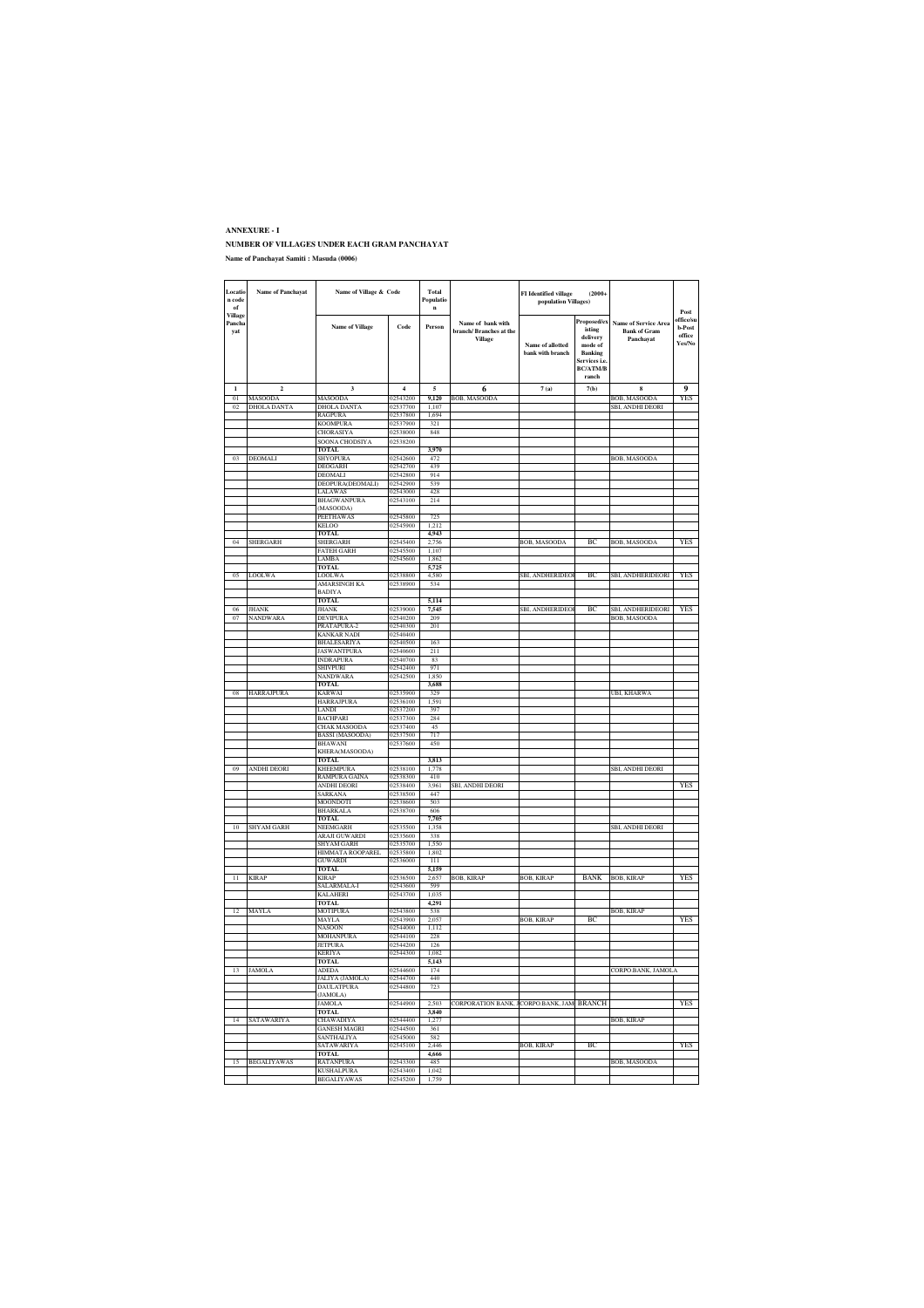#### **ANNEXURE - I NUMBER OF VILLAGES UNDER EACH GRAM PANCHAYAT Name of Panchayat Samiti : Masuda (0006)**

| Locatic<br>n code<br>of  | Name of Panchayat  | Name of Village & Code                        |                      | Total<br>Populatio<br>$\mathbf{n}$ |                                                               | FI Identified village<br>population Villages) | $(2000 +$                                                                                                |                                                                 | Post                                              |
|--------------------------|--------------------|-----------------------------------------------|----------------------|------------------------------------|---------------------------------------------------------------|-----------------------------------------------|----------------------------------------------------------------------------------------------------------|-----------------------------------------------------------------|---------------------------------------------------|
| Village<br>Pancha<br>yat |                    | <b>Name of Village</b>                        | Code                 | Person                             | Name of bank with<br>branch/Branches at the<br><b>Village</b> | Name of allotted<br>bank with branch          | Proposed/ex<br>isting<br>delivery<br>mode of<br>Banking<br>.<br>Services i e<br><b>BC/ATM/B</b><br>ranch | <b>Name of Service Area</b><br><b>Bank of Gram</b><br>Panchayat | office/su<br>b-Post<br>$_{\rm{office}}$<br>Yes/No |
| $\mathbf{I}$             | $\overline{2}$     | $\overline{\mathbf{3}}$                       | $\overline{4}$       | 5                                  | 6                                                             | 7(a)                                          | 7(b)                                                                                                     |                                                                 | 9                                                 |
| $\overline{0}$           | <b>MASOODA</b>     | MASOODA                                       | 02543200             | 9.120                              | <b>BOB, MASOODA</b>                                           |                                               |                                                                                                          | <b>BOB, MASOODA</b>                                             | YES                                               |
| 0 <sub>2</sub>           | <b>DHOLA DANTA</b> | DHOLA DANTA                                   | 02537700             | 1,107                              |                                                               |                                               |                                                                                                          | SBI, ANDHI DEORI                                                |                                                   |
|                          |                    | <b>AGPURA</b><br>KOOMPURA                     | 02537800<br>02537900 | 1,694<br>321                       |                                                               |                                               |                                                                                                          |                                                                 |                                                   |
|                          |                    | CHORASIYA                                     | 02538000             | 848                                |                                                               |                                               |                                                                                                          |                                                                 |                                                   |
|                          |                    | SOONA CHODSIYA                                | 02538200             |                                    |                                                               |                                               |                                                                                                          |                                                                 |                                                   |
|                          |                    | TOTAL                                         |                      | 3,970                              |                                                               |                                               |                                                                                                          |                                                                 |                                                   |
|                          | DEOMALI            | SHYOPURA<br>DEOGARH                           | 02542600<br>02542700 | 472<br>439                         |                                                               |                                               |                                                                                                          | BOB, MASOODA                                                    |                                                   |
|                          |                    | DEOMALI                                       | 02542800             | 914                                |                                                               |                                               |                                                                                                          |                                                                 |                                                   |
|                          |                    | DEOPURA(DEOMALI)                              | 02542900             | 539                                |                                                               |                                               |                                                                                                          |                                                                 |                                                   |
|                          |                    | LALAWAS                                       | 02543000             | 428                                |                                                               |                                               |                                                                                                          |                                                                 |                                                   |
|                          |                    | <b>BHAGWANPURA</b><br>MASOODA)                | 02543100             | 214                                |                                                               |                                               |                                                                                                          |                                                                 |                                                   |
|                          |                    | PEETHAWAS                                     | 02545800             | 725                                |                                                               |                                               |                                                                                                          |                                                                 |                                                   |
|                          |                    | KELOO                                         | 02545900             | 1,212                              |                                                               |                                               |                                                                                                          |                                                                 |                                                   |
|                          |                    | <b>TOTAL</b>                                  |                      | 4,943                              |                                                               |                                               |                                                                                                          |                                                                 |                                                   |
| 04                       | SHERGARH           | SHERGARH<br>FATEH GARH                        | 02545400<br>02545500 | 2,756<br>1,107                     |                                                               | BOB, MASOODA                                  | BC                                                                                                       | BOB, MASOODA                                                    | <b>YES</b>                                        |
|                          |                    | LAMBA                                         | 02545600             | 1.862                              |                                                               |                                               |                                                                                                          |                                                                 |                                                   |
|                          |                    | TOTAL                                         |                      | 5,725                              |                                                               |                                               |                                                                                                          |                                                                 |                                                   |
| 05                       | <b>LOOLWA</b>      | LOOLWA                                        | 02538800             | 4580                               |                                                               | SBI, ANDHERIDEO                               | B(                                                                                                       | SBI, ANDHERIDEORI                                               | YF.                                               |
|                          |                    | <b>AMARSINGH KA</b>                           | 02538900             | 534                                |                                                               |                                               |                                                                                                          |                                                                 |                                                   |
|                          |                    | <b>BADIYA</b><br>TOTAL                        |                      | 5,114                              |                                                               |                                               |                                                                                                          |                                                                 |                                                   |
| 06                       | JHANK              | HANK                                          | 02539000             | 7,545                              |                                                               | SBI, ANDHERIDEO                               | BC                                                                                                       | SBI, ANDHERIDEORI                                               | <b>YES</b>                                        |
| 07                       | <b>NANDWARA</b>    | DEVIPURA                                      | 02540200             | 209                                |                                                               |                                               |                                                                                                          | BOB, MASOODA                                                    |                                                   |
|                          |                    | PRATAPURA-2                                   | 02540300             | 201                                |                                                               |                                               |                                                                                                          |                                                                 |                                                   |
|                          |                    | KANKAR NADI<br><b>BHALESARIYA</b>             | 02540400<br>02540500 | 163                                |                                                               |                                               |                                                                                                          |                                                                 |                                                   |
|                          |                    | <b>JASWANTPURA</b>                            | 02540600             | 211                                |                                                               |                                               |                                                                                                          |                                                                 |                                                   |
|                          |                    | <b>INDRAPURA</b>                              | 02540700             | 83                                 |                                                               |                                               |                                                                                                          |                                                                 |                                                   |
|                          |                    | SHIVPURI                                      | 02542400             | 971                                |                                                               |                                               |                                                                                                          |                                                                 |                                                   |
|                          |                    | NANDWARA                                      | 02542500             | 1,850                              |                                                               |                                               |                                                                                                          |                                                                 |                                                   |
| 08                       | HARRAJPURA         | TOTAL<br>KARWAI                               | 02535900             | 3,688<br>329                       |                                                               |                                               |                                                                                                          | UBI, KHARWA                                                     |                                                   |
|                          |                    | <b>HARRAJPURA</b>                             | 02536100             | 1.591                              |                                                               |                                               |                                                                                                          |                                                                 |                                                   |
|                          |                    | LANDI                                         | 02537200             | 397                                |                                                               |                                               |                                                                                                          |                                                                 |                                                   |
|                          |                    | BACHPARI                                      | 02537300             | 284                                |                                                               |                                               |                                                                                                          |                                                                 |                                                   |
|                          |                    | <b>CHAK MASOODA</b><br><b>BASSI</b> (MASOODA) | 02537400<br>02537500 | 45<br>717                          |                                                               |                                               |                                                                                                          |                                                                 |                                                   |
|                          |                    | BHAWANI                                       | 02537600             | 450                                |                                                               |                                               |                                                                                                          |                                                                 |                                                   |
|                          |                    | KHERA(MASOODA)                                |                      |                                    |                                                               |                                               |                                                                                                          |                                                                 |                                                   |
|                          |                    | TOTAL                                         |                      | 3,813                              |                                                               |                                               |                                                                                                          |                                                                 |                                                   |
| 09                       | <b>ANDHI DEORI</b> | <b>KHEEMPURA</b><br>RAMPURA GAINA             | 02538100<br>02538300 | 1,778<br>410                       |                                                               |                                               |                                                                                                          | SBI, ANDHI DEORI                                                |                                                   |
|                          |                    | <b>ANDHI DEORI</b>                            | 02538400             | 3.961                              | SRI ANDHI DEORI                                               |                                               |                                                                                                          |                                                                 | <b>YFS</b>                                        |
|                          |                    | SARKANA                                       | 02538500             | 447                                |                                                               |                                               |                                                                                                          |                                                                 |                                                   |
|                          |                    | MOONDOTI                                      | 02538600             | 503                                |                                                               |                                               |                                                                                                          |                                                                 |                                                   |
|                          |                    | BHARKALA                                      | 02538700             | 606                                |                                                               |                                               |                                                                                                          |                                                                 |                                                   |
| 10                       | SHYAM GARH         | TOTAL<br>NEEMGARH                             | 02535500             | 7,705<br>1,358                     |                                                               |                                               |                                                                                                          | SBI, ANDHI DEORI                                                |                                                   |
|                          |                    | ARAJI GUWARDI                                 | 02535600             | 338                                |                                                               |                                               |                                                                                                          |                                                                 |                                                   |
|                          |                    | <b>SHYAM GARH</b>                             | 02535700             | 1.550                              |                                                               |                                               |                                                                                                          |                                                                 |                                                   |
|                          |                    | HIMMATA ROOPAREL                              | 02535800             | 1.802                              |                                                               |                                               |                                                                                                          |                                                                 |                                                   |
|                          |                    | <b>GUWARDI</b><br><b>TOTAL</b>                | 02536000             | 111<br>5.159                       |                                                               |                                               |                                                                                                          |                                                                 |                                                   |
| Π                        | <b>KIRAP</b>       | KIRAP                                         | 02536500             | 2.65                               | BOB, KIRAP                                                    | 3OB, KIRAI                                    | BANK                                                                                                     | BOB, KIRAF                                                      | YE.                                               |
|                          |                    | SALARMALA-I                                   | 02543600             | 599                                |                                                               |                                               |                                                                                                          |                                                                 |                                                   |
|                          |                    | CALAHERI<br><b>TOTAL</b>                      | 02543700             | 1,03 <sup>2</sup>                  |                                                               |                                               |                                                                                                          |                                                                 |                                                   |
| 12                       | MAYLA              | MOTIPURA                                      | 02543800             | 4,291<br>538                       |                                                               |                                               |                                                                                                          | <b>BOB, KIRAF</b>                                               |                                                   |
|                          |                    | MAYLA                                         | 02543900             | 2,057                              |                                                               | BOB, KIRAP                                    | BC                                                                                                       |                                                                 | YES                                               |
|                          |                    | VASOON                                        | 02544000             | 1112                               |                                                               |                                               |                                                                                                          |                                                                 |                                                   |
|                          |                    | <b>MOHANPURA</b>                              | 02544100<br>02544200 | 228<br>126                         |                                                               |                                               |                                                                                                          |                                                                 |                                                   |
|                          |                    | <b>JETPURA</b><br>KERIYA                      | 02544300             | 1,082                              |                                                               |                                               |                                                                                                          |                                                                 |                                                   |
|                          |                    | TOTAL                                         |                      | 5,143                              |                                                               |                                               |                                                                                                          |                                                                 |                                                   |
| 13                       | <b>JAMOLA</b>      | ADEDA                                         | 02544600             | 174                                |                                                               |                                               |                                                                                                          | CORPO.BANK, JAMOLA                                              |                                                   |
|                          |                    | JALIYA (JAMOLA)                               | 02544700             | 440                                |                                                               |                                               |                                                                                                          |                                                                 |                                                   |
|                          |                    | <b>DAULATPURA</b><br>(JAMOLA)                 | 02544800             | 723                                |                                                               |                                               |                                                                                                          |                                                                 |                                                   |
|                          |                    | <b>JAMOLA</b>                                 | 02544900             | 2.503                              | CORPORATION BANK, JCORPO.BANK, JAM BRANCH                     |                                               |                                                                                                          |                                                                 | <b>YES</b>                                        |
|                          |                    | <b>TOTAL</b>                                  |                      | 3,840                              |                                                               |                                               |                                                                                                          |                                                                 |                                                   |
| 14                       | SATAWARIYA         | CHAWADIYA                                     | 02544400             | 1,277                              |                                                               |                                               |                                                                                                          | <b>BOB, KIRAP</b>                                               |                                                   |
|                          |                    | GANESH MAGRI<br>SANTHALIYA                    | 02544500<br>02545000 | 361<br>582                         |                                                               |                                               |                                                                                                          |                                                                 |                                                   |
|                          |                    | <b>SATAWARIYA</b>                             | 02545100             | 2,446                              |                                                               | BOB, KIRAP                                    | BC                                                                                                       |                                                                 | YES                                               |
|                          |                    | TOTAL                                         |                      | 4.666                              |                                                               |                                               |                                                                                                          |                                                                 |                                                   |
| 15                       | <b>BEGALIYAWAS</b> | RATANPURA<br>KUSHALPURA                       | 02543300<br>02543400 | 485                                |                                                               |                                               |                                                                                                          | <b>BOB, MASOODA</b>                                             |                                                   |
|                          |                    | <b>BEGALIYAWAS</b>                            | 02545200             | 1.042<br>1.759                     |                                                               |                                               |                                                                                                          |                                                                 |                                                   |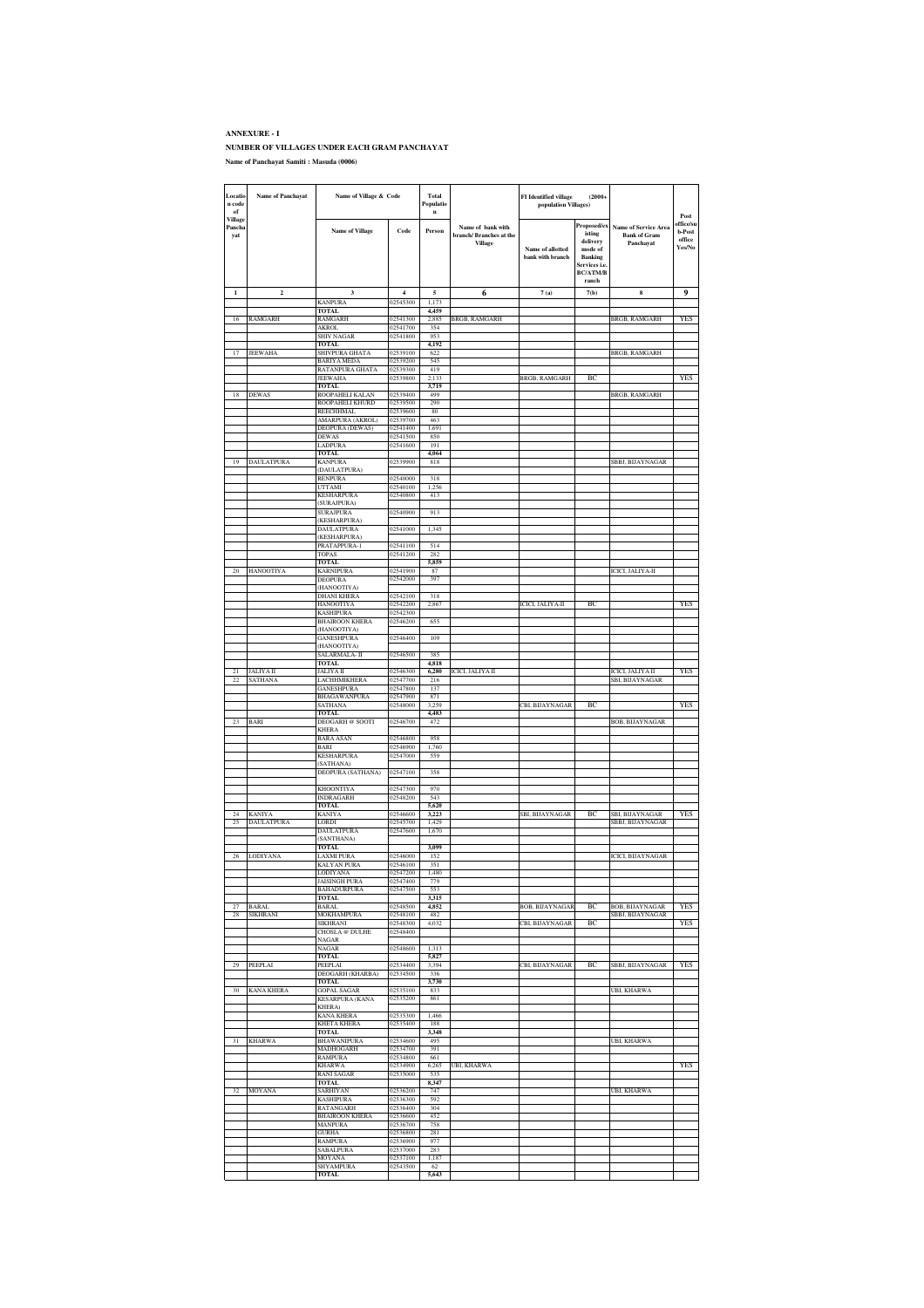#### **ANNEXURE - I NUMBER OF VILLAGES UNDER EACH GRAM PANCHAYAT Name of Panchayat Samiti : Masuda (0006)**

| Locatio<br>n code<br>$_{\mathrm{of}}$<br>Village | <b>Name of Panchayat</b>    | Name of Village & Code                    |                      | Total<br>FI Identified village<br>$(2000 +$<br>Populatio<br>population Villages)<br>$\mathbf{n}$ |                                                               |                                      |                                                                                                             |                                                                 | Post                                           |
|--------------------------------------------------|-----------------------------|-------------------------------------------|----------------------|--------------------------------------------------------------------------------------------------|---------------------------------------------------------------|--------------------------------------|-------------------------------------------------------------------------------------------------------------|-----------------------------------------------------------------|------------------------------------------------|
| Pancha<br>yat                                    |                             | <b>Name of Village</b>                    | Code                 | Person                                                                                           | Name of bank with<br>branch/Branches at the<br><b>Village</b> | Name of allotted<br>bank with branch | Proposed/ex<br>isting<br>delivery<br>mode of<br><b>Banking</b><br>Services i.e.<br><b>BC/ATM/B</b><br>ranch | <b>Name of Service Area</b><br><b>Bank of Gram</b><br>Panchayat | office/su<br><b>b-Post</b><br>office<br>Yes/No |
| 1                                                | $\mathbf 2$                 | 3                                         | $\overline{4}$       | 5                                                                                                | 6                                                             | 7(a)                                 | 7(b)                                                                                                        | 8                                                               | 9                                              |
|                                                  |                             | <b>KANPURA</b><br>TOTAL                   | 02545300             | 1,173<br>4,459                                                                                   |                                                               |                                      |                                                                                                             |                                                                 |                                                |
| 16                                               | RAMGARH                     | RAMGARH<br>AKROL                          | 02541300<br>02541700 | 2,885<br>354                                                                                     | <b>BRGB, RAMGARH</b>                                          |                                      |                                                                                                             | BRGB, RAMGARH                                                   | YES                                            |
|                                                  |                             | <b>SHIV NAGAR</b>                         | 02541800             | 953                                                                                              |                                                               |                                      |                                                                                                             |                                                                 |                                                |
| 17                                               | JEEWAHA                     | <b>TOTAL</b><br>SHIVPURA GHATA            | 02539100             | 4,192<br>622                                                                                     |                                                               |                                      |                                                                                                             | BRGB, RAMGARH                                                   |                                                |
|                                                  |                             | <b>BARIYA MEDA</b><br>RATANPURA GHATA     | 02539200<br>02539300 | 545<br>419                                                                                       |                                                               |                                      |                                                                                                             |                                                                 |                                                |
|                                                  |                             | <b>JEEWAHA</b>                            | 02539800             | 2,133                                                                                            |                                                               | <b>BRGB, RAMGARH</b>                 | BC                                                                                                          |                                                                 | YES                                            |
| 18                                               | <b>DEWAS</b>                | <b>TOTAL</b><br>ROOPAHELI KALAN           | 02539400             | 3,719<br>499                                                                                     |                                                               |                                      |                                                                                                             | BRGB, RAMGARH                                                   |                                                |
|                                                  |                             | ROOPAHELI KHURD<br>REECHHMAL              | 02539500<br>02539600 | 290<br>80                                                                                        |                                                               |                                      |                                                                                                             |                                                                 |                                                |
|                                                  |                             | <b>AMARPURA (AKROL)</b>                   | 02539700<br>02541400 | 463<br>1,691                                                                                     |                                                               |                                      |                                                                                                             |                                                                 |                                                |
|                                                  |                             | DEOPURA (DEWAS)<br><b>DEWAS</b>           | 02541500             | 850                                                                                              |                                                               |                                      |                                                                                                             |                                                                 |                                                |
|                                                  |                             | LADPURA<br><b>TOTAL</b>                   | 02541600             | 191<br>4,064                                                                                     |                                                               |                                      |                                                                                                             |                                                                 |                                                |
| 19                                               | DAULATPURA                  | <b>KANPURA</b><br>(DAULATPURA)            | 02539900             | 818                                                                                              |                                                               |                                      |                                                                                                             | SBBJ, BIJAYNAGAR                                                |                                                |
|                                                  |                             | <b>RENPURA</b>                            | 02540000             | 318                                                                                              |                                                               |                                      |                                                                                                             |                                                                 |                                                |
|                                                  |                             | UTTAMI<br>KESHARPURA                      | 02540100<br>02540800 | 1,256<br>413                                                                                     |                                                               |                                      |                                                                                                             |                                                                 |                                                |
|                                                  |                             | SURAJPURA)<br><b>SURAJPURA</b>            | 02540900             | 913                                                                                              |                                                               |                                      |                                                                                                             |                                                                 |                                                |
|                                                  |                             | (KESHARPURA)                              |                      |                                                                                                  |                                                               |                                      |                                                                                                             |                                                                 |                                                |
|                                                  |                             | <b>DAULATPURA</b><br>(KESHARPURA)         | 02541000             | 1,345                                                                                            |                                                               |                                      |                                                                                                             |                                                                 |                                                |
|                                                  |                             | PRATAPPURA-1<br>TOPAS                     | 02541100<br>02541200 | 514<br>282                                                                                       |                                                               |                                      |                                                                                                             |                                                                 |                                                |
| 20                                               | HANOOTIYA                   | TOTAL<br><b>KARNIPURA</b>                 | 02541900             | 5,859<br>87                                                                                      |                                                               |                                      |                                                                                                             | ICICI, JALIYA-II                                                |                                                |
|                                                  |                             | DEOPURA                                   | 02542000             | 397                                                                                              |                                                               |                                      |                                                                                                             |                                                                 |                                                |
|                                                  |                             | (HANOOTIYA)<br>DHANI KHERA                | 02542100             | 318                                                                                              |                                                               |                                      |                                                                                                             |                                                                 |                                                |
|                                                  |                             | HANOOTIYA<br><b>KASHIPURA</b>             | 02542200<br>02542300 | 2,867                                                                                            |                                                               | ICICI, JALIYA-II                     | ВC                                                                                                          |                                                                 | YES                                            |
|                                                  |                             | <b>BHAIROON KHERA</b>                     | 02546200             | 655                                                                                              |                                                               |                                      |                                                                                                             |                                                                 |                                                |
|                                                  |                             | (HANOOTIYA)<br><b>GANESHPURA</b>          | 02546400             | 109                                                                                              |                                                               |                                      |                                                                                                             |                                                                 |                                                |
|                                                  |                             | (HANOOTIYA)<br>SALARMALA- II              | 02546500             | 385                                                                                              |                                                               |                                      |                                                                                                             |                                                                 |                                                |
|                                                  |                             | <b>TOTAL</b>                              |                      | 4,818                                                                                            |                                                               |                                      |                                                                                                             |                                                                 |                                                |
| 21<br>22                                         | <b>JALIYA II</b><br>SATHANA | JALIYA II<br>LACHHMIKHERA                 | 02546300<br>02547700 | 6,280<br>216                                                                                     | ICICI, JALIYA II                                              |                                      |                                                                                                             | ICICI, JALIYA II<br>SBI, BIJAYNAGAR                             | YES                                            |
|                                                  |                             | GANESHPURA<br>BHAGAWANPURA                | 02547800<br>02547900 | 137<br>871                                                                                       |                                                               |                                      |                                                                                                             |                                                                 |                                                |
|                                                  |                             | SATHANA<br><b>TOTAL</b>                   | 02548000             | 3,259<br>4,483                                                                                   |                                                               | CBI, BIJAYNAGAR                      | BC                                                                                                          |                                                                 | YES                                            |
|                                                  | <b>BARI</b>                 | <b>DEOGARH</b> @ SOOTI                    | 02546700             | 472                                                                                              |                                                               |                                      |                                                                                                             | BOB, BIJAYNAGAR                                                 |                                                |
|                                                  |                             | <b>KHERA</b><br><b>BARA ASAN</b>          | 02546800             | 958                                                                                              |                                                               |                                      |                                                                                                             |                                                                 |                                                |
|                                                  |                             | BARI<br><b>KESHARPURA</b>                 | 02546900<br>02547000 | 1,760<br>559                                                                                     |                                                               |                                      |                                                                                                             |                                                                 |                                                |
|                                                  |                             | (SATHANA)                                 |                      |                                                                                                  |                                                               |                                      |                                                                                                             |                                                                 |                                                |
|                                                  |                             | DEOPURA (SATHANA)                         | 02547100             | 358                                                                                              |                                                               |                                      |                                                                                                             |                                                                 |                                                |
|                                                  |                             | KHOONTIYA<br><b>INDRAGARH</b>             | 02547300<br>02548200 | 970<br>543                                                                                       |                                                               |                                      |                                                                                                             |                                                                 |                                                |
| 24                                               | <b>KANIYA</b>               | <b>TOTAL</b><br><b>KANIYA</b>             | 02546600             | 5,620<br>3,223                                                                                   |                                                               |                                      | ВC                                                                                                          |                                                                 | YES                                            |
| 25                                               | DAULATPURA                  | LORDI                                     | 02545700             | 1,429                                                                                            |                                                               | SBI, BIJAYNAGAR                      |                                                                                                             | SBI, BIJAYNAGAR<br>SBBJ, BIJAYNAGAR                             |                                                |
|                                                  |                             | DAULATPURA<br>(SANTHANA)                  | 02547600             | 1,670                                                                                            |                                                               |                                      |                                                                                                             |                                                                 |                                                |
| 26                                               | LODIYANA                    | <b>TOTAL</b><br><b>LAXMI PURA</b>         | 02546000             | 3.099<br>152                                                                                     |                                                               |                                      |                                                                                                             | ICICI, BIJAYNAGAR                                               |                                                |
|                                                  |                             | KALYAN PURA                               | 02546100             | 351                                                                                              |                                                               |                                      |                                                                                                             |                                                                 |                                                |
|                                                  |                             | LODIYANA<br>JAISINGH PURA                 | 02547200<br>02547400 | 1,480<br>779                                                                                     |                                                               |                                      |                                                                                                             |                                                                 |                                                |
|                                                  |                             | <b>BAHADURPURA</b><br>TOTAL.              | 02547500             | 553<br>3.315                                                                                     |                                                               |                                      |                                                                                                             |                                                                 |                                                |
| 27<br>28                                         | <b>BARAL</b><br>SIKHRANI    | BARAL<br>MOKHAMPURA                       | 02548500<br>02548100 | 4,852<br>482                                                                                     |                                                               | <b>BOB, BIJAYNAGAF</b>               | ВC                                                                                                          | BOB, BIJAYNAGAR<br>SBBJ, BIJAYNAGAR                             | YES                                            |
|                                                  |                             | SIKHRANI                                  | 02548300             | 4,032                                                                                            |                                                               | CBI, BIJAYNAGAR                      | ВC                                                                                                          |                                                                 | <b>YES</b>                                     |
|                                                  |                             | CHOSLA @ DULHE<br>NAGAR                   | 02548400             |                                                                                                  |                                                               |                                      |                                                                                                             |                                                                 |                                                |
|                                                  |                             | NAGAR<br><b>TOTAL</b>                     | 02548600             | 1,313<br>5,827                                                                                   |                                                               |                                      |                                                                                                             |                                                                 |                                                |
| 29                                               | PEEPLAI                     | PEEPLAI<br>DEOGARH (KHARBA)               | 02534400<br>02534500 | 3,394<br>336                                                                                     |                                                               | CBI, BIJAYNAGAR                      | ВC                                                                                                          | SBBJ, BIJAYNAGAR                                                | YES                                            |
|                                                  |                             | TOTAL                                     |                      | 3,730                                                                                            |                                                               |                                      |                                                                                                             |                                                                 |                                                |
| 30                                               | <b>KANA KHERA</b>           | <b>GOPAL SAGAR</b><br>KESARPURA (KANA     | 02535100<br>02535200 | 833<br>861                                                                                       |                                                               |                                      |                                                                                                             | UBI, KHARWA                                                     |                                                |
|                                                  |                             | KHERA)<br><b>KANA KHERA</b>               | 02535300             | 1,466                                                                                            |                                                               |                                      |                                                                                                             |                                                                 |                                                |
|                                                  |                             | <b>KHETA KHERA</b>                        | 02535400             | 188                                                                                              |                                                               |                                      |                                                                                                             |                                                                 |                                                |
| 31                                               | <b>KHARWA</b>               | TOTAL<br>BHAWANIPURA                      | 02534600             | 3.348<br>495                                                                                     |                                                               |                                      |                                                                                                             | UBI, KHARWA                                                     |                                                |
|                                                  |                             | MADHOGARH<br><b>RAMPURA</b>               | 02534700<br>02534800 | 391<br>661                                                                                       |                                                               |                                      |                                                                                                             |                                                                 |                                                |
|                                                  |                             | <b>KHARWA</b><br><b>RANI SAGAR</b>        | 02534900             | 6,265<br>535                                                                                     | UBI, KHARWA                                                   |                                      |                                                                                                             |                                                                 | YES                                            |
|                                                  |                             | <b>TOTAL</b>                              | 02535000             | 8,347                                                                                            |                                                               |                                      |                                                                                                             |                                                                 |                                                |
| 32                                               | MOYANA                      | <b>SARHIYAN</b><br><b>KASHIPURA</b>       | 02536200<br>02536300 | 747<br>592                                                                                       |                                                               |                                      |                                                                                                             | UBI, KHARWA                                                     |                                                |
|                                                  |                             | <b>RATANGARH</b><br><b>BHAIROON KHERA</b> | 02536400<br>02536600 | 304<br>452                                                                                       |                                                               |                                      |                                                                                                             |                                                                 |                                                |
|                                                  |                             | MANPURA                                   | 02536700             | 758                                                                                              |                                                               |                                      |                                                                                                             |                                                                 |                                                |
|                                                  |                             | <b>GURHA</b><br>RAMPURA                   | 02536800<br>02536900 | 281<br>977                                                                                       |                                                               |                                      |                                                                                                             |                                                                 |                                                |
|                                                  |                             | SABALPURA<br>MOYANA                       | 02537000<br>02537100 | 283<br>1.187                                                                                     |                                                               |                                      |                                                                                                             |                                                                 |                                                |
|                                                  |                             | SHYAMPURA<br><b>TOTAL</b>                 | 02543500             | 62<br>5,643                                                                                      |                                                               |                                      |                                                                                                             |                                                                 |                                                |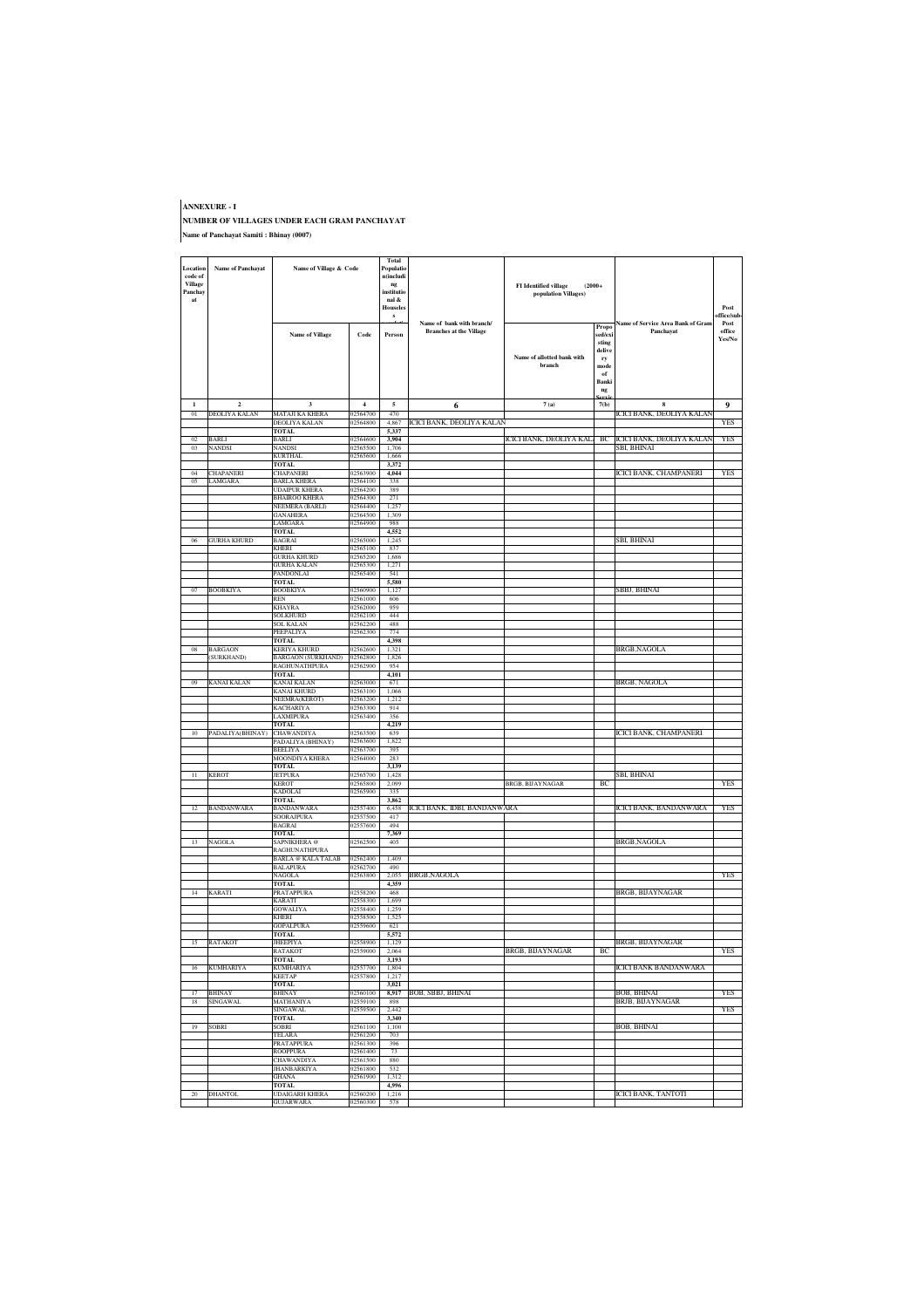#### **ANNEXURE - I NUMBER OF VILLAGES UNDER EACH GRAM PANCHAYAT Name of Panchayat Samiti : Bhinay (0007)**

| Location<br>code of<br><b>Village</b><br>Panchay<br>at | <b>Name of Panchayat</b>     | Name of Village & Code                           |                         | <b>Total</b><br>Populatio<br>n(includi<br>ng<br>institutio<br>nal &<br><b>Houseles</b> |                                                             | <b>FI</b> Identified village<br>$(2000+$<br>population Villages) |                                                                                   |                                                | Post                                    |
|--------------------------------------------------------|------------------------------|--------------------------------------------------|-------------------------|----------------------------------------------------------------------------------------|-------------------------------------------------------------|------------------------------------------------------------------|-----------------------------------------------------------------------------------|------------------------------------------------|-----------------------------------------|
|                                                        |                              | <b>Name of Village</b>                           | Code                    | s<br>Person                                                                            | Name of bank with branch/<br><b>Branches at the Village</b> | Name of allotted bank with<br>branch                             | Propo<br>sed/exi<br>sting<br>delive<br>ry<br>$\mathbf{mode}$<br>of<br>Banki<br>ng | Name of Service Area Bank of Gram<br>Panchayat | office/sub-<br>Post<br>office<br>Yes/No |
| $\mathbf{1}$                                           | $\overline{2}$               | $\overline{\mathbf{3}}$                          | $\overline{\mathbf{4}}$ | $\overline{\mathbf{5}}$                                                                | 6                                                           | 7(a)                                                             | 7(b)                                                                              | $\bf8$                                         | $\boldsymbol{9}$                        |
| 01                                                     | DEOLIYA KALAN                | MATAJI KA KHERA                                  | 02564700                | 470                                                                                    |                                                             |                                                                  |                                                                                   | ICICI BANK, DEOLIYA KALAM                      |                                         |
|                                                        |                              | DEOLIYA KALAN<br>TOTAL                           | 02564800                | 4,867<br>5.337                                                                         | ICICI BANK, DEOLIYA KALAN                                   |                                                                  |                                                                                   |                                                | YES                                     |
| 02                                                     | <b>BARLI</b>                 | <b>BARLI</b>                                     | 02564600                | 3,904                                                                                  |                                                             | ICICI BANK, DEOLIYA KAL                                          | BC                                                                                | ICICI BANK, DEOLIYA KALAN                      | <b>YES</b>                              |
| 03                                                     | <b>NANDSI</b>                | NANDSI<br>KURTHAL                                | 02565500<br>02565600    | 1,706<br>1,666                                                                         |                                                             |                                                                  |                                                                                   | SBI, BHINAI                                    |                                         |
|                                                        |                              | <b>TOTAL</b>                                     |                         | 3,372                                                                                  |                                                             |                                                                  |                                                                                   |                                                |                                         |
| 04                                                     | <b>CHAPANERI</b>             | CHAPANERI                                        | 02563900                | 4,044                                                                                  |                                                             |                                                                  |                                                                                   | ICICI BANK, CHAMPANERI                         | YES                                     |
| 0 <sub>5</sub>                                         | LAMGARA                      | <b>BARLA KHERA</b><br>UDAIPUR KHERA              | 02564100<br>02564200    | 338<br>389                                                                             |                                                             |                                                                  |                                                                                   |                                                |                                         |
|                                                        |                              | BHAIROO KHERA                                    | 02564300                | 271                                                                                    |                                                             |                                                                  |                                                                                   |                                                |                                         |
|                                                        |                              | NEEMERA (BARLI)<br>GANAHERA                      | 02564400<br>02564500    | 1,257<br>1,309                                                                         |                                                             |                                                                  |                                                                                   |                                                |                                         |
|                                                        |                              | LAMGARA                                          | 02564900                | 988                                                                                    |                                                             |                                                                  |                                                                                   |                                                |                                         |
|                                                        | <b>GURHA KHURD</b>           | <b>TOTAL</b><br>BAGRAI                           | 02565000                | 4,552                                                                                  |                                                             |                                                                  |                                                                                   | SBI, BHINAI                                    |                                         |
|                                                        |                              | KHERI                                            | 02565100                | 1,245<br>837                                                                           |                                                             |                                                                  |                                                                                   |                                                |                                         |
|                                                        |                              | <b>GURHA KHURD</b>                               | 02565200                | 1,686                                                                                  |                                                             |                                                                  |                                                                                   |                                                |                                         |
|                                                        |                              | <b>GURHA KALAN</b><br>PANDONLAI                  | 02565300<br>02565400    | 1.271<br>541                                                                           |                                                             |                                                                  |                                                                                   |                                                |                                         |
|                                                        |                              | TOTAL                                            |                         | 5.580                                                                                  |                                                             |                                                                  |                                                                                   |                                                |                                         |
| 07                                                     | <b>BOOBKIYA</b>              | <b>BOOBKIYA</b><br><b>REN</b>                    | 02560900<br>02561000    | 1,127<br>606                                                                           |                                                             |                                                                  |                                                                                   | SBBJ, BHINAI                                   |                                         |
|                                                        |                              | <b>KHAYRA</b>                                    | 02562000                | 959                                                                                    |                                                             |                                                                  |                                                                                   |                                                |                                         |
|                                                        |                              | SOLKHURD                                         | 02562100                | 444                                                                                    |                                                             |                                                                  |                                                                                   |                                                |                                         |
|                                                        |                              | <b>SOL KALAN</b><br>PEEPALIYA                    | 02562200<br>02562300    | 488<br>774                                                                             |                                                             |                                                                  |                                                                                   |                                                |                                         |
|                                                        |                              | TOTAL                                            |                         | 4.398                                                                                  |                                                             |                                                                  |                                                                                   |                                                |                                         |
| 08                                                     | <b>BARGAON</b><br>(SURKHAND) | <b>KERIYA KHURD</b><br><b>BARGAON (SURKHAND)</b> | 02562600<br>02562800    | 1.321<br>1,826                                                                         |                                                             |                                                                  |                                                                                   | BRGB,NAGOLA                                    |                                         |
|                                                        |                              | RAGHUNATHPURA                                    | 02562900                | 954                                                                                    |                                                             |                                                                  |                                                                                   |                                                |                                         |
| 09                                                     | KANAI KALAN                  | <b>TOTAL</b><br>KANAI KALAN                      | 02563000                | 4,101<br>671                                                                           |                                                             |                                                                  |                                                                                   | BRGB, NAGOLA                                   |                                         |
|                                                        |                              | KANAI KHURD                                      | 02563100                | 1,066                                                                                  |                                                             |                                                                  |                                                                                   |                                                |                                         |
|                                                        |                              | NEEMRA(KEROT)                                    | 02563200                | 1,212                                                                                  |                                                             |                                                                  |                                                                                   |                                                |                                         |
|                                                        |                              | KACHARIYA<br>LAXMIPURA                           | 02563300<br>02563400    | 914<br>356                                                                             |                                                             |                                                                  |                                                                                   |                                                |                                         |
|                                                        |                              | TOTAL                                            |                         | 4,219                                                                                  |                                                             |                                                                  |                                                                                   |                                                |                                         |
| 10                                                     | PADALIYA(BHINAY)             | <b>CHAWANDIYA</b><br>PADALIYA (BHINAY)           | 02563500<br>02563600    | 639<br>1,822                                                                           |                                                             |                                                                  |                                                                                   | ICICI BANK, CHAMPANERI                         |                                         |
|                                                        |                              | <b>BEELIYA</b>                                   | 02563700                | 395                                                                                    |                                                             |                                                                  |                                                                                   |                                                |                                         |
|                                                        |                              | MOONDIYA KHERA<br>TOTAL                          | 02564000                | 283<br>3,139                                                                           |                                                             |                                                                  |                                                                                   |                                                |                                         |
| 11                                                     | <b>KEROT</b>                 | JETPURA                                          | 02565700                | 1.428                                                                                  |                                                             |                                                                  |                                                                                   | SBI, BHINAI                                    |                                         |
|                                                        |                              | KEROT                                            | 02565800                | 2,099                                                                                  |                                                             | BRGB, BIJAYNAGAR                                                 | ВC                                                                                |                                                | YES                                     |
|                                                        |                              | <b>KADOLAI</b><br><b>TOTAL</b>                   | 02565900                | 335<br>3,862                                                                           |                                                             |                                                                  |                                                                                   |                                                |                                         |
| 12                                                     | <b>BANDANWARA</b>            | BANDANWARA                                       | 02557400                | 6,458                                                                                  | ICICI BANK, IDBI, BANDANWARA                                |                                                                  |                                                                                   | ICICI BANK, BANDANWARA                         | YES                                     |
|                                                        |                              | <b>SOORAJPURA</b><br>BAGRAI                      | 02557500<br>02557600    | 417<br>494                                                                             |                                                             |                                                                  |                                                                                   |                                                |                                         |
|                                                        |                              | TOTAL                                            |                         | 7,369                                                                                  |                                                             |                                                                  |                                                                                   |                                                |                                         |
| 13                                                     | NAGOLA                       | SAPNIKHERA@<br><b>RAGHUNATHPURA</b>              | 02562500                | 405                                                                                    |                                                             |                                                                  |                                                                                   | BRGB,NAGOLA                                    |                                         |
|                                                        |                              | <b>BARLA</b> @ KALA TALAB                        | 02562400                | 1.409                                                                                  |                                                             |                                                                  |                                                                                   |                                                |                                         |
|                                                        |                              | <b>BALAPURA</b><br>NAGOLA                        | 02562700<br>02563800    | 490<br>2,055                                                                           |                                                             |                                                                  |                                                                                   |                                                | YES                                     |
|                                                        |                              | <b>TOTAL</b>                                     |                         | 4,359                                                                                  | BRGB,NAGOLA                                                 |                                                                  |                                                                                   |                                                |                                         |
| 14                                                     | KARATI                       | <b>PRATAPPURA</b><br><b>KARATI</b>               | 02558200<br>02558300    | 468<br>1.699                                                                           |                                                             |                                                                  |                                                                                   | BRGB, BIJAYNAGAR                               |                                         |
|                                                        |                              | GOWALIYA                                         | 02558400                | 1,259                                                                                  |                                                             |                                                                  |                                                                                   |                                                |                                         |
|                                                        |                              | <b>KHERI</b>                                     | 02558500                | 1,525                                                                                  |                                                             |                                                                  |                                                                                   |                                                |                                         |
|                                                        |                              | <b>GOPALPURA</b><br>TOTAL                        | 02559600                | 621<br>5.572                                                                           |                                                             |                                                                  |                                                                                   |                                                |                                         |
| 15                                                     | <b>RATAKOT</b>               | <b>JHEEPIYA</b>                                  | 02558900                | 1.129                                                                                  |                                                             |                                                                  |                                                                                   | BRGB, BIJAYNAGAR                               |                                         |
|                                                        |                              | ALAKUI<br>TOTAL                                  |                         | 004.<br>3,193                                                                          |                                                             | экслэ                                                            | ъc                                                                                |                                                | 1 E.S                                   |
| 16                                                     | <b>KUMHARIYA</b>             | <b>KUMHARIYA</b>                                 | 02557700                | 1,804                                                                                  |                                                             |                                                                  |                                                                                   | ICICI BANK BANDANWARA                          |                                         |
|                                                        |                              | <b>KEETAP</b><br><b>TOTAL</b>                    | 02557800                | 1,217<br>3,021                                                                         |                                                             |                                                                  |                                                                                   |                                                |                                         |
| 17                                                     | <b>BHINAY</b>                | <b>BHINAY</b>                                    | 02560100                | 8,917                                                                                  | BOB, SBBJ, BHINAI                                           |                                                                  |                                                                                   | BOB, BHINAI                                    | YES                                     |
| 18                                                     | SINGAWAI                     | MATHANIYA<br>SINGAWAL                            | 02559100<br>02559500    | 898<br>2,442                                                                           |                                                             |                                                                  |                                                                                   | BRJB, BIJAYNAGAR                               | YES                                     |
|                                                        |                              | <b>TOTAL</b>                                     |                         | 3,340                                                                                  |                                                             |                                                                  |                                                                                   |                                                |                                         |
| -19                                                    | <b>SOBRI</b>                 | SOBRI<br>TELARA                                  | 02561100<br>02561200    | 1,100<br>703                                                                           |                                                             |                                                                  |                                                                                   | BOB, BHINAI                                    |                                         |
|                                                        |                              | PRATAPPURA                                       | 02561300                | 396                                                                                    |                                                             |                                                                  |                                                                                   |                                                |                                         |
|                                                        |                              | <b>ROOPPURA</b>                                  | 02561400                | 73                                                                                     |                                                             |                                                                  |                                                                                   |                                                |                                         |
|                                                        |                              | <b>CHAWANDIYA</b><br><b>JHANBARKIYA</b>          | 02561500<br>02561800    | 880<br>532                                                                             |                                                             |                                                                  |                                                                                   |                                                |                                         |
|                                                        |                              | GHANA                                            | 02561900                | 1,312                                                                                  |                                                             |                                                                  |                                                                                   |                                                |                                         |
| 20                                                     | <b>DHANTOL</b>               | TOTAL<br><b>UDAIGARH KHERA</b>                   | 02560200                | 4,996<br>1,216                                                                         |                                                             |                                                                  |                                                                                   | <b>ICICI BANK, TANTOTI</b>                     |                                         |
|                                                        |                              | <b>GUJARWARA</b>                                 | 02560300                | 578                                                                                    |                                                             |                                                                  |                                                                                   |                                                |                                         |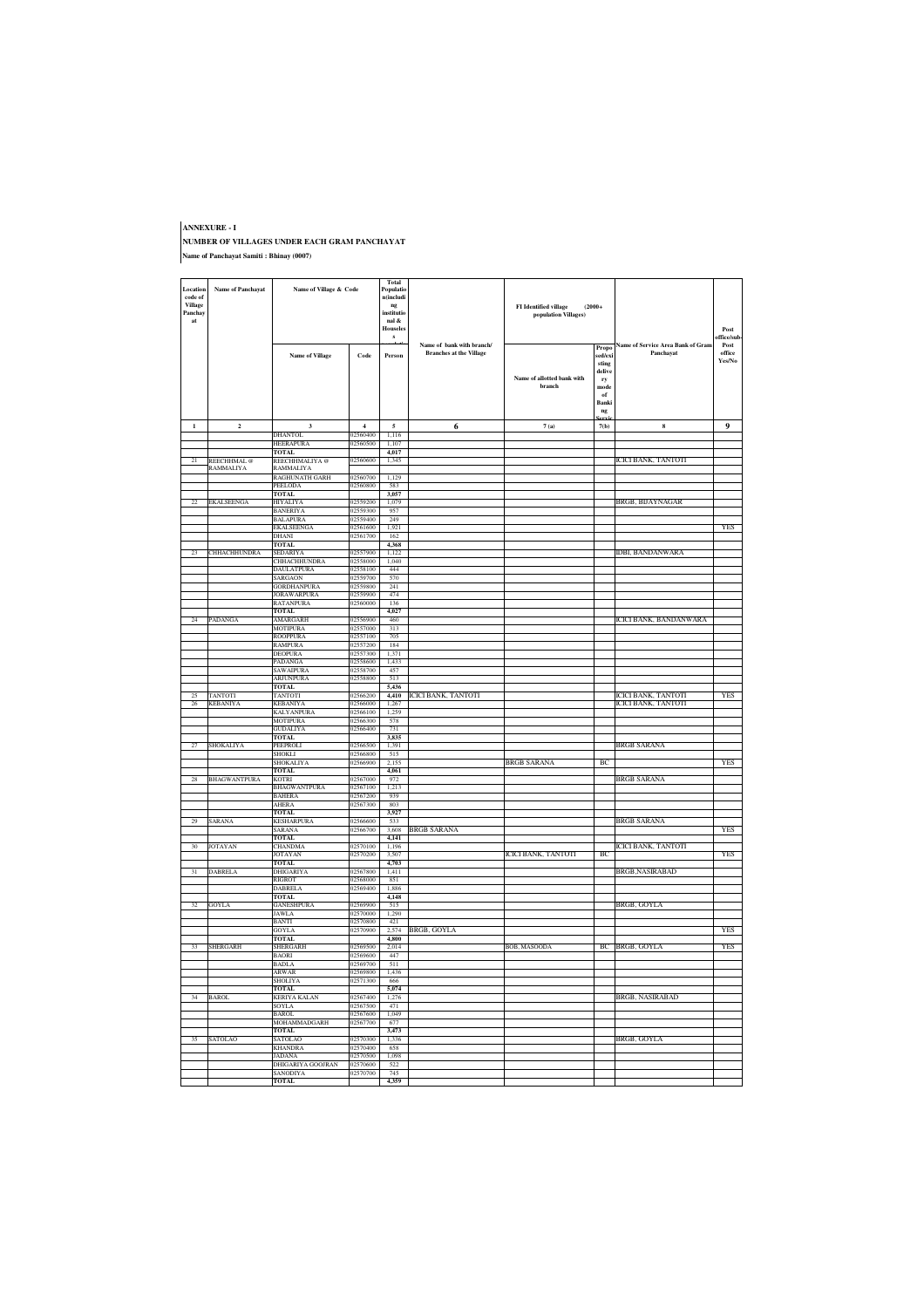#### **ANNEXURE - I NUMBER OF VILLAGES UNDER EACH GRAM PANCHAYAT Name of Panchayat Samiti : Bhinay (0007)**

| Location<br>code of<br><b>Village</b><br>Panchay<br>at | <b>Name of Panchayat</b>         | Name of Village & Code               |                      | Total<br>Populatio<br>$n$ (includi<br>ng<br>institutie<br>nal &<br><b>Houseles</b><br>$\mathbf{s}$ |                                                             | <b>FI</b> Identified village<br>$(2000+$<br>population Villages) |                                                                        |                                                       | Post<br>affice/sul       |
|--------------------------------------------------------|----------------------------------|--------------------------------------|----------------------|----------------------------------------------------------------------------------------------------|-------------------------------------------------------------|------------------------------------------------------------------|------------------------------------------------------------------------|-------------------------------------------------------|--------------------------|
|                                                        |                                  | <b>Name of Village</b>               | Code                 | Person                                                                                             | Name of bank with branch/<br><b>Branches at the Village</b> | Name of allotted bank with<br>hranch                             | Propo<br>sed/exi<br>sting<br>delive<br>ry<br>mode<br>of<br>Banki<br>ng | <b>Name of Service Area Bank of Gram</b><br>Panchayat | Post<br>office<br>Yes/No |
| $\mathbf{1}$                                           | $\overline{\mathbf{c}}$          | $\mathbf 3$                          | $\overline{4}$       | 5                                                                                                  | 6                                                           | $7\;(\mathrm{a})$                                                | ervi<br>7(b)                                                           | $\bf{8}$                                              | 9                        |
|                                                        |                                  | DHANTOL                              | )2560400             | 1,116                                                                                              |                                                             |                                                                  |                                                                        |                                                       |                          |
|                                                        |                                  | HEERAPURA<br><b>TOTAL</b>            | 02560500             | 1,107<br>4,017                                                                                     |                                                             |                                                                  |                                                                        |                                                       |                          |
| 21                                                     | REECHHMAL @                      | REECHHMALIYA @                       | 02560600             | 1,345                                                                                              |                                                             |                                                                  |                                                                        | ICICI BANK, TANTOTI                                   |                          |
|                                                        | RAMMALIYA                        | RAMMALIYA<br><b>RAGHUNATH GARH</b>   | 02560700             | 1.129                                                                                              |                                                             |                                                                  |                                                                        |                                                       |                          |
|                                                        |                                  | PEELODA                              | 02560800             | 583                                                                                                |                                                             |                                                                  |                                                                        |                                                       |                          |
| 22                                                     | <b>EKALSEENGA</b>                | TOTAL.<br><b>HIYALIYA</b>            | 02559200             | 3.057<br>1,079                                                                                     |                                                             |                                                                  |                                                                        |                                                       |                          |
|                                                        |                                  | BANERIYA                             | 02559300             | 957                                                                                                |                                                             |                                                                  |                                                                        | BRGB, BIJAYNAGAR                                      |                          |
|                                                        |                                  | <b>BALAPURA</b>                      | 02559400             | 249                                                                                                |                                                             |                                                                  |                                                                        |                                                       |                          |
|                                                        |                                  | EKALSEENGA<br>DHANI                  | 02561600<br>02561700 | 1,921<br>162                                                                                       |                                                             |                                                                  |                                                                        |                                                       | <b>YES</b>               |
|                                                        |                                  | <b>TOTAL</b>                         |                      | 4,368                                                                                              |                                                             |                                                                  |                                                                        |                                                       |                          |
| 23                                                     | CHHACHHUNDRA                     | SEDARIYA<br><b>CHHACHHUNDRA</b>      | 02557900<br>02558000 | 1,122<br>1.040                                                                                     |                                                             |                                                                  |                                                                        | IDBI, BANDANWARA                                      |                          |
|                                                        |                                  | <b>DAULATPURA</b>                    | 02558100             | 444                                                                                                |                                                             |                                                                  |                                                                        |                                                       |                          |
|                                                        |                                  | <b>SARGAON</b><br><b>GORDHANPURA</b> | 02559700<br>02559800 | 570<br>241                                                                                         |                                                             |                                                                  |                                                                        |                                                       |                          |
|                                                        |                                  | JORAWARPURA                          | 02559900             | 474                                                                                                |                                                             |                                                                  |                                                                        |                                                       |                          |
|                                                        |                                  | RATANPURA                            | 02560000             | 136                                                                                                |                                                             |                                                                  |                                                                        |                                                       |                          |
| 24                                                     | PADANGA                          | <b>TOTAL</b><br>AMARGARH             | 2556900              | 4,027<br>460                                                                                       |                                                             |                                                                  |                                                                        | CICI BANK, BANDANWARA                                 |                          |
|                                                        |                                  | MOTIPURA                             | 02557000             | 313                                                                                                |                                                             |                                                                  |                                                                        |                                                       |                          |
|                                                        |                                  | ROOPPURA<br><b>RAMPURA</b>           | 02557100<br>02557200 | 705<br>184                                                                                         |                                                             |                                                                  |                                                                        |                                                       |                          |
|                                                        |                                  | <b>DEOPURA</b>                       | 02557300             | 1371                                                                                               |                                                             |                                                                  |                                                                        |                                                       |                          |
|                                                        |                                  | PADANGA                              | 02558600<br>02558700 | 1.433<br>457                                                                                       |                                                             |                                                                  |                                                                        |                                                       |                          |
|                                                        |                                  | SAWAIPURA<br>ARJUNPURA               | 02558800             | 513                                                                                                |                                                             |                                                                  |                                                                        |                                                       |                          |
|                                                        |                                  | <b>TOTAL</b>                         |                      | 5,436                                                                                              |                                                             |                                                                  |                                                                        |                                                       |                          |
| 25<br>26                                               | <b>ANTOTI</b><br><b>KEBANIYA</b> | TANTOTI<br><b>KEBANIYA</b>           | 02566200<br>02566000 | 4,410<br>1,267                                                                                     | ICICI BANK, TANTOTI                                         |                                                                  |                                                                        | CICI BANK, TANTOTI<br>ICICI BANK, TANTOTI             | YES                      |
|                                                        |                                  | KALYANPURA                           | 02566100             | 1,259                                                                                              |                                                             |                                                                  |                                                                        |                                                       |                          |
|                                                        |                                  | <b>MOTIPURA</b><br><b>GUDALIYA</b>   | 02566300<br>02566400 | 578<br>731                                                                                         |                                                             |                                                                  |                                                                        |                                                       |                          |
|                                                        |                                  | TOTAL.                               |                      | 3.835                                                                                              |                                                             |                                                                  |                                                                        |                                                       |                          |
| 27                                                     | SHOKALIYA                        | PEEPROLI<br>SHOKLI                   | 12566500<br>02566800 | 1,391<br>515                                                                                       |                                                             |                                                                  |                                                                        | <b>BRGB SARANA</b>                                    |                          |
|                                                        |                                  | SHOKALIYA                            | 02566900             | 2.155                                                                                              |                                                             | <b>BRGB SARANA</b>                                               | -BC                                                                    |                                                       | <b>YES</b>               |
| 28                                                     | <b>BHAGWANTPURA</b>              | TOTAL<br><b>KOTRI</b>                | 02567000             | 4,061                                                                                              |                                                             |                                                                  |                                                                        |                                                       |                          |
|                                                        |                                  | <b>BHAGWANTPURA</b>                  | 02567100             | 972<br>1,213                                                                                       |                                                             |                                                                  |                                                                        | <b>BRGB SARANA</b>                                    |                          |
|                                                        |                                  | <b>BAHERA</b>                        | 02567200             | 939                                                                                                |                                                             |                                                                  |                                                                        |                                                       |                          |
|                                                        |                                  | <b>AHERA</b><br>TOTAL.               | 02567300             | 803<br>3.927                                                                                       |                                                             |                                                                  |                                                                        |                                                       |                          |
| 29                                                     | SARANA                           | <b>KESHARPURA</b>                    | 02566600             | 533                                                                                                |                                                             |                                                                  |                                                                        | <b>BRGB SARANA</b>                                    |                          |
|                                                        |                                  | SARANA                               | 02566700             | 3,608<br>4.141                                                                                     | BRGB SARANA                                                 |                                                                  |                                                                        |                                                       | <b>YES</b>               |
| 30                                                     | JOTAYAN                          | TOTAL<br>CHANDMA                     | 02570100             | 1,196                                                                                              |                                                             |                                                                  |                                                                        | ICICI BANK, TANTOTI                                   |                          |
|                                                        |                                  | JOTAYAN                              | 02570200             | 3,507                                                                                              |                                                             | ICICI BANK, TANTOTI                                              | BC                                                                     |                                                       | YES                      |
| 31                                                     | DABRELA                          | TOTAL<br><b>DHIGARIYA</b>            | 02567800             | 4,703<br>1.411                                                                                     |                                                             |                                                                  |                                                                        | BRGB, NASIRABAD                                       |                          |
|                                                        |                                  | <b>RIGROT</b>                        | 02568000             | 851                                                                                                |                                                             |                                                                  |                                                                        |                                                       |                          |
|                                                        |                                  | <b>DABRELA</b><br>TOTAL.             | 02569400             | 1.886<br>4.148                                                                                     |                                                             |                                                                  |                                                                        |                                                       |                          |
| 32                                                     | GOYLA                            | <b>GANESHPURA</b>                    | 02569900             | 515                                                                                                |                                                             |                                                                  |                                                                        | BRGB, GOYLA                                           |                          |
|                                                        |                                  | JAWLA<br>BANTI                       | 02570000<br>02570800 | 1.290<br>421                                                                                       |                                                             |                                                                  |                                                                        |                                                       |                          |
|                                                        |                                  | GOYLA                                | 02570900             | 2.574                                                                                              | BRGB, GOYLA                                                 |                                                                  |                                                                        |                                                       | YES                      |
| 33                                                     | SHERGARH                         | TOTAL                                | 02569500             | 4,800                                                                                              |                                                             | BOB, MASOODA                                                     |                                                                        | BC BRGB, GOYLA                                        | <b>YES</b>               |
|                                                        |                                  | SHERGARH<br><b>BAORI</b>             | 02569600             | 2,014<br>447                                                                                       |                                                             |                                                                  |                                                                        |                                                       |                          |
|                                                        |                                  | <b>BADLA</b>                         | 02569700             | 511                                                                                                |                                                             |                                                                  |                                                                        |                                                       |                          |
|                                                        |                                  | ARWAR<br>SHOLIYA                     | 02569800<br>02571300 | 1.436<br>666                                                                                       |                                                             |                                                                  |                                                                        |                                                       |                          |
|                                                        |                                  | TOTAL.                               |                      | 5.074                                                                                              |                                                             |                                                                  |                                                                        |                                                       |                          |
| 34                                                     | BAROL                            | KERIYA KALAN<br>SOYLA                | 02567400<br>02567500 | 1,276<br>471                                                                                       |                                                             |                                                                  |                                                                        | BRGB, NASIRABAD                                       |                          |
|                                                        |                                  | BAROL                                | 02567600             | 1,049                                                                                              |                                                             |                                                                  |                                                                        |                                                       |                          |
|                                                        |                                  | MOHAMMADGARH<br>TOTAL                | 02567700             | 677<br>3,473                                                                                       |                                                             |                                                                  |                                                                        |                                                       |                          |
| 35                                                     | SATOLAO                          | <b>SATOLAO</b>                       | 02570300             | 1.336                                                                                              |                                                             |                                                                  |                                                                        | BRGB, GOYLA                                           |                          |
|                                                        |                                  | <b>KHANDRA</b><br><b>JADANA</b>      | 02570400<br>02570500 | 658<br>1.098                                                                                       |                                                             |                                                                  |                                                                        |                                                       |                          |
|                                                        |                                  | DHIGARIYA GOOJRAN                    | 02570600             | 522                                                                                                |                                                             |                                                                  |                                                                        |                                                       |                          |
|                                                        |                                  | SANODIYA                             | 02570700             | 745                                                                                                |                                                             |                                                                  |                                                                        |                                                       |                          |
|                                                        |                                  | <b>TOTAL</b>                         |                      | 4.359                                                                                              |                                                             |                                                                  |                                                                        |                                                       |                          |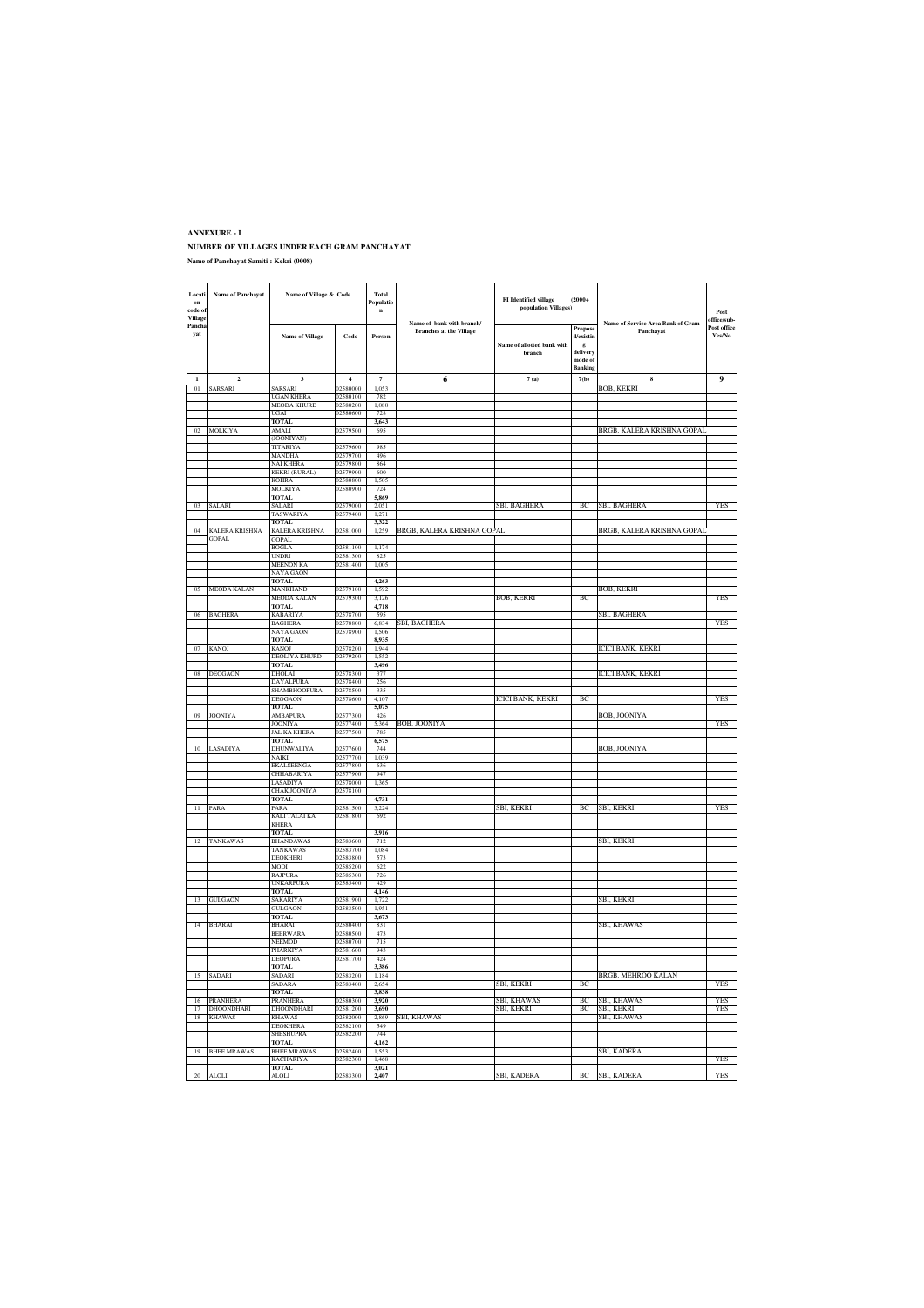#### **ANNEXURE - I NUMBER OF VILLAGES UNDER EACH GRAM PANCHAYAT Name of Panchayat Samiti : Kekri (0008)**

| Locati<br>on<br>code of | Name of Panchavat                | Name of Village & Code             |                            | Total<br>Populatio<br>$\bf n$ |                                                             | FI Identified village<br>$(2000+$<br>population Villages) |                          |                                                |                                            |
|-------------------------|----------------------------------|------------------------------------|----------------------------|-------------------------------|-------------------------------------------------------------|-----------------------------------------------------------|--------------------------|------------------------------------------------|--------------------------------------------|
| Village                 |                                  |                                    |                            |                               |                                                             |                                                           |                          |                                                | $\boldsymbol{\mathsf{Post}}$<br>office/sub |
| Pancha                  |                                  |                                    |                            |                               | Name of bank with branch/<br><b>Branches at the Village</b> |                                                           | Propose                  | Name of Service Area Bank of Gram<br>Panchayat | Post office                                |
| yat                     |                                  | <b>Name of Village</b>             | Code                       | Person                        |                                                             |                                                           | d/existin                |                                                | Yes/No                                     |
|                         |                                  |                                    |                            |                               |                                                             | Name of allotted bank with<br>branch                      | $\mathbf{g}$<br>delivery |                                                |                                            |
|                         |                                  |                                    |                            |                               |                                                             |                                                           | mode of                  |                                                |                                            |
|                         |                                  |                                    |                            |                               |                                                             |                                                           | <b>Banking</b>           |                                                |                                            |
|                         | $\overline{2}$<br><b>SARSARI</b> | 3<br><b>SARSARI</b>                | $\overline{4}$<br>02580000 | $\overline{7}$<br>1.053       | 6                                                           | 7(a)                                                      | 7(b)                     | $\bf8$                                         | 9                                          |
| 01                      |                                  | <b>UGAN KHERA</b>                  | 02580100                   | 782                           |                                                             |                                                           |                          | <b>BOB, KEKRI</b>                              |                                            |
|                         |                                  | MEODA KHURD                        | 02580200                   | 1,080                         |                                                             |                                                           |                          |                                                |                                            |
|                         |                                  | UGAI                               | 02580600                   | 728                           |                                                             |                                                           |                          |                                                |                                            |
|                         | <b>MOLKIYA</b>                   | <b>TOTAL</b>                       | 02579500                   | 3.643                         |                                                             |                                                           |                          | BRGB, KALERA KRISHNA GOPAI                     |                                            |
| 02                      |                                  | AMALI<br>(JOONIYAN)                |                            | 695                           |                                                             |                                                           |                          |                                                |                                            |
|                         |                                  | TITARIYA                           | 02579600                   | 985                           |                                                             |                                                           |                          |                                                |                                            |
|                         |                                  | MANDHA                             | 02579700                   | 496                           |                                                             |                                                           |                          |                                                |                                            |
|                         |                                  | NAI KHERA                          | 02579800                   | 864                           |                                                             |                                                           |                          |                                                |                                            |
|                         |                                  | <b>KEKRI (RURAL)</b><br>KOHRA      | 02579900<br>2580800        | 600<br>1,505                  |                                                             |                                                           |                          |                                                |                                            |
|                         |                                  | <b>MOLKIYA</b>                     | 02580900                   | 724                           |                                                             |                                                           |                          |                                                |                                            |
|                         |                                  | <b>TOTAL</b>                       |                            | 5.869                         |                                                             |                                                           |                          |                                                |                                            |
|                         | SALARI                           | SALARI                             | 02579000                   | 2,051                         |                                                             | SBI, BAGHERA                                              | BC                       | SBI, BAGHERA                                   | YES                                        |
|                         |                                  | TASWARIYA<br>TOTAL                 | 02579400                   | 1,271<br>3,322                |                                                             |                                                           |                          |                                                |                                            |
| 04                      | <b>KALERA KRISHNA</b>            | <b>KALERA KRISHNA</b>              | 02581000                   | 1,259                         | BRGB, KALERA KRISHNA GOPAL                                  |                                                           |                          | BRGB, KALERA KRISHNA GOPAL                     |                                            |
|                         | <b>GOPAL</b>                     | <b>GOPAL</b>                       |                            |                               |                                                             |                                                           |                          |                                                |                                            |
|                         |                                  | <b>BOGLA</b><br><b>UNDRI</b>       | 02581100<br>02581300       | 1,174                         |                                                             |                                                           |                          |                                                |                                            |
|                         |                                  | MEENON KA                          | 02581400                   | 825<br>1,005                  |                                                             |                                                           |                          |                                                |                                            |
|                         |                                  | NAYA GAON                          |                            |                               |                                                             |                                                           |                          |                                                |                                            |
|                         |                                  | <b>TOTAL</b>                       |                            | 4,263                         |                                                             |                                                           |                          |                                                |                                            |
|                         | <b>MEODA KALAN</b>               | MANKHAND                           | 02579100<br>02579300       | 1.592<br>3126                 |                                                             |                                                           | ВC                       | <b>BOB, KEKRI</b>                              | <b>YES</b>                                 |
|                         |                                  | <b>MEODA KALAN</b><br><b>TOTAL</b> |                            | 4,718                         |                                                             | <b>BOB, KEKRI</b>                                         |                          |                                                |                                            |
|                         | 06 BAGHERA                       | KABARIYA                           | 02578700                   | 595                           |                                                             |                                                           |                          | SBI, BAGHERA                                   |                                            |
|                         |                                  | BAGHERA                            | 02578800                   | 6,834                         | SBI, BAGHERA                                                |                                                           |                          |                                                | <b>YES</b>                                 |
|                         |                                  | NAYA GAON                          | 02578900                   | 1,506                         |                                                             |                                                           |                          |                                                |                                            |
| 07                      | <b>KANOJ</b>                     | <b>TOTAL</b><br><b>KANOJ</b>       | 02578200                   | 8,935<br>1.944                |                                                             |                                                           |                          | ICICI BANK, KEKRI                              |                                            |
|                         |                                  | DEOLIYA KHURD                      | 02579200                   | 1.552                         |                                                             |                                                           |                          |                                                |                                            |
|                         |                                  | <b>TOTAL</b>                       |                            | 3,496                         |                                                             |                                                           |                          |                                                |                                            |
| 08                      | DEOGAON                          | DHOLAI                             | 02578300                   | 377                           |                                                             |                                                           |                          | ICICI BANK, KEKRI                              |                                            |
|                         |                                  | DAYALPURA<br>SHAMBHOOPURA          | 02578400<br>02578500       | 256<br>335                    |                                                             |                                                           |                          |                                                |                                            |
|                         |                                  | DEOGAON                            | 02578600                   | 4.107                         |                                                             | ICICI BANK, KEKRI                                         | BC                       |                                                | <b>YES</b>                                 |
|                         |                                  | <b>TOTAL</b>                       |                            | 5.075                         |                                                             |                                                           |                          |                                                |                                            |
| 09                      | <b>JOONIYA</b>                   | AMBAPURA                           | 02577300                   | 426                           |                                                             |                                                           |                          | BOB, JOONIYA                                   |                                            |
|                         |                                  | JOONIYA<br>JAL KA KHERA            | )2577400<br>02577500       | 5,364<br>785                  | BOB, JOONIYA                                                |                                                           |                          |                                                | YES                                        |
|                         |                                  | <b>TOTAL</b>                       |                            | 6,575                         |                                                             |                                                           |                          |                                                |                                            |
| 10                      | LASADIYA                         | <b>DHUNWALIYA</b>                  | 02577600                   | 744                           |                                                             |                                                           |                          | <b>BOB, JOONIYA</b>                            |                                            |
|                         |                                  | NAIKI                              | 02577700                   | 1.039                         |                                                             |                                                           |                          |                                                |                                            |
|                         |                                  | EKALSEENGA<br>CHHABARIYA           | 02577800<br>02577900       | 636<br>947                    |                                                             |                                                           |                          |                                                |                                            |
|                         |                                  | LASADIYA                           | 02578000                   | 1,365                         |                                                             |                                                           |                          |                                                |                                            |
|                         |                                  | CHAK JOONIYA                       | 02578100                   |                               |                                                             |                                                           |                          |                                                |                                            |
|                         |                                  | <b>TOTAL</b>                       |                            | 4.731                         |                                                             |                                                           | ВC                       |                                                | <b>YES</b>                                 |
| $^{11}$                 | PARA                             | PARA<br>KALI TALAI KA              | 02581500<br>02581800       | 3,224<br>692                  |                                                             | SBI, KEKRI                                                |                          | SBI, KEKRI                                     |                                            |
|                         |                                  | KHERA                              |                            |                               |                                                             |                                                           |                          |                                                |                                            |
|                         |                                  | <b>TOTAL</b>                       |                            | 3,916                         |                                                             |                                                           |                          |                                                |                                            |
| 12                      | TANKAWAS                         | <b>BHANDAWAS</b><br>TANKAWAS       | 02583600<br>02583700       | 712<br>1.084                  |                                                             |                                                           |                          | SBI, KEKRI                                     |                                            |
|                         |                                  | <b>DEOKHERI</b>                    | 02583800                   | 573                           |                                                             |                                                           |                          |                                                |                                            |
|                         |                                  | MODI                               | 02585200                   | 622                           |                                                             |                                                           |                          |                                                |                                            |
|                         |                                  | <b>RAJPURA</b>                     | 02585300                   | 726                           |                                                             |                                                           |                          |                                                |                                            |
|                         |                                  | JNKARPURA<br><b>TOTAL</b>          | 02585400                   | 429<br>4.146                  |                                                             |                                                           |                          |                                                |                                            |
| 13                      | <b>GULGAON</b>                   | <b>SAKARIYA</b>                    | 02581900                   | 1.722                         |                                                             |                                                           |                          | <b>SBI, KEKRI</b>                              |                                            |
|                         |                                  | <b>GULGAON</b>                     | 02583500                   | 1.951                         |                                                             |                                                           |                          |                                                |                                            |
|                         |                                  | TOTAL.                             |                            | 3.673                         |                                                             |                                                           |                          |                                                |                                            |
| $\overline{14}$         | BHARAI                           | BHARAI<br><b>BEERWARA</b>          | 02580400<br>02580500       | 831<br>473                    |                                                             |                                                           |                          | SBI, KHAWAS                                    |                                            |
|                         |                                  | NEEMOD                             | 02580700                   | 715                           |                                                             |                                                           |                          |                                                |                                            |
|                         |                                  | PHARKIYA                           | 02581600                   | 943                           |                                                             |                                                           |                          |                                                |                                            |
|                         |                                  | DEOPURA                            | 02581700                   | 424                           |                                                             |                                                           |                          |                                                |                                            |
| 15                      | SADARI                           | TOTAL.<br>SADARI                   | 02583200                   | 3.386<br>1,184                |                                                             |                                                           |                          | BRGB, MEHROO KALAN                             |                                            |
|                         |                                  | <b>SADARA</b>                      | 02583400                   | 2,654                         |                                                             | SBI, KEKRI                                                | BC                       |                                                | YES                                        |
|                         |                                  | <b>TOTAL</b>                       |                            | 3,838                         |                                                             |                                                           |                          |                                                |                                            |
| 16                      | <b>PRANHERA</b>                  | PRANHERA                           | 2580300                    | 3,920                         |                                                             | SBI, KHAWAS                                               | BC                       | SBI, KHAWAS                                    | YES                                        |
| 17                      | <b>DHOONDHARI</b>                | <b>DHOONDHARI</b>                  | 02581200<br>02582000       | 3,690                         | <b>SBI, KHAWAS</b>                                          | SBI, KEKRI                                                | BC                       | SBI, KEKRI                                     | <b>YES</b>                                 |
| 18                      | <b>KHAWAS</b>                    | <b>KHAWAS</b><br><b>DEOKHERA</b>   | 02582100                   | 2.869<br>549                  |                                                             |                                                           |                          | SBI, KHAWAS                                    |                                            |
|                         |                                  | SHESHUPRA                          | 02582200                   | 744                           |                                                             |                                                           |                          |                                                |                                            |
|                         |                                  | <b>TOTAL</b>                       |                            | 4,162                         |                                                             |                                                           |                          |                                                |                                            |
|                         | 19 BHEE MRAWAS                   | <b>BHEE MRAWAS</b><br>KACHARIYA    | 02582400<br>02582300       | 1,553<br>1,468                |                                                             |                                                           |                          | SBI, KADERA                                    | YES                                        |
|                         |                                  | TOTAL.                             |                            | 3.021                         |                                                             |                                                           |                          |                                                |                                            |
|                         | 20 ALOLI                         | ALOLI                              | 02583300                   | 2,407                         |                                                             | SBI, KADERA                                               |                          | BC SBI, KADERA                                 | YFS                                        |